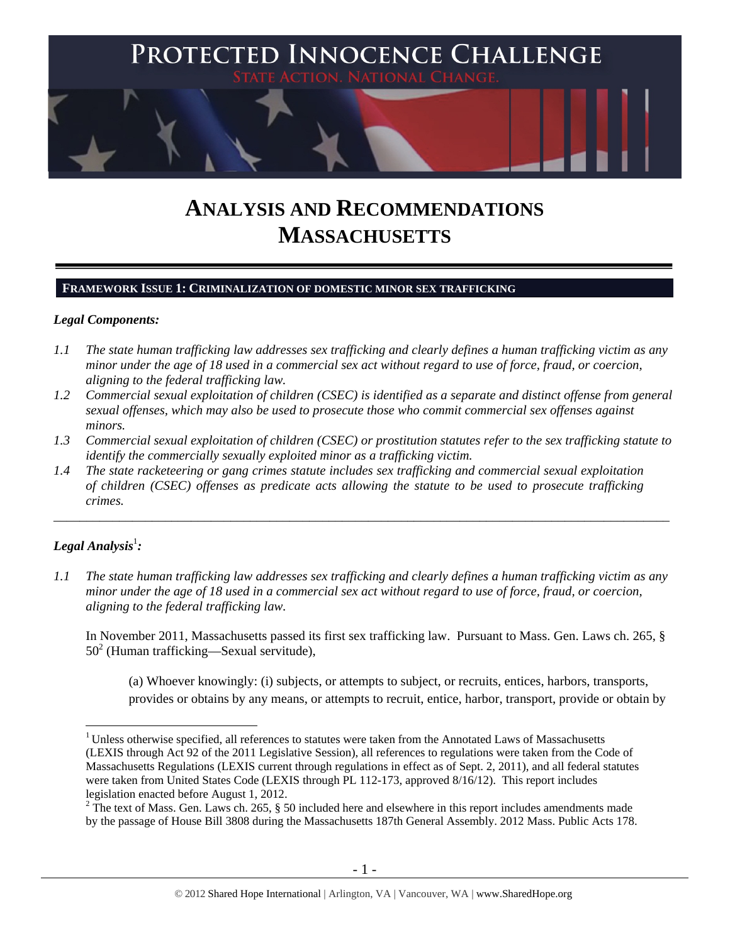

# **ANALYSIS AND RECOMMENDATIONS MASSACHUSETTS**

# **FRAMEWORK ISSUE 1: CRIMINALIZATION OF DOMESTIC MINOR SEX TRAFFICKING**

#### *Legal Components:*

- *1.1 The state human trafficking law addresses sex trafficking and clearly defines a human trafficking victim as any minor under the age of 18 used in a commercial sex act without regard to use of force, fraud, or coercion, aligning to the federal trafficking law.*
- *1.2 Commercial sexual exploitation of children (CSEC) is identified as a separate and distinct offense from general sexual offenses, which may also be used to prosecute those who commit commercial sex offenses against minors.*
- *1.3 Commercial sexual exploitation of children (CSEC) or prostitution statutes refer to the sex trafficking statute to identify the commercially sexually exploited minor as a trafficking victim.*

\_\_\_\_\_\_\_\_\_\_\_\_\_\_\_\_\_\_\_\_\_\_\_\_\_\_\_\_\_\_\_\_\_\_\_\_\_\_\_\_\_\_\_\_\_\_\_\_\_\_\_\_\_\_\_\_\_\_\_\_\_\_\_\_\_\_\_\_\_\_\_\_\_\_\_\_\_\_\_\_\_\_\_\_\_\_\_\_\_\_\_\_\_\_

*1.4 The state racketeering or gang crimes statute includes sex trafficking and commercial sexual exploitation of children (CSEC) offenses as predicate acts allowing the statute to be used to prosecute trafficking crimes.* 

# $\bm{\mathit{Legal\, Analysis^{\text{!}}:}}$

*1.1 The state human trafficking law addresses sex trafficking and clearly defines a human trafficking victim as any minor under the age of 18 used in a commercial sex act without regard to use of force, fraud, or coercion, aligning to the federal trafficking law.*

In November 2011, Massachusetts passed its first sex trafficking law. Pursuant to Mass. Gen. Laws ch. 265, § 50<sup>2</sup> (Human trafficking—Sexual servitude),

(a) Whoever knowingly: (i) subjects, or attempts to subject, or recruits, entices, harbors, transports, provides or obtains by any means, or attempts to recruit, entice, harbor, transport, provide or obtain by

 $\overline{a}$ <sup>1</sup> Unless otherwise specified, all references to statutes were taken from the Annotated Laws of Massachusetts (LEXIS through Act 92 of the 2011 Legislative Session), all references to regulations were taken from the Code of Massachusetts Regulations (LEXIS current through regulations in effect as of Sept. 2, 2011), and all federal statutes were taken from United States Code (LEXIS through PL 112-173, approved 8/16/12). This report includes legislation enacted before August 1, 2012.

<sup>&</sup>lt;sup>2</sup> The text of Mass. Gen. Laws ch. 265, § 50 included here and elsewhere in this report includes amendments made by the passage of House Bill 3808 during the Massachusetts 187th General Assembly. 2012 Mass. Public Acts 178.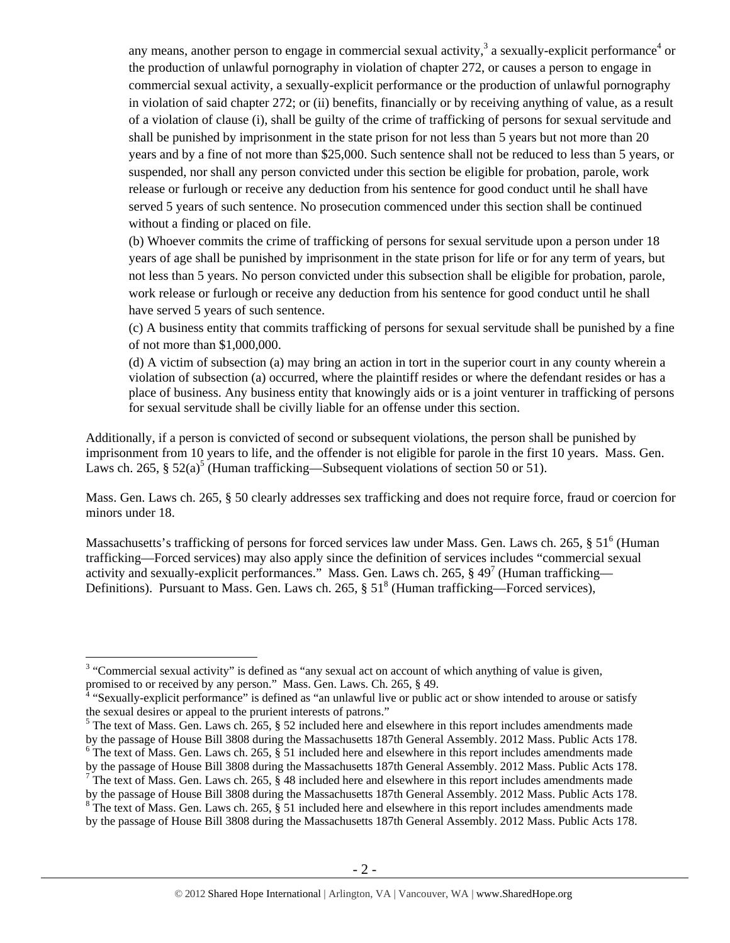any means, another person to engage in commercial sexual activity,<sup>3</sup> a sexually-explicit performance<sup>4</sup> or the production of unlawful pornography in violation of chapter 272, or causes a person to engage in commercial sexual activity, a sexually-explicit performance or the production of unlawful pornography in violation of said chapter 272; or (ii) benefits, financially or by receiving anything of value, as a result of a violation of clause (i), shall be guilty of the crime of trafficking of persons for sexual servitude and shall be punished by imprisonment in the state prison for not less than 5 years but not more than 20 years and by a fine of not more than \$25,000. Such sentence shall not be reduced to less than 5 years, or suspended, nor shall any person convicted under this section be eligible for probation, parole, work release or furlough or receive any deduction from his sentence for good conduct until he shall have served 5 years of such sentence. No prosecution commenced under this section shall be continued without a finding or placed on file.

(b) Whoever commits the crime of trafficking of persons for sexual servitude upon a person under 18 years of age shall be punished by imprisonment in the state prison for life or for any term of years, but not less than 5 years. No person convicted under this subsection shall be eligible for probation, parole, work release or furlough or receive any deduction from his sentence for good conduct until he shall have served 5 years of such sentence.

(c) A business entity that commits trafficking of persons for sexual servitude shall be punished by a fine of not more than \$1,000,000.

(d) A victim of subsection (a) may bring an action in tort in the superior court in any county wherein a violation of subsection (a) occurred, where the plaintiff resides or where the defendant resides or has a place of business. Any business entity that knowingly aids or is a joint venturer in trafficking of persons for sexual servitude shall be civilly liable for an offense under this section.

Additionally, if a person is convicted of second or subsequent violations, the person shall be punished by imprisonment from 10 years to life, and the offender is not eligible for parole in the first 10 years. Mass. Gen. Laws ch. 265, §  $52(a)^5$  (Human trafficking—Subsequent violations of section 50 or 51).

Mass. Gen. Laws ch. 265, § 50 clearly addresses sex trafficking and does not require force, fraud or coercion for minors under 18.

Massachusetts's trafficking of persons for forced services law under Mass. Gen. Laws ch. 265, § 51<sup>6</sup> (Human trafficking—Forced services) may also apply since the definition of services includes "commercial sexual activity and sexually-explicit performances." Mass. Gen. Laws ch. 265,  $\S$  49<sup>7</sup> (Human trafficking— Definitions). Pursuant to Mass. Gen. Laws ch. 265,  $\S 51<sup>8</sup>$  (Human trafficking—Forced services),

<sup>&</sup>lt;sup>3</sup> "Commercial sexual activity" is defined as "any sexual act on account of which anything of value is given,

promised to or received by any person." Mass. Gen. Laws. Ch. 265, § 49.<br><sup>4</sup> "Sexually-explicit performance" is defined as "an unlawful live or public act or show intended to arouse or satisfy the sexual desires or appeal to the prurient interests of patrons."

<sup>&</sup>lt;sup>5</sup> The text of Mass. Gen. Laws ch. 265, § 52 included here and elsewhere in this report includes amendments made by the passage of House Bill 3808 during the Massachusetts 187th General Assembly. 2012 Mass. Public Acts 178.  $6$  The text of Mass. Gen. Laws ch. 265,  $\frac{5}{9}$  51 included here and elsewhere in this report includes amendments made

by the passage of House Bill 3808 during the Massachusetts 187th General Assembly. 2012 Mass. Public Acts 178.

 $\frac{7}{1}$  The text of Mass. Gen. Laws ch. 265, § 48 included here and elsewhere in this report includes amendments made by the passage of House Bill 3808 during the Massachusetts 187th General Assembly. 2012 Mass. Public Acts 178.

<sup>&</sup>lt;sup>8</sup> The text of Mass. Gen. Laws ch. 265, § 51 included here and elsewhere in this report includes amendments made by the passage of House Bill 3808 during the Massachusetts 187th General Assembly. 2012 Mass. Public Acts 178.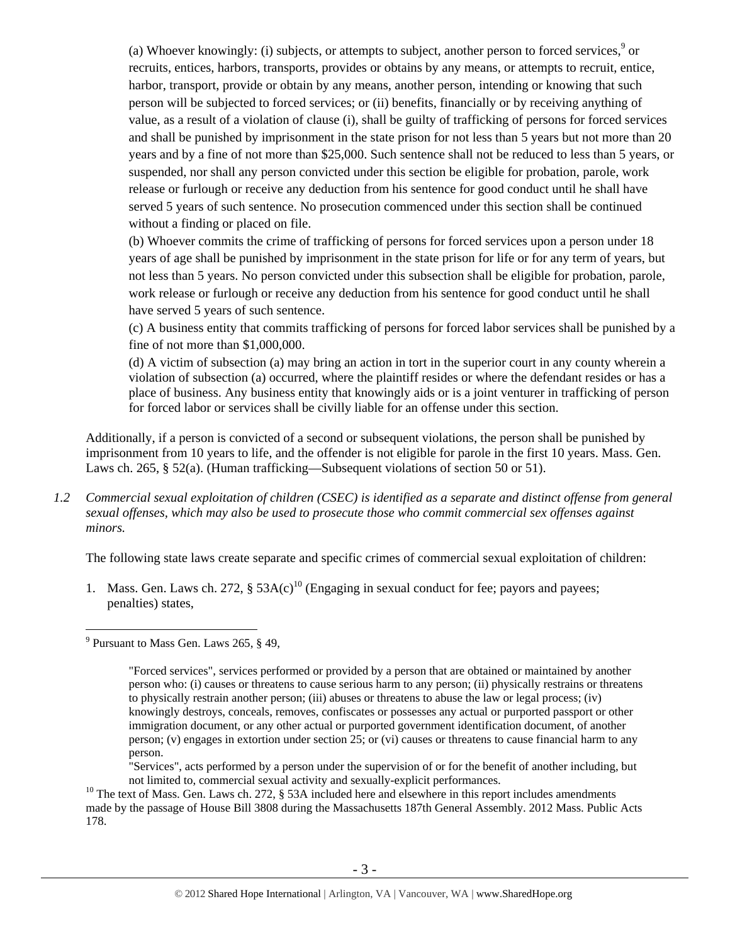(a) Whoever knowingly: (i) subjects, or attempts to subject, another person to forced services, $\degree$  or recruits, entices, harbors, transports, provides or obtains by any means, or attempts to recruit, entice, harbor, transport, provide or obtain by any means, another person, intending or knowing that such person will be subjected to forced services; or (ii) benefits, financially or by receiving anything of value, as a result of a violation of clause (i), shall be guilty of trafficking of persons for forced services and shall be punished by imprisonment in the state prison for not less than 5 years but not more than 20 years and by a fine of not more than \$25,000. Such sentence shall not be reduced to less than 5 years, or suspended, nor shall any person convicted under this section be eligible for probation, parole, work release or furlough or receive any deduction from his sentence for good conduct until he shall have served 5 years of such sentence. No prosecution commenced under this section shall be continued without a finding or placed on file.

(b) Whoever commits the crime of trafficking of persons for forced services upon a person under 18 years of age shall be punished by imprisonment in the state prison for life or for any term of years, but not less than 5 years. No person convicted under this subsection shall be eligible for probation, parole, work release or furlough or receive any deduction from his sentence for good conduct until he shall have served 5 years of such sentence.

(c) A business entity that commits trafficking of persons for forced labor services shall be punished by a fine of not more than \$1,000,000.

(d) A victim of subsection (a) may bring an action in tort in the superior court in any county wherein a violation of subsection (a) occurred, where the plaintiff resides or where the defendant resides or has a place of business. Any business entity that knowingly aids or is a joint venturer in trafficking of person for forced labor or services shall be civilly liable for an offense under this section.

Additionally, if a person is convicted of a second or subsequent violations, the person shall be punished by imprisonment from 10 years to life, and the offender is not eligible for parole in the first 10 years. Mass. Gen. Laws ch. 265, § 52(a). (Human trafficking—Subsequent violations of section 50 or 51).

*1.2 Commercial sexual exploitation of children (CSEC) is identified as a separate and distinct offense from general sexual offenses, which may also be used to prosecute those who commit commercial sex offenses against minors.*

The following state laws create separate and specific crimes of commercial sexual exploitation of children:

1. Mass. Gen. Laws ch. 272, §  $53A(c)^{10}$  (Engaging in sexual conduct for fee; payors and payees; penalties) states,

 $\overline{a}$ <sup>9</sup> Pursuant to Mass Gen. Laws 265,  $\S$  49,

<sup>&</sup>quot;Forced services", services performed or provided by a person that are obtained or maintained by another person who: (i) causes or threatens to cause serious harm to any person; (ii) physically restrains or threatens to physically restrain another person; (iii) abuses or threatens to abuse the law or legal process; (iv) knowingly destroys, conceals, removes, confiscates or possesses any actual or purported passport or other immigration document, or any other actual or purported government identification document, of another person; (v) engages in extortion under section 25; or (vi) causes or threatens to cause financial harm to any person.

<sup>&</sup>quot;Services", acts performed by a person under the supervision of or for the benefit of another including, but not limited to, commercial sexual activity and sexually-explicit performances.<br><sup>10</sup> The text of Mass. Gen. Laws ch. 272, § 53A included here and elsewhere in this report includes amendments

made by the passage of House Bill 3808 during the Massachusetts 187th General Assembly. 2012 Mass. Public Acts 178.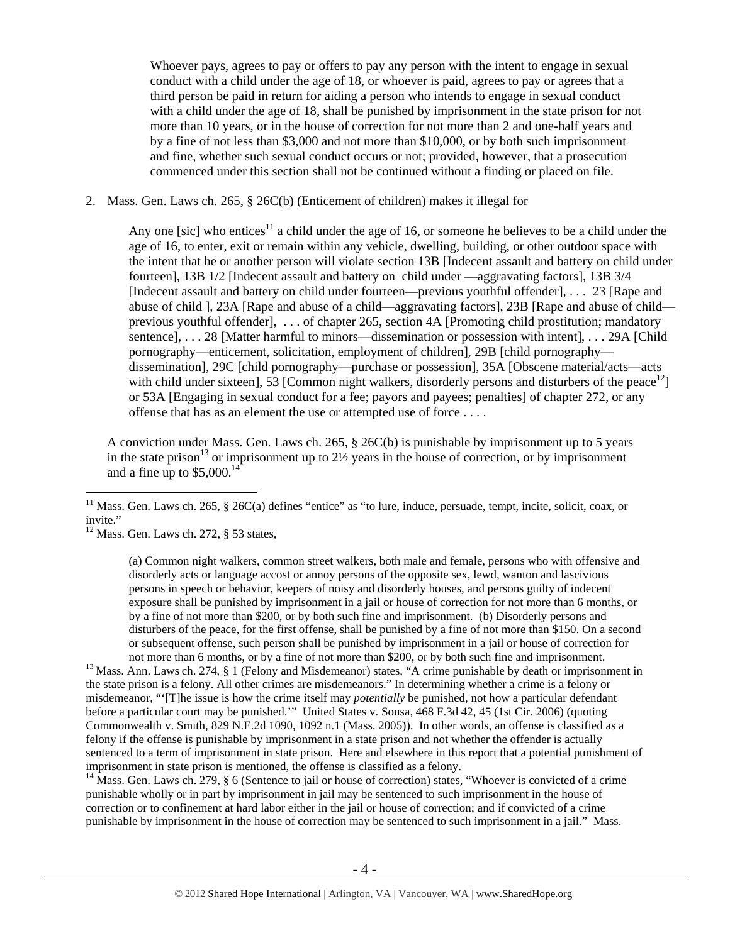Whoever pays, agrees to pay or offers to pay any person with the intent to engage in sexual conduct with a child under the age of 18, or whoever is paid, agrees to pay or agrees that a third person be paid in return for aiding a person who intends to engage in sexual conduct with a child under the age of 18, shall be punished by imprisonment in the state prison for not more than 10 years, or in the house of correction for not more than 2 and one-half years and by a fine of not less than \$3,000 and not more than \$10,000, or by both such imprisonment and fine, whether such sexual conduct occurs or not; provided, however, that a prosecution commenced under this section shall not be continued without a finding or placed on file.

#### 2. Mass. Gen. Laws ch. 265, § 26C(b) (Enticement of children) makes it illegal for

Any one [sic] who entices<sup>11</sup> a child under the age of 16, or someone he believes to be a child under the age of 16, to enter, exit or remain within any vehicle, dwelling, building, or other outdoor space with the intent that he or another person will violate section 13B [Indecent assault and battery on child under fourteen], 13B 1/2 [Indecent assault and battery on child under —aggravating factors], 13B 3/4 [Indecent assault and battery on child under fourteen—previous youthful offender], . . . 23 [Rape and abuse of child ], 23A [Rape and abuse of a child—aggravating factors], 23B [Rape and abuse of child previous youthful offender], . . . of chapter 265, section 4A [Promoting child prostitution; mandatory sentence], . . . 28 [Matter harmful to minors—dissemination or possession with intent], . . . 29A [Child pornography—enticement, solicitation, employment of children], 29B [child pornography dissemination], 29C [child pornography—purchase or possession], 35A [Obscene material/acts—acts with child under sixteen], 53 [Common night walkers, disorderly persons and disturbers of the peace<sup>12</sup>] or 53A [Engaging in sexual conduct for a fee; payors and payees; penalties] of chapter 272, or any offense that has as an element the use or attempted use of force . . . .

A conviction under Mass. Gen. Laws ch. 265, § 26C(b) is punishable by imprisonment up to 5 years in the state prison<sup>13</sup> or imprisonment up to  $2\frac{1}{2}$  years in the house of correction, or by imprisonment and a fine up to  $$5,000$ .<sup>14</sup>

 $\overline{a}$ 

not more than 6 months, or by a fine of not more than \$200, or by both such fine and imprisonment.<br><sup>13</sup> Mass. Ann. Laws ch. 274, § 1 (Felony and Misdemeanor) states, "A crime punishable by death or imprisonment in the state prison is a felony. All other crimes are misdemeanors." In determining whether a crime is a felony or misdemeanor, "'[T]he issue is how the crime itself may *potentially* be punished, not how a particular defendant before a particular court may be punished.'"United States v. Sousa, 468 F.3d 42, 45 (1st Cir. 2006) (quoting Commonwealth v. Smith, 829 N.E.2d 1090, 1092 n.1 (Mass. 2005)). In other words, an offense is classified as a felony if the offense is punishable by imprisonment in a state prison and not whether the offender is actually sentenced to a term of imprisonment in state prison. Here and elsewhere in this report that a potential punishment of imprisonment in state prison is mentioned, the offense is classified as a felony.

<sup>14</sup> Mass. Gen. Laws ch. 279, § 6 (Sentence to jail or house of correction) states, "Whoever is convicted of a crime punishable wholly or in part by imprisonment in jail may be sentenced to such imprisonment in the house of correction or to confinement at hard labor either in the jail or house of correction; and if convicted of a crime punishable by imprisonment in the house of correction may be sentenced to such imprisonment in a jail." Mass.

<sup>&</sup>lt;sup>11</sup> Mass. Gen. Laws ch. 265, § 26C(a) defines "entice" as "to lure, induce, persuade, tempt, incite, solicit, coax, or invite."

 $12$  Mass. Gen. Laws ch. 272, § 53 states,

<sup>(</sup>a) Common night walkers, common street walkers, both male and female, persons who with offensive and disorderly acts or language accost or annoy persons of the opposite sex, lewd, wanton and lascivious persons in speech or behavior, keepers of noisy and disorderly houses, and persons guilty of indecent exposure shall be punished by imprisonment in a jail or house of correction for not more than 6 months, or by a fine of not more than \$200, or by both such fine and imprisonment. (b) Disorderly persons and disturbers of the peace, for the first offense, shall be punished by a fine of not more than \$150. On a second or subsequent offense, such person shall be punished by imprisonment in a jail or house of correction for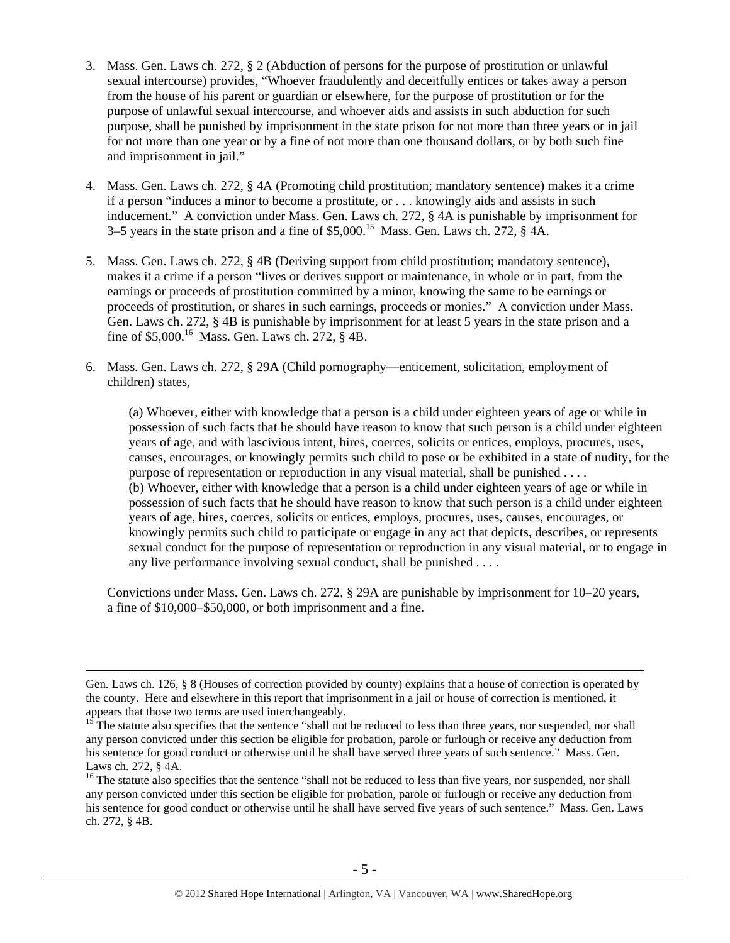- 3. Mass. Gen. Laws ch. 272, § 2 (Abduction of persons for the purpose of prostitution or unlawful sexual intercourse) provides, "Whoever fraudulently and deceitfully entices or takes away a person from the house of his parent or guardian or elsewhere, for the purpose of prostitution or for the purpose of unlawful sexual intercourse, and whoever aids and assists in such abduction for such purpose, shall be punished by imprisonment in the state prison for not more than three years or in jail for not more than one year or by a fine of not more than one thousand dollars, or by both such fine and imprisonment in jail."
- 4. Mass. Gen. Laws ch. 272, § 4A (Promoting child prostitution; mandatory sentence) makes it a crime if a person "induces a minor to become a prostitute, or . . . knowingly aids and assists in such inducement." A conviction under Mass. Gen. Laws ch. 272, § 4A is punishable by imprisonment for 3–5 years in the state prison and a fine of  $$5,000$ .<sup>15</sup> Mass. Gen. Laws ch. 272,  $§$  4A.
- 5. Mass. Gen. Laws ch. 272, § 4B (Deriving support from child prostitution; mandatory sentence), makes it a crime if a person "lives or derives support or maintenance, in whole or in part, from the earnings or proceeds of prostitution committed by a minor, knowing the same to be earnings or proceeds of prostitution, or shares in such earnings, proceeds or monies." A conviction under Mass. Gen. Laws ch. 272, § 4B is punishable by imprisonment for at least 5 years in the state prison and a fine of \$5,000.<sup>16</sup> Mass. Gen. Laws ch. 272,  $\hat{\S}$  4B.
- 6. Mass. Gen. Laws ch. 272, § 29A (Child pornography—enticement, solicitation, employment of children) states,

(a) Whoever, either with knowledge that a person is a child under eighteen years of age or while in possession of such facts that he should have reason to know that such person is a child under eighteen years of age, and with lascivious intent, hires, coerces, solicits or entices, employs, procures, uses, causes, encourages, or knowingly permits such child to pose or be exhibited in a state of nudity, for the purpose of representation or reproduction in any visual material, shall be punished . . . . (b) Whoever, either with knowledge that a person is a child under eighteen years of age or while in possession of such facts that he should have reason to know that such person is a child under eighteen years of age, hires, coerces, solicits or entices, employs, procures, uses, causes, encourages, or knowingly permits such child to participate or engage in any act that depicts, describes, or represents sexual conduct for the purpose of representation or reproduction in any visual material, or to engage in any live performance involving sexual conduct, shall be punished . . . .

Convictions under Mass. Gen. Laws ch. 272, § 29A are punishable by imprisonment for 10–20 years, a fine of \$10,000–\$50,000, or both imprisonment and a fine.

Gen. Laws ch. 126, § 8 (Houses of correction provided by county) explains that a house of correction is operated by the county. Here and elsewhere in this report that imprisonment in a jail or house of correction is mentioned, it appears that those two terms are used interchangeably.

<sup>15</sup> The statute also specifies that the sentence "shall not be reduced to less than three years, nor suspended, nor shall any person convicted under this section be eligible for probation, parole or furlough or receive any deduction from his sentence for good conduct or otherwise until he shall have served three years of such sentence." Mass. Gen. Laws ch. 272, § 4A.

<sup>&</sup>lt;sup>16</sup> The statute also specifies that the sentence "shall not be reduced to less than five years, nor suspended, nor shall any person convicted under this section be eligible for probation, parole or furlough or receive any deduction from his sentence for good conduct or otherwise until he shall have served five years of such sentence." Mass. Gen. Laws ch. 272, § 4B.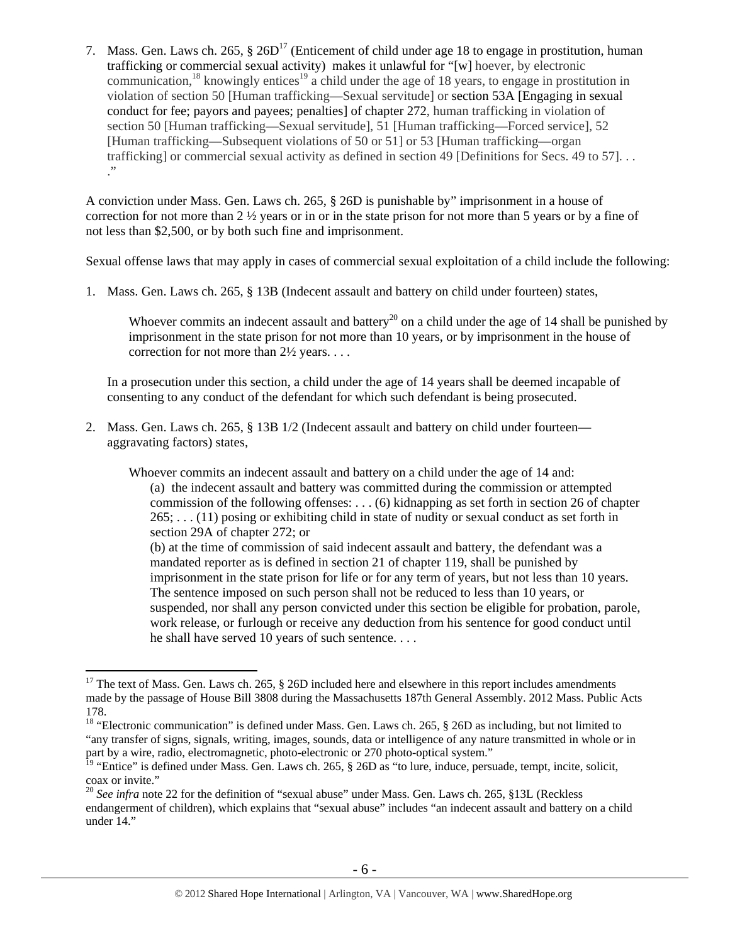7. Mass. Gen. Laws ch. 265,  $\S 26D<sup>17</sup>$  (Enticement of child under age 18 to engage in prostitution, human trafficking or commercial sexual activity) makes it unlawful for "[w] hoever, by electronic communication, <sup>18</sup> knowingly entices<sup>19</sup> a child under the age of 18 years, to engage in prostitution in violation of section 50 [Human trafficking—Sexual servitude] or section 53A [Engaging in sexual conduct for fee; payors and payees; penalties] of chapter 272, human trafficking in violation of section 50 [Human trafficking—Sexual servitude], 51 [Human trafficking—Forced service], 52 [Human trafficking—Subsequent violations of 50 or 51] or 53 [Human trafficking—organ trafficking] or commercial sexual activity as defined in section 49 [Definitions for Secs. 49 to 57]. . . ."

A conviction under Mass. Gen. Laws ch. 265, § 26D is punishable by" imprisonment in a house of correction for not more than 2 ½ years or in or in the state prison for not more than 5 years or by a fine of not less than \$2,500, or by both such fine and imprisonment.

Sexual offense laws that may apply in cases of commercial sexual exploitation of a child include the following:

1. Mass. Gen. Laws ch. 265, § 13B (Indecent assault and battery on child under fourteen) states,

Whoever commits an indecent assault and battery<sup>20</sup> on a child under the age of 14 shall be punished by imprisonment in the state prison for not more than 10 years, or by imprisonment in the house of correction for not more than 2½ years. . . .

In a prosecution under this section, a child under the age of 14 years shall be deemed incapable of consenting to any conduct of the defendant for which such defendant is being prosecuted.

2. Mass. Gen. Laws ch. 265, § 13B 1/2 (Indecent assault and battery on child under fourteen aggravating factors) states,

Whoever commits an indecent assault and battery on a child under the age of 14 and: (a) the indecent assault and battery was committed during the commission or attempted commission of the following offenses: . . . (6) kidnapping as set forth in section 26 of chapter 265; . . . (11) posing or exhibiting child in state of nudity or sexual conduct as set forth in section 29A of chapter 272; or

(b) at the time of commission of said indecent assault and battery, the defendant was a mandated reporter as is defined in section 21 of chapter 119, shall be punished by imprisonment in the state prison for life or for any term of years, but not less than 10 years. The sentence imposed on such person shall not be reduced to less than 10 years, or suspended, nor shall any person convicted under this section be eligible for probation, parole, work release, or furlough or receive any deduction from his sentence for good conduct until he shall have served 10 years of such sentence. . . .

 $\overline{a}$ <sup>17</sup> The text of Mass. Gen. Laws ch. 265,  $\S$  26D included here and elsewhere in this report includes amendments made by the passage of House Bill 3808 during the Massachusetts 187th General Assembly. 2012 Mass. Public Acts 178.

<sup>&</sup>lt;sup>18</sup> "Electronic communication" is defined under Mass. Gen. Laws ch. 265, § 26D as including, but not limited to "any transfer of signs, signals, writing, images, sounds, data or intelligence of any nature transmitted in whole or in part by a wire, radio, electromagnetic, photo-electronic or 270 photo-optical system."

<sup>&</sup>lt;sup>19</sup> "Entice" is defined under Mass. Gen. Laws ch. 265,  $\S$  26D as "to lure, induce, persuade, tempt, incite, solicit, coax or invite."

<sup>&</sup>lt;sup>20</sup> See infra note 22 for the definition of "sexual abuse" under Mass. Gen. Laws ch. 265, §13L (Reckless endangerment of children), which explains that "sexual abuse" includes "an indecent assault and battery on a child under 14."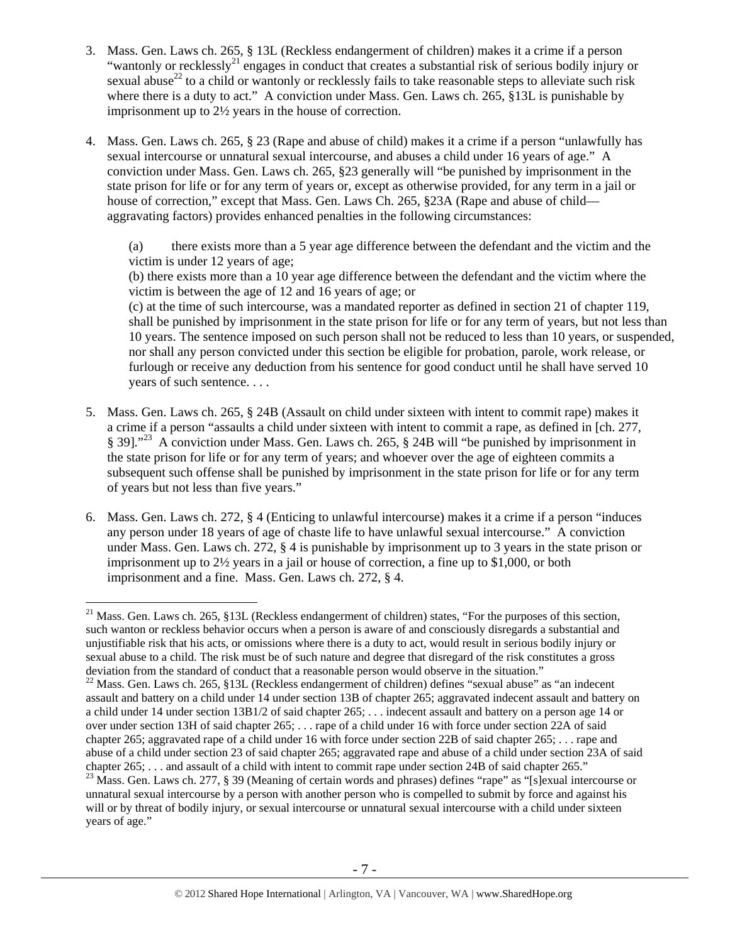- 3. Mass. Gen. Laws ch. 265, § 13L (Reckless endangerment of children) makes it a crime if a person "wantonly or recklessly<sup>21</sup> engages in conduct that creates a substantial risk of serious bodily injury or sexual abuse<sup>22</sup> to a child or wantonly or recklessly fails to take reasonable steps to alleviate such risk where there is a duty to act." A conviction under Mass. Gen. Laws ch. 265, §13L is punishable by imprisonment up to 2½ years in the house of correction.
- 4. Mass. Gen. Laws ch. 265, § 23 (Rape and abuse of child) makes it a crime if a person "unlawfully has sexual intercourse or unnatural sexual intercourse, and abuses a child under 16 years of age." A conviction under Mass. Gen. Laws ch. 265, §23 generally will "be punished by imprisonment in the state prison for life or for any term of years or, except as otherwise provided, for any term in a jail or house of correction," except that Mass. Gen. Laws Ch. 265, §23A (Rape and abuse of child aggravating factors) provides enhanced penalties in the following circumstances:

(a) there exists more than a 5 year age difference between the defendant and the victim and the victim is under 12 years of age;

(b) there exists more than a 10 year age difference between the defendant and the victim where the victim is between the age of 12 and 16 years of age; or

(c) at the time of such intercourse, was a mandated reporter as defined in section 21 of chapter 119, shall be punished by imprisonment in the state prison for life or for any term of years, but not less than 10 years. The sentence imposed on such person shall not be reduced to less than 10 years, or suspended, nor shall any person convicted under this section be eligible for probation, parole, work release, or furlough or receive any deduction from his sentence for good conduct until he shall have served 10 years of such sentence. . . .

- 5. Mass. Gen. Laws ch. 265, § 24B (Assault on child under sixteen with intent to commit rape) makes it a crime if a person "assaults a child under sixteen with intent to commit a rape, as defined in [ch. 277, § 39]."<sup>23</sup> A conviction under Mass. Gen. Laws ch. 265, § 24B will "be punished by imprisonment in the state prison for life or for any term of years; and whoever over the age of eighteen commits a subsequent such offense shall be punished by imprisonment in the state prison for life or for any term of years but not less than five years."
- 6. Mass. Gen. Laws ch. 272, § 4 (Enticing to unlawful intercourse) makes it a crime if a person "induces any person under 18 years of age of chaste life to have unlawful sexual intercourse." A conviction under Mass. Gen. Laws ch. 272, § 4 is punishable by imprisonment up to 3 years in the state prison or imprisonment up to 2½ years in a jail or house of correction, a fine up to \$1,000, or both imprisonment and a fine. Mass. Gen. Laws ch. 272, § 4.

 $\overline{a}$ <sup>21</sup> Mass. Gen. Laws ch. 265, §13L (Reckless endangerment of children) states, "For the purposes of this section, such wanton or reckless behavior occurs when a person is aware of and consciously disregards a substantial and unjustifiable risk that his acts, or omissions where there is a duty to act, would result in serious bodily injury or sexual abuse to a child. The risk must be of such nature and degree that disregard of the risk constitutes a gross deviation from the standard of conduct that a reasonable person would observe in the situation."

<sup>&</sup>lt;sup>22</sup> Mass. Gen. Laws ch. 265, §13L (Reckless endangerment of children) defines "sexual abuse" as "an indecent assault and battery on a child under 14 under section 13B of chapter 265; aggravated indecent assault and battery on a child under 14 under section 13B1/2 of said chapter 265; . . . indecent assault and battery on a person age 14 or over under section 13H of said chapter 265; . . . rape of a child under 16 with force under section 22A of said chapter 265; aggravated rape of a child under 16 with force under section 22B of said chapter 265; . . . rape and abuse of a child under section 23 of said chapter 265; aggravated rape and abuse of a child under section 23A of said chapter 265; ... and assault of a child with intent to commit rape under section 24B of said chapter 265 chapter 265; . . . and all with  $277$ , § 39 (Meaning of certain words and phrases) defines "rape" as "[s]exual intercourse or

unnatural sexual intercourse by a person with another person who is compelled to submit by force and against his will or by threat of bodily injury, or sexual intercourse or unnatural sexual intercourse with a child under sixteen years of age."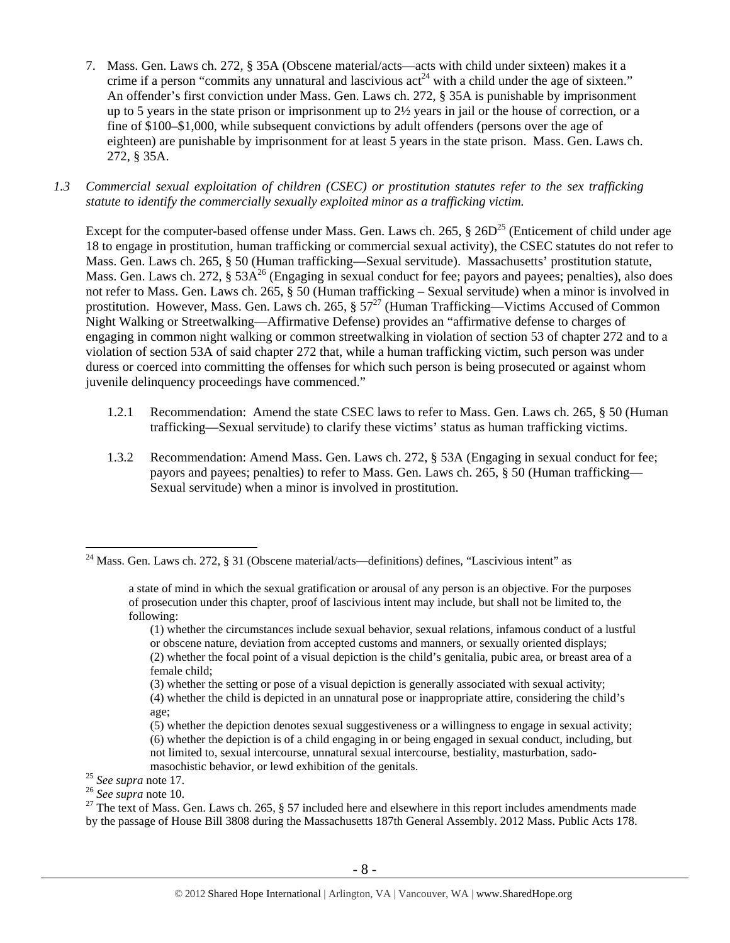- 7. Mass. Gen. Laws ch. 272, § 35A (Obscene material/acts—acts with child under sixteen) makes it a crime if a person "commits any unnatural and lascivious  $\mathrm{act}^{24}$  with a child under the age of sixteen." An offender's first conviction under Mass. Gen. Laws ch. 272, § 35A is punishable by imprisonment up to 5 years in the state prison or imprisonment up to 2½ years in jail or the house of correction, or a fine of \$100–\$1,000, while subsequent convictions by adult offenders (persons over the age of eighteen) are punishable by imprisonment for at least 5 years in the state prison. Mass. Gen. Laws ch. 272, § 35A.
- *1.3 Commercial sexual exploitation of children (CSEC) or prostitution statutes refer to the sex trafficking statute to identify the commercially sexually exploited minor as a trafficking victim.*

Except for the computer-based offense under Mass. Gen. Laws ch. 265,  $\S 26D^{25}$  (Enticement of child under age 18 to engage in prostitution, human trafficking or commercial sexual activity), the CSEC statutes do not refer to Mass. Gen. Laws ch. 265, § 50 (Human trafficking—Sexual servitude). Massachusetts' prostitution statute, Mass. Gen. Laws ch. 272, § 53A<sup>26</sup> (Engaging in sexual conduct for fee; payors and payees; penalties), also does not refer to Mass. Gen. Laws ch. 265, § 50 (Human trafficking – Sexual servitude) when a minor is involved in prostitution. However, Mass. Gen. Laws ch. 265,  $\S 57^{27}$  (Human Trafficking—Victims Accused of Common Night Walking or Streetwalking—Affirmative Defense) provides an "affirmative defense to charges of engaging in common night walking or common streetwalking in violation of section 53 of chapter 272 and to a violation of section 53A of said chapter 272 that, while a human trafficking victim, such person was under duress or coerced into committing the offenses for which such person is being prosecuted or against whom juvenile delinquency proceedings have commenced."

- 1.2.1 Recommendation: Amend the state CSEC laws to refer to Mass. Gen. Laws ch. 265, § 50 (Human trafficking—Sexual servitude) to clarify these victims' status as human trafficking victims.
- 1.3.2 Recommendation: Amend Mass. Gen. Laws ch. 272, § 53A (Engaging in sexual conduct for fee; payors and payees; penalties) to refer to Mass. Gen. Laws ch. 265, § 50 (Human trafficking— Sexual servitude) when a minor is involved in prostitution.

<sup>&</sup>lt;sup>24</sup> Mass. Gen. Laws ch. 272, § 31 (Obscene material/acts—definitions) defines, "Lascivious intent" as

a state of mind in which the sexual gratification or arousal of any person is an objective. For the purposes of prosecution under this chapter, proof of lascivious intent may include, but shall not be limited to, the following:

<sup>(1)</sup> whether the circumstances include sexual behavior, sexual relations, infamous conduct of a lustful or obscene nature, deviation from accepted customs and manners, or sexually oriented displays; (2) whether the focal point of a visual depiction is the child's genitalia, pubic area, or breast area of a female child;

<sup>(3)</sup> whether the setting or pose of a visual depiction is generally associated with sexual activity;

<sup>(4)</sup> whether the child is depicted in an unnatural pose or inappropriate attire, considering the child's age;

<sup>(5)</sup> whether the depiction denotes sexual suggestiveness or a willingness to engage in sexual activity; (6) whether the depiction is of a child engaging in or being engaged in sexual conduct, including, but not limited to, sexual intercourse, unnatural sexual intercourse, bestiality, masturbation, sado-

masochistic behavior, or lewd exhibition of the genitals.<br><sup>25</sup> See supra note 17.<br><sup>26</sup> See supra note 10.<br><sup>26</sup> The text of Mass. Gen. Laws ch. 265, § 57 included here and elsewhere in this report includes amendments made by the passage of House Bill 3808 during the Massachusetts 187th General Assembly. 2012 Mass. Public Acts 178.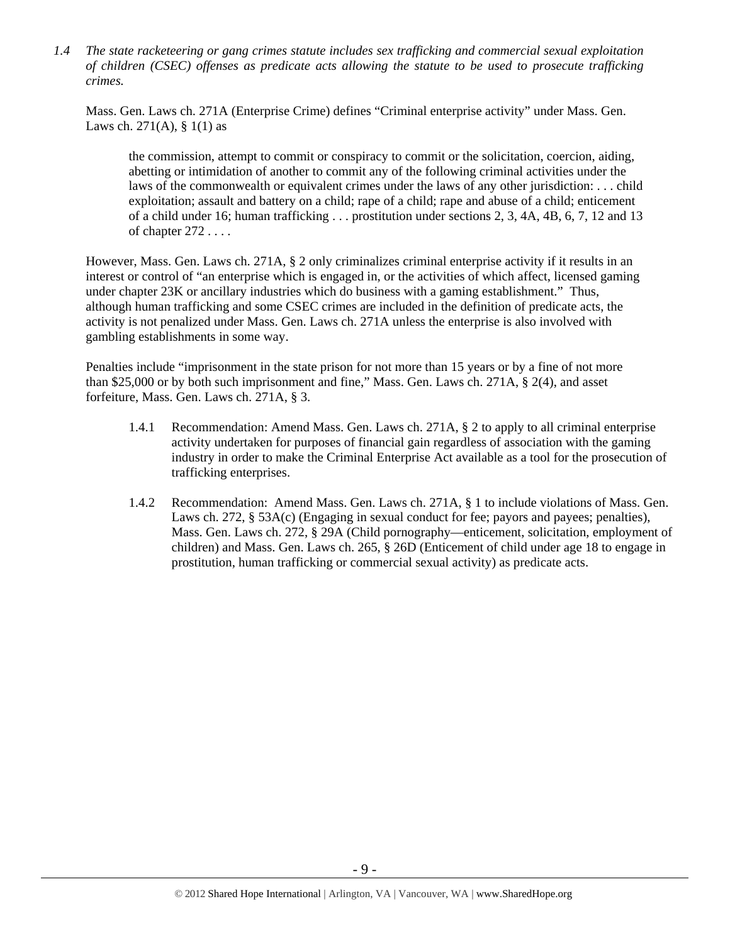*1.4 The state racketeering or gang crimes statute includes sex trafficking and commercial sexual exploitation of children (CSEC) offenses as predicate acts allowing the statute to be used to prosecute trafficking crimes.* 

Mass. Gen. Laws ch. 271A (Enterprise Crime) defines "Criminal enterprise activity" under Mass. Gen. Laws ch. 271(A),  $§ 1(1)$  as

the commission, attempt to commit or conspiracy to commit or the solicitation, coercion, aiding, abetting or intimidation of another to commit any of the following criminal activities under the laws of the commonwealth or equivalent crimes under the laws of any other jurisdiction: . . . child exploitation; assault and battery on a child; rape of a child; rape and abuse of a child; enticement of a child under 16; human trafficking . . . prostitution under sections 2, 3, 4A, 4B, 6, 7, 12 and 13 of chapter 272 . . . .

However, Mass. Gen. Laws ch. 271A, § 2 only criminalizes criminal enterprise activity if it results in an interest or control of "an enterprise which is engaged in, or the activities of which affect, licensed gaming under chapter 23K or ancillary industries which do business with a gaming establishment." Thus, although human trafficking and some CSEC crimes are included in the definition of predicate acts, the activity is not penalized under Mass. Gen. Laws ch. 271A unless the enterprise is also involved with gambling establishments in some way.

Penalties include "imprisonment in the state prison for not more than 15 years or by a fine of not more than \$25,000 or by both such imprisonment and fine," Mass. Gen. Laws ch. 271A, § 2(4), and asset forfeiture, Mass. Gen. Laws ch. 271A, § 3.

- 1.4.1 Recommendation: Amend Mass. Gen. Laws ch. 271A, § 2 to apply to all criminal enterprise activity undertaken for purposes of financial gain regardless of association with the gaming industry in order to make the Criminal Enterprise Act available as a tool for the prosecution of trafficking enterprises.
- 1.4.2 Recommendation: Amend Mass. Gen. Laws ch. 271A, § 1 to include violations of Mass. Gen. Laws ch. 272, § 53A(c) (Engaging in sexual conduct for fee; payors and payees; penalties), Mass. Gen. Laws ch. 272, § 29A (Child pornography—enticement, solicitation, employment of children) and Mass. Gen. Laws ch. 265, § 26D (Enticement of child under age 18 to engage in prostitution, human trafficking or commercial sexual activity) as predicate acts.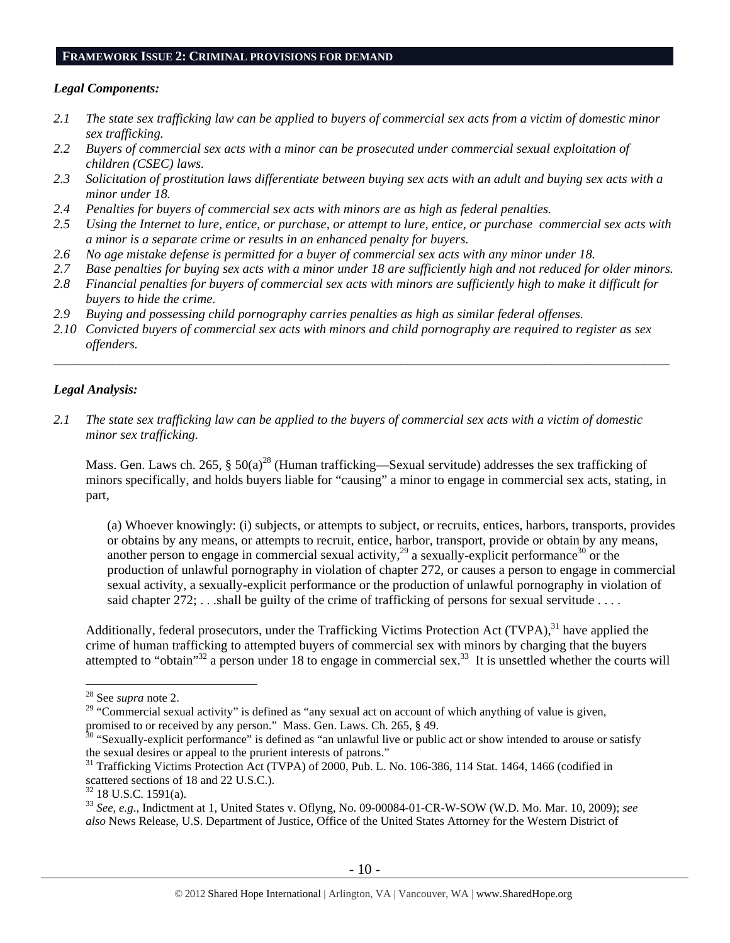#### **FRAMEWORK ISSUE 2: CRIMINAL PROVISIONS FOR DEMAND**

#### *Legal Components:*

- *2.1 The state sex trafficking law can be applied to buyers of commercial sex acts from a victim of domestic minor sex trafficking.*
- *2.2 Buyers of commercial sex acts with a minor can be prosecuted under commercial sexual exploitation of children (CSEC) laws.*
- *2.3 Solicitation of prostitution laws differentiate between buying sex acts with an adult and buying sex acts with a minor under 18.*
- *2.4 Penalties for buyers of commercial sex acts with minors are as high as federal penalties.*
- *2.5 Using the Internet to lure, entice, or purchase, or attempt to lure, entice, or purchase commercial sex acts with a minor is a separate crime or results in an enhanced penalty for buyers.*
- *2.6 No age mistake defense is permitted for a buyer of commercial sex acts with any minor under 18.*
- *2.7 Base penalties for buying sex acts with a minor under 18 are sufficiently high and not reduced for older minors.*
- *2.8 Financial penalties for buyers of commercial sex acts with minors are sufficiently high to make it difficult for buyers to hide the crime.*
- *2.9 Buying and possessing child pornography carries penalties as high as similar federal offenses.*
- *2.10 Convicted buyers of commercial sex acts with minors and child pornography are required to register as sex offenders.*

\_\_\_\_\_\_\_\_\_\_\_\_\_\_\_\_\_\_\_\_\_\_\_\_\_\_\_\_\_\_\_\_\_\_\_\_\_\_\_\_\_\_\_\_\_\_\_\_\_\_\_\_\_\_\_\_\_\_\_\_\_\_\_\_\_\_\_\_\_\_\_\_\_\_\_\_\_\_\_\_\_\_\_\_\_\_\_\_\_\_\_\_\_\_

#### *Legal Analysis:*

*2.1 The state sex trafficking law can be applied to the buyers of commercial sex acts with a victim of domestic minor sex trafficking.*

Mass. Gen. Laws ch. 265,  $\S 50(a)^{28}$  (Human trafficking—Sexual servitude) addresses the sex trafficking of minors specifically, and holds buyers liable for "causing" a minor to engage in commercial sex acts, stating, in part,

(a) Whoever knowingly: (i) subjects, or attempts to subject, or recruits, entices, harbors, transports, provides or obtains by any means, or attempts to recruit, entice, harbor, transport, provide or obtain by any means, another person to engage in commercial sexual activity,  $^{29}$  a sexually-explicit performance<sup>30</sup> or the production of unlawful pornography in violation of chapter 272, or causes a person to engage in commercial sexual activity, a sexually-explicit performance or the production of unlawful pornography in violation of said chapter  $272$ ; ...shall be guilty of the crime of trafficking of persons for sexual servitude ...

Additionally, federal prosecutors, under the Trafficking Victims Protection Act (TVPA), $31$  have applied the crime of human trafficking to attempted buyers of commercial sex with minors by charging that the buyers attempted to "obtain"<sup>32</sup> a person under 18 to engage in commercial sex.<sup>33</sup> It is unsettled whether the courts will

<sup>28</sup> See *supra* note 2.

<sup>&</sup>lt;sup>29</sup> "Commercial sexual activity" is defined as "any sexual act on account of which anything of value is given, promised to or received by any person." Mass. Gen. Laws. Ch. 265, § 49.<br><sup>30</sup> "Sexually-explicit performance" is defined as "an unlawful live or public act or show intended to arouse or satisfy

the sexual desires or appeal to the prurient interests of patrons."

<sup>&</sup>lt;sup>31</sup> Trafficking Victims Protection Act (TVPA) of 2000, Pub. L. No. 106-386, 114 Stat. 1464, 1466 (codified in scattered sections of 18 and 22 U.S.C.).

 $32$  18 U.S.C. 1591(a).

<sup>33</sup> *See, e.g*., Indictment at 1, United States v. Oflyng, No. 09-00084-01-CR-W-SOW (W.D. Mo. Mar. 10, 2009); *see also* News Release, U.S. Department of Justice, Office of the United States Attorney for the Western District of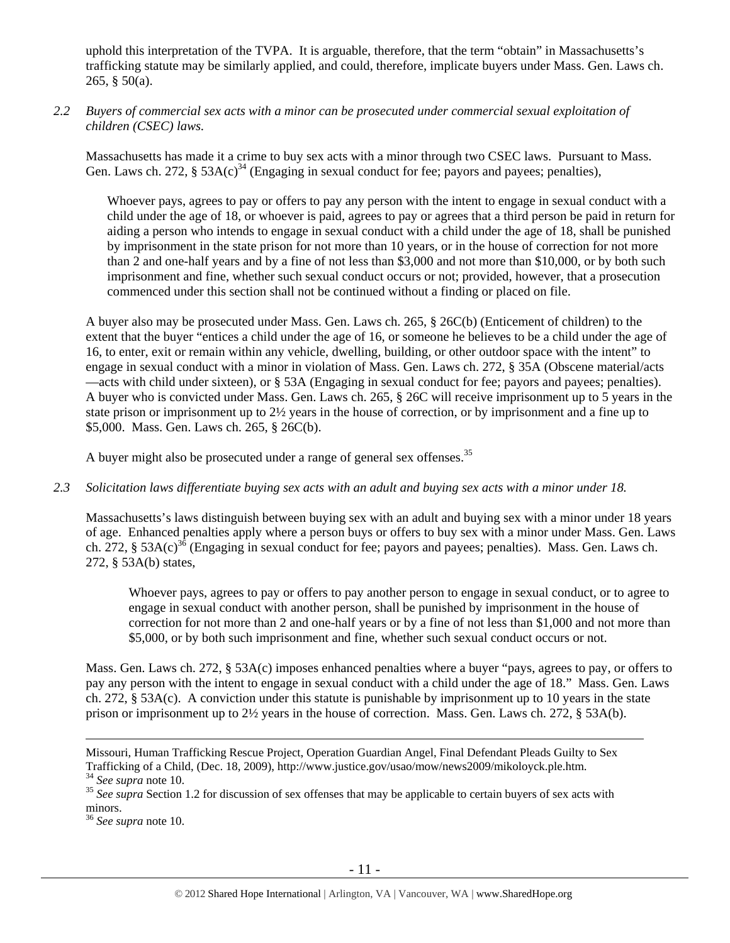uphold this interpretation of the TVPA. It is arguable, therefore, that the term "obtain" in Massachusetts's trafficking statute may be similarly applied, and could, therefore, implicate buyers under Mass. Gen. Laws ch. 265,  $§$  50(a).

## *2.2 Buyers of commercial sex acts with a minor can be prosecuted under commercial sexual exploitation of children (CSEC) laws.*

Massachusetts has made it a crime to buy sex acts with a minor through two CSEC laws. Pursuant to Mass. Gen. Laws ch. 272,  $\S 53A(c)^{34}$  (Engaging in sexual conduct for fee; payors and payees; penalties),

Whoever pays, agrees to pay or offers to pay any person with the intent to engage in sexual conduct with a child under the age of 18, or whoever is paid, agrees to pay or agrees that a third person be paid in return for aiding a person who intends to engage in sexual conduct with a child under the age of 18, shall be punished by imprisonment in the state prison for not more than 10 years, or in the house of correction for not more than 2 and one-half years and by a fine of not less than \$3,000 and not more than \$10,000, or by both such imprisonment and fine, whether such sexual conduct occurs or not; provided, however, that a prosecution commenced under this section shall not be continued without a finding or placed on file.

A buyer also may be prosecuted under Mass. Gen. Laws ch. 265, § 26C(b) (Enticement of children) to the extent that the buyer "entices a child under the age of 16, or someone he believes to be a child under the age of 16, to enter, exit or remain within any vehicle, dwelling, building, or other outdoor space with the intent" to engage in sexual conduct with a minor in violation of Mass. Gen. Laws ch. 272, § 35A (Obscene material/acts —acts with child under sixteen), or § 53A (Engaging in sexual conduct for fee; payors and payees; penalties). A buyer who is convicted under Mass. Gen. Laws ch. 265, § 26C will receive imprisonment up to 5 years in the state prison or imprisonment up to 2½ years in the house of correction, or by imprisonment and a fine up to \$5,000. Mass. Gen. Laws ch. 265, § 26C(b).

A buyer might also be prosecuted under a range of general sex offenses.<sup>35</sup>

# *2.3 Solicitation laws differentiate buying sex acts with an adult and buying sex acts with a minor under 18.*

Massachusetts's laws distinguish between buying sex with an adult and buying sex with a minor under 18 years of age. Enhanced penalties apply where a person buys or offers to buy sex with a minor under Mass. Gen. Laws ch. 272, § 53A(c)<sup>36</sup> (Engaging in sexual conduct for fee; payors and payees; penalties). Mass. Gen. Laws ch. 272, § 53A(b) states,

Whoever pays, agrees to pay or offers to pay another person to engage in sexual conduct, or to agree to engage in sexual conduct with another person, shall be punished by imprisonment in the house of correction for not more than 2 and one-half years or by a fine of not less than \$1,000 and not more than \$5,000, or by both such imprisonment and fine, whether such sexual conduct occurs or not.

Mass. Gen. Laws ch. 272, § 53A(c) imposes enhanced penalties where a buyer "pays, agrees to pay, or offers to pay any person with the intent to engage in sexual conduct with a child under the age of 18." Mass. Gen. Laws ch. 272, § 53A(c). A conviction under this statute is punishable by imprisonment up to 10 years in the state prison or imprisonment up to 2½ years in the house of correction. Mass. Gen. Laws ch. 272, § 53A(b).

Missouri, Human Trafficking Rescue Project, Operation Guardian Angel, Final Defendant Pleads Guilty to Sex<br>Trafficking of a Child, (Dec. 18, 2009), http://www.justice.gov/usao/mow/news2009/mikoloyck.ple.htm.

<sup>&</sup>lt;sup>34</sup> See supra note 10.<br><sup>35</sup> See supra Section 1.2 for discussion of sex offenses that may be applicable to certain buyers of sex acts with minors.

<sup>36</sup> *See supra* note 10.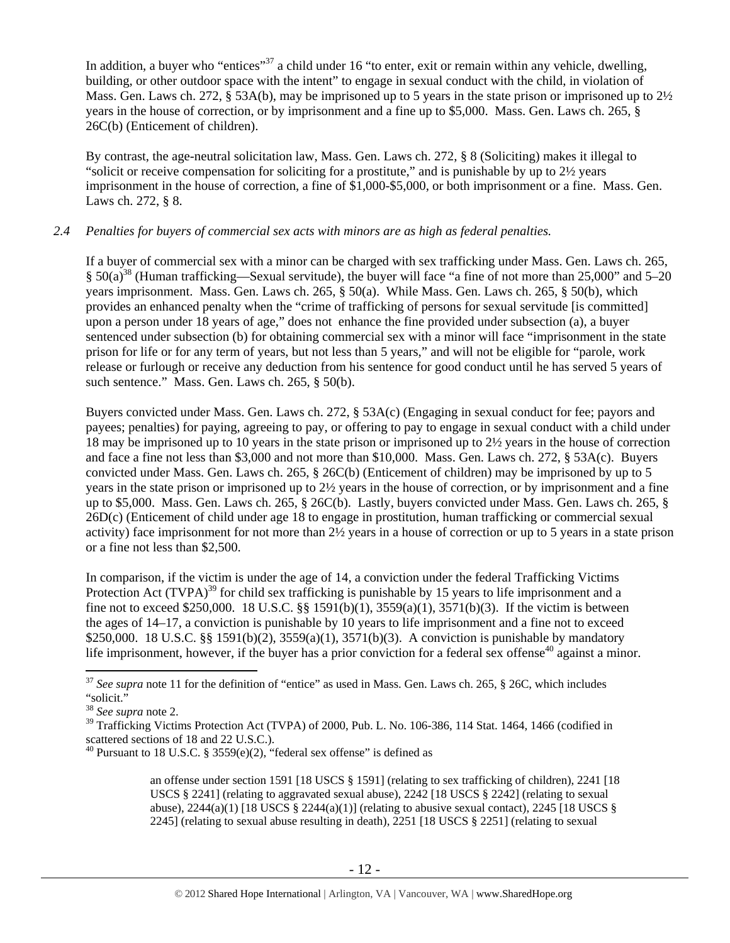In addition, a buyer who "entices"<sup>37</sup> a child under 16 "to enter, exit or remain within any vehicle, dwelling, building, or other outdoor space with the intent" to engage in sexual conduct with the child, in violation of Mass. Gen. Laws ch. 272, § 53A(b), may be imprisoned up to 5 years in the state prison or imprisoned up to 2½ years in the house of correction, or by imprisonment and a fine up to \$5,000. Mass. Gen. Laws ch. 265, § 26C(b) (Enticement of children).

By contrast, the age-neutral solicitation law, Mass. Gen. Laws ch. 272, § 8 (Soliciting) makes it illegal to "solicit or receive compensation for soliciting for a prostitute," and is punishable by up to 2½ years imprisonment in the house of correction, a fine of \$1,000-\$5,000, or both imprisonment or a fine. Mass. Gen. Laws ch. 272, § 8.

### *2.4 Penalties for buyers of commercial sex acts with minors are as high as federal penalties.*

If a buyer of commercial sex with a minor can be charged with sex trafficking under Mass. Gen. Laws ch. 265, § 50(a)38 (Human trafficking—Sexual servitude), the buyer will face "a fine of not more than 25,000" and 5–20 years imprisonment. Mass. Gen. Laws ch. 265, § 50(a). While Mass. Gen. Laws ch. 265, § 50(b), which provides an enhanced penalty when the "crime of trafficking of persons for sexual servitude [is committed] upon a person under 18 years of age," does not enhance the fine provided under subsection (a), a buyer sentenced under subsection (b) for obtaining commercial sex with a minor will face "imprisonment in the state prison for life or for any term of years, but not less than 5 years," and will not be eligible for "parole, work release or furlough or receive any deduction from his sentence for good conduct until he has served 5 years of such sentence." Mass. Gen. Laws ch. 265, § 50(b).

Buyers convicted under Mass. Gen. Laws ch. 272, § 53A(c) (Engaging in sexual conduct for fee; payors and payees; penalties) for paying, agreeing to pay, or offering to pay to engage in sexual conduct with a child under 18 may be imprisoned up to 10 years in the state prison or imprisoned up to 2½ years in the house of correction and face a fine not less than \$3,000 and not more than \$10,000. Mass. Gen. Laws ch. 272, § 53A(c). Buyers convicted under Mass. Gen. Laws ch. 265, § 26C(b) (Enticement of children) may be imprisoned by up to 5 years in the state prison or imprisoned up to 2½ years in the house of correction, or by imprisonment and a fine up to \$5,000. Mass. Gen. Laws ch. 265, § 26C(b). Lastly, buyers convicted under Mass. Gen. Laws ch. 265, § 26D(c) (Enticement of child under age 18 to engage in prostitution, human trafficking or commercial sexual activity) face imprisonment for not more than 2½ years in a house of correction or up to 5 years in a state prison or a fine not less than \$2,500.

In comparison, if the victim is under the age of 14, a conviction under the federal Trafficking Victims Protection Act (TVPA)<sup>39</sup> for child sex trafficking is punishable by 15 years to life imprisonment and a fine not to exceed \$250,000. 18 U.S.C. §§ 1591(b)(1), 3559(a)(1), 3571(b)(3). If the victim is between the ages of 14–17, a conviction is punishable by 10 years to life imprisonment and a fine not to exceed \$250,000. 18 U.S.C. §§ 1591(b)(2), 3559(a)(1), 3571(b)(3). A conviction is punishable by mandatory life imprisonment, however, if the buyer has a prior conviction for a federal sex offense<sup>40</sup> against a minor.

 $\overline{a}$ 

an offense under section 1591 [18 USCS § 1591] (relating to sex trafficking of children), 2241 [18 USCS § 2241] (relating to aggravated sexual abuse), 2242 [18 USCS § 2242] (relating to sexual abuse),  $2244(a)(1)$  [18 USCS §  $2244(a)(1)$ ] (relating to abusive sexual contact),  $2245$  [18 USCS § 2245] (relating to sexual abuse resulting in death), 2251 [18 USCS § 2251] (relating to sexual

<sup>&</sup>lt;sup>37</sup> See supra note 11 for the definition of "entice" as used in Mass. Gen. Laws ch. 265, § 26C, which includes "solicit."

<sup>38</sup> *See supra* note 2.

<sup>&</sup>lt;sup>39</sup> Trafficking Victims Protection Act (TVPA) of 2000, Pub. L. No. 106-386, 114 Stat. 1464, 1466 (codified in scattered sections of 18 and 22 U.S.C.).

<sup>&</sup>lt;sup>40</sup> Pursuant to 18 U.S.C. § 3559 $(e)(2)$ , "federal sex offense" is defined as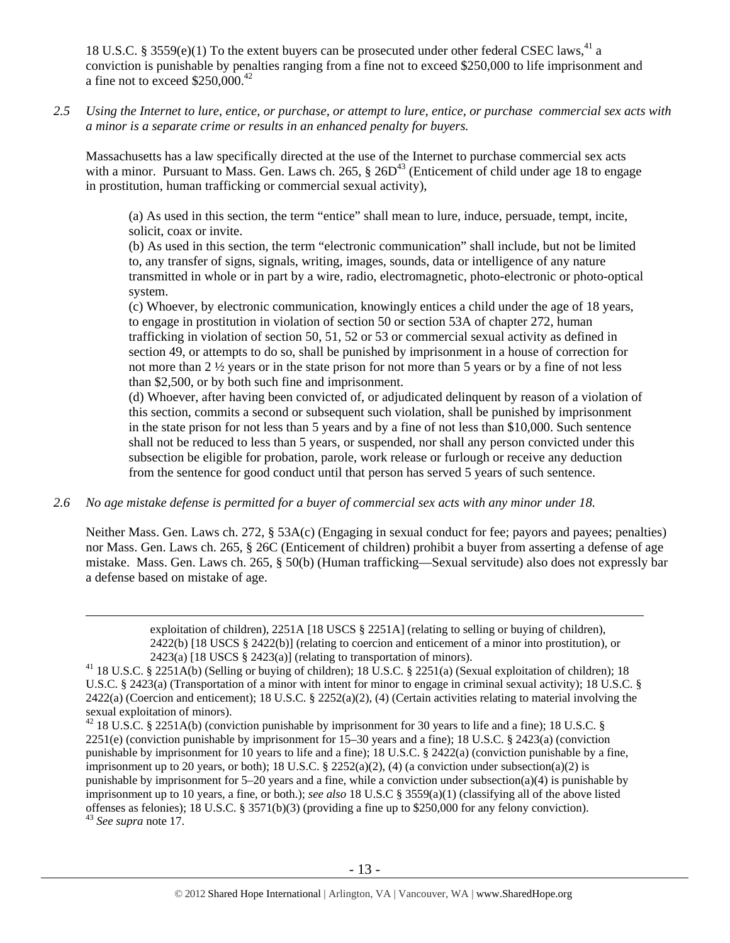18 U.S.C. § 3559 $(e)(1)$  To the extent buyers can be prosecuted under other federal CSEC laws,<sup>41</sup> a conviction is punishable by penalties ranging from a fine not to exceed \$250,000 to life imprisonment and a fine not to exceed  $$250,000.<sup>42</sup>$ 

*2.5 Using the Internet to lure, entice, or purchase, or attempt to lure, entice, or purchase commercial sex acts with a minor is a separate crime or results in an enhanced penalty for buyers.* 

Massachusetts has a law specifically directed at the use of the Internet to purchase commercial sex acts with a minor. Pursuant to Mass. Gen. Laws ch. 265,  $\S 26D<sup>43</sup>$  (Enticement of child under age 18 to engage in prostitution, human trafficking or commercial sexual activity),

(a) As used in this section, the term "entice" shall mean to lure, induce, persuade, tempt, incite, solicit, coax or invite.

(b) As used in this section, the term "electronic communication" shall include, but not be limited to, any transfer of signs, signals, writing, images, sounds, data or intelligence of any nature transmitted in whole or in part by a wire, radio, electromagnetic, photo-electronic or photo-optical system.

(c) Whoever, by electronic communication, knowingly entices a child under the age of 18 years, to engage in prostitution in violation of section 50 or section 53A of chapter 272, human trafficking in violation of section 50, 51, 52 or 53 or commercial sexual activity as defined in section 49, or attempts to do so, shall be punished by imprisonment in a house of correction for not more than 2 ½ years or in the state prison for not more than 5 years or by a fine of not less than \$2,500, or by both such fine and imprisonment.

(d) Whoever, after having been convicted of, or adjudicated delinquent by reason of a violation of this section, commits a second or subsequent such violation, shall be punished by imprisonment in the state prison for not less than 5 years and by a fine of not less than \$10,000. Such sentence shall not be reduced to less than 5 years, or suspended, nor shall any person convicted under this subsection be eligible for probation, parole, work release or furlough or receive any deduction from the sentence for good conduct until that person has served 5 years of such sentence.

*2.6 No age mistake defense is permitted for a buyer of commercial sex acts with any minor under 18.* 

Neither Mass. Gen. Laws ch. 272, § 53A(c) (Engaging in sexual conduct for fee; payors and payees; penalties) nor Mass. Gen. Laws ch. 265, § 26C (Enticement of children) prohibit a buyer from asserting a defense of age mistake. Mass. Gen. Laws ch. 265, § 50(b) (Human trafficking—Sexual servitude) also does not expressly bar a defense based on mistake of age.

> exploitation of children), 2251A [18 USCS § 2251A] (relating to selling or buying of children), 2422(b) [18 USCS § 2422(b)] (relating to coercion and enticement of a minor into prostitution), or

<sup>2423(</sup>a) [18 USCS § 2423(a)] (relating to transportation of minors).<br><sup>41</sup> 18 U.S.C. § 2251A(b) (Selling or buying of children); 18 U.S.C. § 2251(a) (Sexual exploitation of children); 18 U.S.C. § 2423(a) (Transportation of a minor with intent for minor to engage in criminal sexual activity); 18 U.S.C. §  $2422(a)$  (Coercion and enticement); 18 U.S.C. §  $2252(a)(2)$ , (4) (Certain activities relating to material involving the sexual exploitation of minors).

<sup>&</sup>lt;sup>42</sup> 18 U.S.C. § 2251A(b) (conviction punishable by imprisonment for 30 years to life and a fine); 18 U.S.C. § 2251(e) (conviction punishable by imprisonment for 15–30 years and a fine); 18 U.S.C. § 2423(a) (conviction punishable by imprisonment for 10 years to life and a fine); 18 U.S.C. § 2422(a) (conviction punishable by a fine, imprisonment up to 20 years, or both); 18 U.S.C. § 2252(a)(2), (4) (a conviction under subsection(a)(2) is punishable by imprisonment for  $5-20$  years and a fine, while a conviction under subsection(a)(4) is punishable by imprisonment up to 10 years, a fine, or both.); *see also* 18 U.S.C § 3559(a)(1) (classifying all of the above listed offenses as felonies); 18 U.S.C. § 3571(b)(3) (providing a fine up to \$250,000 for any felony conviction). <sup>43</sup> *See supra* note 17.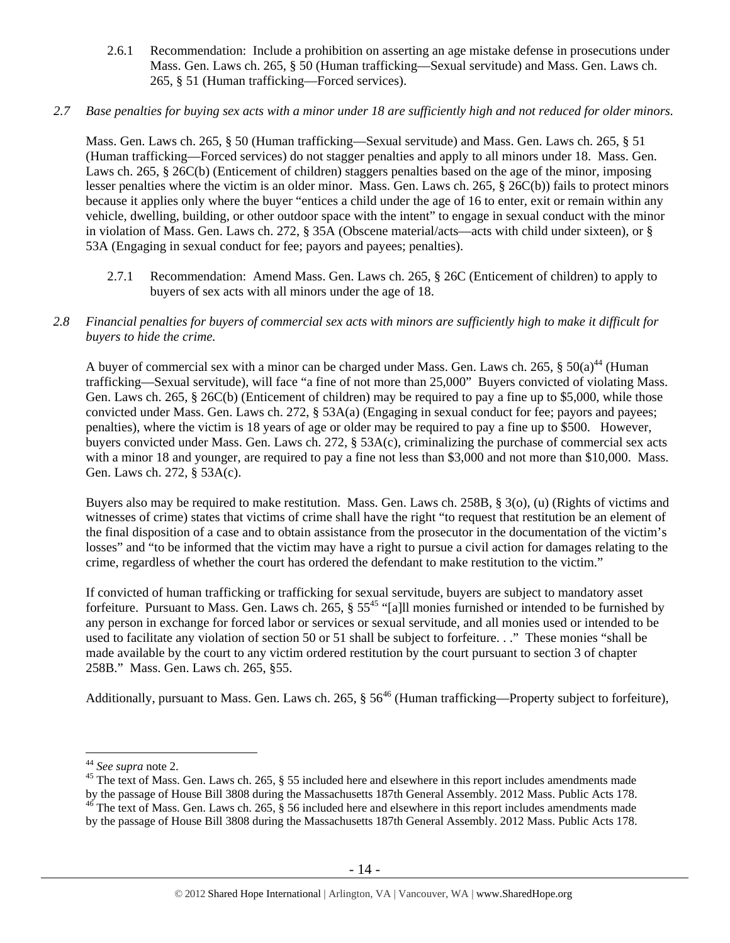2.6.1 Recommendation: Include a prohibition on asserting an age mistake defense in prosecutions under Mass. Gen. Laws ch. 265, § 50 (Human trafficking—Sexual servitude) and Mass. Gen. Laws ch. 265, § 51 (Human trafficking—Forced services).

## *2.7 Base penalties for buying sex acts with a minor under 18 are sufficiently high and not reduced for older minors.*

Mass. Gen. Laws ch. 265, § 50 (Human trafficking—Sexual servitude) and Mass. Gen. Laws ch. 265, § 51 (Human trafficking—Forced services) do not stagger penalties and apply to all minors under 18. Mass. Gen. Laws ch. 265, § 26C(b) (Enticement of children) staggers penalties based on the age of the minor, imposing lesser penalties where the victim is an older minor. Mass. Gen. Laws ch. 265, § 26C(b)) fails to protect minors because it applies only where the buyer "entices a child under the age of 16 to enter, exit or remain within any vehicle, dwelling, building, or other outdoor space with the intent" to engage in sexual conduct with the minor in violation of Mass. Gen. Laws ch. 272, § 35A (Obscene material/acts—acts with child under sixteen), or § 53A (Engaging in sexual conduct for fee; payors and payees; penalties).

2.7.1 Recommendation: Amend Mass. Gen. Laws ch. 265, § 26C (Enticement of children) to apply to buyers of sex acts with all minors under the age of 18.

## *2.8 Financial penalties for buyers of commercial sex acts with minors are sufficiently high to make it difficult for buyers to hide the crime.*

A buyer of commercial sex with a minor can be charged under Mass. Gen. Laws ch. 265,  $\S 50(a)^{44}$  (Human trafficking—Sexual servitude), will face "a fine of not more than 25,000" Buyers convicted of violating Mass. Gen. Laws ch. 265, § 26C(b) (Enticement of children) may be required to pay a fine up to \$5,000, while those convicted under Mass. Gen. Laws ch. 272, § 53A(a) (Engaging in sexual conduct for fee; payors and payees; penalties), where the victim is 18 years of age or older may be required to pay a fine up to \$500. However, buyers convicted under Mass. Gen. Laws ch. 272, § 53A(c), criminalizing the purchase of commercial sex acts with a minor 18 and younger, are required to pay a fine not less than \$3,000 and not more than \$10,000. Mass. Gen. Laws ch. 272, § 53A(c).

Buyers also may be required to make restitution. Mass. Gen. Laws ch. 258B, § 3(o), (u) (Rights of victims and witnesses of crime) states that victims of crime shall have the right "to request that restitution be an element of the final disposition of a case and to obtain assistance from the prosecutor in the documentation of the victim's losses" and "to be informed that the victim may have a right to pursue a civil action for damages relating to the crime, regardless of whether the court has ordered the defendant to make restitution to the victim."

If convicted of human trafficking or trafficking for sexual servitude, buyers are subject to mandatory asset forfeiture. Pursuant to Mass. Gen. Laws ch. 265,  $\S 55^{45}$  "[a]ll monies furnished or intended to be furnished by any person in exchange for forced labor or services or sexual servitude, and all monies used or intended to be used to facilitate any violation of section 50 or 51 shall be subject to forfeiture. . ." These monies "shall be made available by the court to any victim ordered restitution by the court pursuant to section 3 of chapter 258B." Mass. Gen. Laws ch. 265, §55.

Additionally, pursuant to Mass. Gen. Laws ch. 265, § 56<sup>46</sup> (Human trafficking—Property subject to forfeiture),

<sup>&</sup>lt;sup>44</sup> See supra note 2.

<sup>&</sup>lt;sup>45</sup> The text of Mass. Gen. Laws ch. 265, § 55 included here and elsewhere in this report includes amendments made by the passage of House Bill 3808 during the Massachusetts 187th General Assembly. 2012 Mass. Public Acts 178. 46 The text of Mass. Gen. Laws ch. 265, § 56 included here and elsewhere in this report includes amendments made

by the passage of House Bill 3808 during the Massachusetts 187th General Assembly. 2012 Mass. Public Acts 178.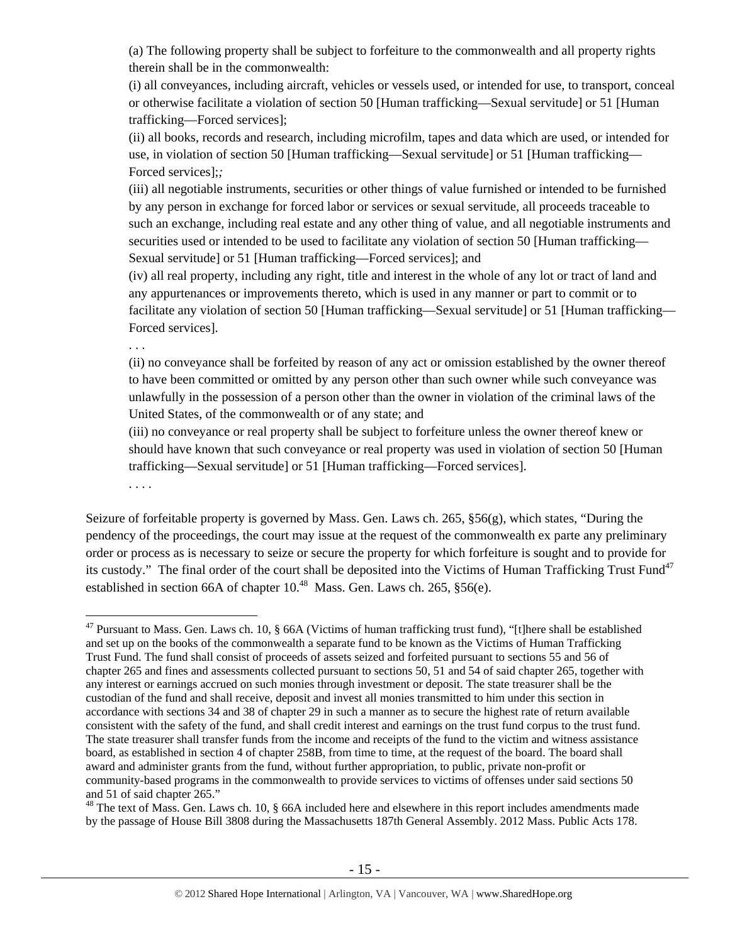(a) The following property shall be subject to forfeiture to the commonwealth and all property rights therein shall be in the commonwealth:

(i) all conveyances, including aircraft, vehicles or vessels used, or intended for use, to transport, conceal or otherwise facilitate a violation of section 50 [Human trafficking—Sexual servitude] or 51 [Human trafficking—Forced services];

(ii) all books, records and research, including microfilm, tapes and data which are used, or intended for use, in violation of section 50 [Human trafficking—Sexual servitude] or 51 [Human trafficking— Forced services];*;* 

(iii) all negotiable instruments, securities or other things of value furnished or intended to be furnished by any person in exchange for forced labor or services or sexual servitude, all proceeds traceable to such an exchange, including real estate and any other thing of value, and all negotiable instruments and securities used or intended to be used to facilitate any violation of section 50 [Human trafficking— Sexual servitude] or 51 [Human trafficking—Forced services]; and

(iv) all real property, including any right, title and interest in the whole of any lot or tract of land and any appurtenances or improvements thereto, which is used in any manner or part to commit or to facilitate any violation of section 50 [Human trafficking—Sexual servitude] or 51 [Human trafficking— Forced services].

. . .

(ii) no conveyance shall be forfeited by reason of any act or omission established by the owner thereof to have been committed or omitted by any person other than such owner while such conveyance was unlawfully in the possession of a person other than the owner in violation of the criminal laws of the United States, of the commonwealth or of any state; and

(iii) no conveyance or real property shall be subject to forfeiture unless the owner thereof knew or should have known that such conveyance or real property was used in violation of section 50 [Human trafficking—Sexual servitude] or 51 [Human trafficking—Forced services].

. . . .

 $\overline{a}$ 

Seizure of forfeitable property is governed by Mass. Gen. Laws ch. 265, §56(g), which states, "During the pendency of the proceedings, the court may issue at the request of the commonwealth ex parte any preliminary order or process as is necessary to seize or secure the property for which forfeiture is sought and to provide for its custody." The final order of the court shall be deposited into the Victims of Human Trafficking Trust Fund $47$ established in section 66A of chapter  $10^{48}$  Mass. Gen. Laws ch. 265, §56(e).

 $47$  Pursuant to Mass. Gen. Laws ch. 10, § 66A (Victims of human trafficking trust fund), "[t]here shall be established and set up on the books of the commonwealth a separate fund to be known as the Victims of Human Trafficking Trust Fund. The fund shall consist of proceeds of assets seized and forfeited pursuant to sections 55 and 56 of chapter 265 and fines and assessments collected pursuant to sections 50, 51 and 54 of said chapter 265, together with any interest or earnings accrued on such monies through investment or deposit. The state treasurer shall be the custodian of the fund and shall receive, deposit and invest all monies transmitted to him under this section in accordance with sections 34 and 38 of chapter 29 in such a manner as to secure the highest rate of return available consistent with the safety of the fund, and shall credit interest and earnings on the trust fund corpus to the trust fund. The state treasurer shall transfer funds from the income and receipts of the fund to the victim and witness assistance board, as established in section 4 of chapter 258B, from time to time, at the request of the board. The board shall award and administer grants from the fund, without further appropriation, to public, private non-profit or community-based programs in the commonwealth to provide services to victims of offenses under said sections 50 and 51 of said chapter 265."

<sup>&</sup>lt;sup>48</sup> The text of Mass. Gen. Laws ch. 10, § 66A included here and elsewhere in this report includes amendments made by the passage of House Bill 3808 during the Massachusetts 187th General Assembly. 2012 Mass. Public Acts 178.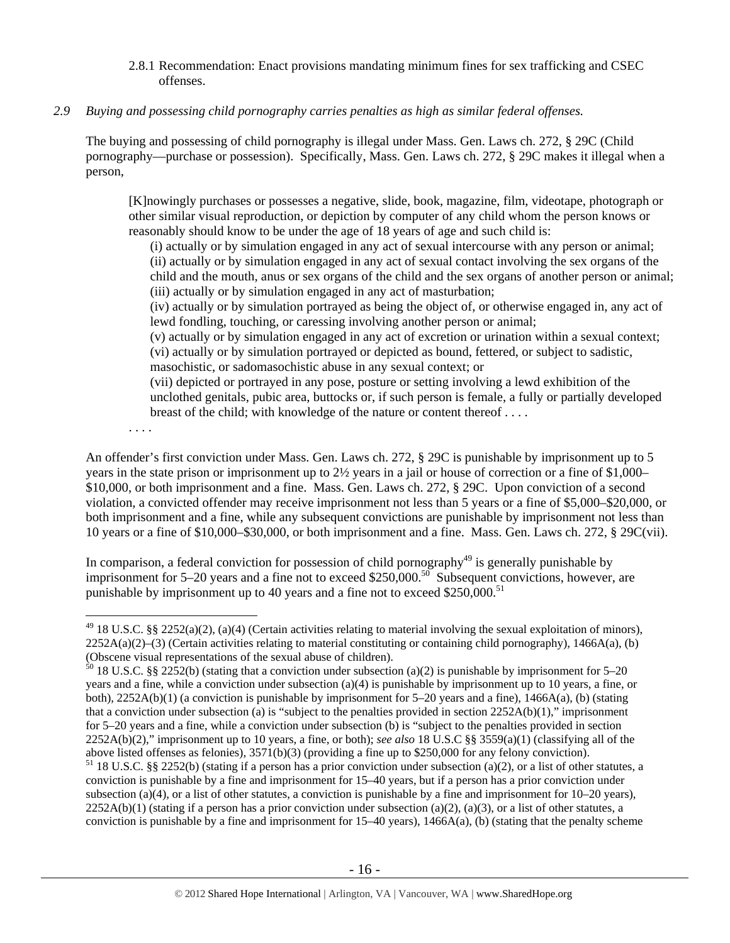#### 2.8.1 Recommendation: Enact provisions mandating minimum fines for sex trafficking and CSEC offenses.

### *2.9 Buying and possessing child pornography carries penalties as high as similar federal offenses.*

The buying and possessing of child pornography is illegal under Mass. Gen. Laws ch. 272, § 29C (Child pornography—purchase or possession). Specifically, Mass. Gen. Laws ch. 272, § 29C makes it illegal when a person,

[K]nowingly purchases or possesses a negative, slide, book, magazine, film, videotape, photograph or other similar visual reproduction, or depiction by computer of any child whom the person knows or reasonably should know to be under the age of 18 years of age and such child is:

(i) actually or by simulation engaged in any act of sexual intercourse with any person or animal; (ii) actually or by simulation engaged in any act of sexual contact involving the sex organs of the child and the mouth, anus or sex organs of the child and the sex organs of another person or animal; (iii) actually or by simulation engaged in any act of masturbation;

(iv) actually or by simulation portrayed as being the object of, or otherwise engaged in, any act of lewd fondling, touching, or caressing involving another person or animal;

(v) actually or by simulation engaged in any act of excretion or urination within a sexual context; (vi) actually or by simulation portrayed or depicted as bound, fettered, or subject to sadistic, masochistic, or sadomasochistic abuse in any sexual context; or

(vii) depicted or portrayed in any pose, posture or setting involving a lewd exhibition of the unclothed genitals, pubic area, buttocks or, if such person is female, a fully or partially developed breast of the child; with knowledge of the nature or content thereof . . . .

. . . .

 $\overline{a}$ 

An offender's first conviction under Mass. Gen. Laws ch. 272, § 29C is punishable by imprisonment up to 5 years in the state prison or imprisonment up to 2½ years in a jail or house of correction or a fine of \$1,000– \$10,000, or both imprisonment and a fine. Mass. Gen. Laws ch. 272, § 29C. Upon conviction of a second violation, a convicted offender may receive imprisonment not less than 5 years or a fine of \$5,000–\$20,000, or both imprisonment and a fine, while any subsequent convictions are punishable by imprisonment not less than 10 years or a fine of \$10,000–\$30,000, or both imprisonment and a fine. Mass. Gen. Laws ch. 272, § 29C(vii).

In comparison, a federal conviction for possession of child pornography $49$  is generally punishable by imprisonment for  $5-20$  years and a fine not to exceed \$250,000.<sup>50</sup> Subsequent convictions, however, are punishable by imprisonment up to 40 years and a fine not to exceed  $$250,000$ .<sup>51</sup>

 $49$  18 U.S.C. §§ 2252(a)(2), (a)(4) (Certain activities relating to material involving the sexual exploitation of minors), 2252A(a)(2)–(3) (Certain activities relating to material constituting or containing child pornography), 1466A(a), (b) (Obscene visual representations of the sexual abuse of children).

 $50$  18 U.S.C. §§ 2252(b) (stating that a conviction under subsection (a)(2) is punishable by imprisonment for 5–20 years and a fine, while a conviction under subsection (a)(4) is punishable by imprisonment up to 10 years, a fine, or both),  $2252A(b)(1)$  (a conviction is punishable by imprisonment for 5–20 years and a fine),  $1466A(a)$ , (b) (stating that a conviction under subsection (a) is "subject to the penalties provided in section  $2252A(b)(1)$ ," imprisonment for 5–20 years and a fine, while a conviction under subsection (b) is "subject to the penalties provided in section 2252A(b)(2)," imprisonment up to 10 years, a fine, or both); *see also* 18 U.S.C §§ 3559(a)(1) (classifying all of the above listed offenses as felonies), 3571(b)(3) (providing a fine up to \$250,000 for any felony conviction).

 $51$  18 U.S.C. §§ 2252(b) (stating if a person has a prior conviction under subsection (a)(2), or a list of other statutes, a conviction is punishable by a fine and imprisonment for 15–40 years, but if a person has a prior conviction under subsection (a)(4), or a list of other statutes, a conviction is punishable by a fine and imprisonment for  $10-20$  years),  $2252A(b)(1)$  (stating if a person has a prior conviction under subsection (a)(2), (a)(3), or a list of other statutes, a conviction is punishable by a fine and imprisonment for  $15-40$  years),  $1466A(a)$ , (b) (stating that the penalty scheme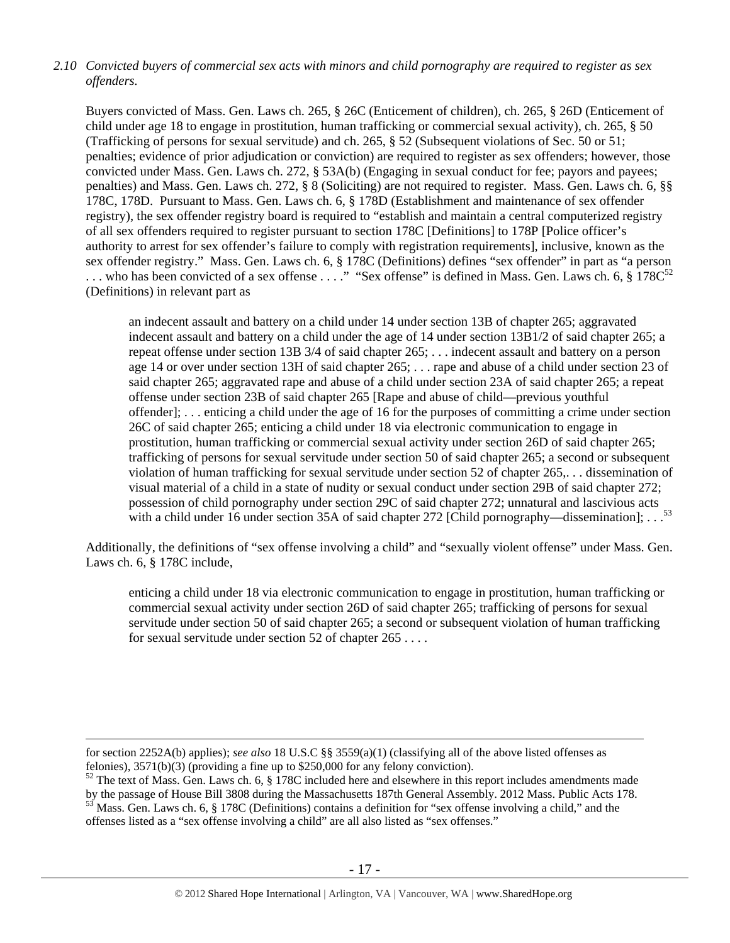# *2.10 Convicted buyers of commercial sex acts with minors and child pornography are required to register as sex offenders.*

Buyers convicted of Mass. Gen. Laws ch. 265, § 26C (Enticement of children), ch. 265, § 26D (Enticement of child under age 18 to engage in prostitution, human trafficking or commercial sexual activity), ch. 265, § 50 (Trafficking of persons for sexual servitude) and ch. 265, § 52 (Subsequent violations of Sec. 50 or 51; penalties; evidence of prior adjudication or conviction) are required to register as sex offenders; however, those convicted under Mass. Gen. Laws ch. 272, § 53A(b) (Engaging in sexual conduct for fee; payors and payees; penalties) and Mass. Gen. Laws ch. 272, § 8 (Soliciting) are not required to register. Mass. Gen. Laws ch. 6, §§ 178C, 178D. Pursuant to Mass. Gen. Laws ch. 6, § 178D (Establishment and maintenance of sex offender registry), the sex offender registry board is required to "establish and maintain a central computerized registry of all sex offenders required to register pursuant to section 178C [Definitions] to 178P [Police officer's authority to arrest for sex offender's failure to comply with registration requirements], inclusive, known as the sex offender registry." Mass. Gen. Laws ch. 6, § 178C (Definitions) defines "sex offender" in part as "a person ... who has been convicted of a sex offense ...." "Sex offense" is defined in Mass. Gen. Laws ch. 6,  $\S$  178C<sup>52</sup> (Definitions) in relevant part as

an indecent assault and battery on a child under 14 under section 13B of chapter 265; aggravated indecent assault and battery on a child under the age of 14 under section 13B1/2 of said chapter 265; a repeat offense under section 13B 3/4 of said chapter 265; . . . indecent assault and battery on a person age 14 or over under section 13H of said chapter 265; . . . rape and abuse of a child under section 23 of said chapter 265; aggravated rape and abuse of a child under section 23A of said chapter 265; a repeat offense under section 23B of said chapter 265 [Rape and abuse of child—previous youthful offender]; . . . enticing a child under the age of 16 for the purposes of committing a crime under section 26C of said chapter 265; enticing a child under 18 via electronic communication to engage in prostitution, human trafficking or commercial sexual activity under section 26D of said chapter 265; trafficking of persons for sexual servitude under section 50 of said chapter 265; a second or subsequent violation of human trafficking for sexual servitude under section 52 of chapter 265,. . . dissemination of visual material of a child in a state of nudity or sexual conduct under section 29B of said chapter 272; possession of child pornography under section 29C of said chapter 272; unnatural and lascivious acts with a child under 16 under section 35A of said chapter 272 [Child pornography—dissemination]; . . .<sup>53</sup>

Additionally, the definitions of "sex offense involving a child" and "sexually violent offense" under Mass. Gen. Laws ch. 6, § 178C include,

enticing a child under 18 via electronic communication to engage in prostitution, human trafficking or commercial sexual activity under section 26D of said chapter 265; trafficking of persons for sexual servitude under section 50 of said chapter 265; a second or subsequent violation of human trafficking for sexual servitude under section 52 of chapter 265 . . . .

for section 2252A(b) applies); *see also* 18 U.S.C §§ 3559(a)(1) (classifying all of the above listed offenses as felonies), 3571(b)(3) (providing a fine up to \$250,000 for any felony conviction).

 $52$  The text of Mass. Gen. Laws ch. 6, § 178C included here and elsewhere in this report includes amendments made<br>by the passage of House Bill 3808 during the Massachusetts 187th General Assembly. 2012 Mass. Public Acts  $53$  Mass. Gen. Laws ch. 6, § 178C (Definitions) contains a definition for "sex offense involving a child," and the offenses listed as a "sex offense involving a child" are all also listed as "sex offenses."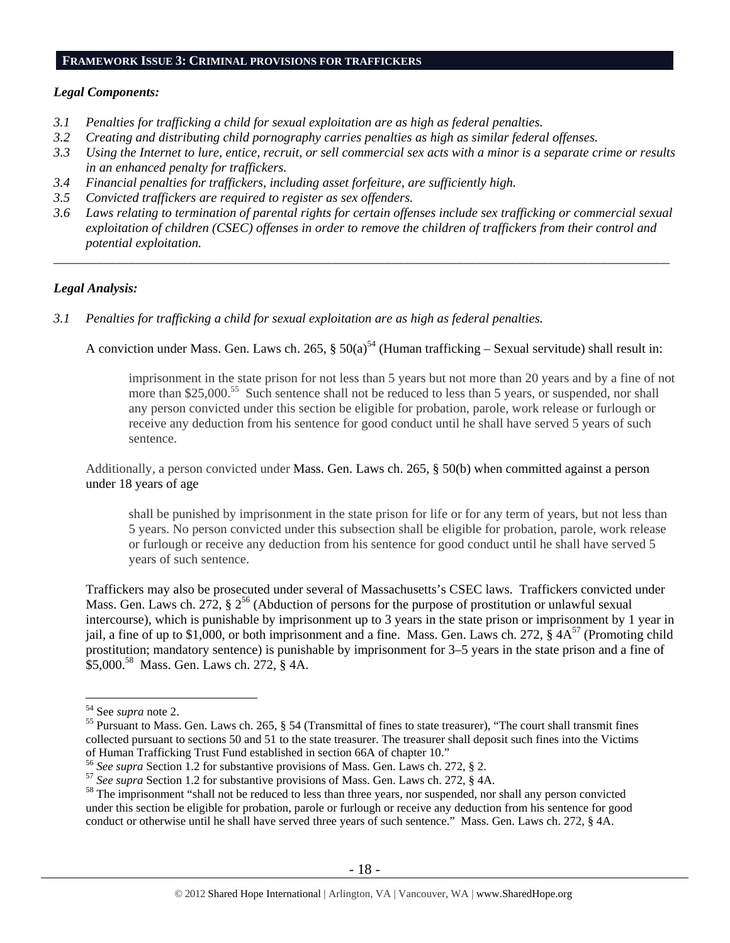#### **FRAMEWORK ISSUE 3: CRIMINAL PROVISIONS FOR TRAFFICKERS**

#### *Legal Components:*

- *3.1 Penalties for trafficking a child for sexual exploitation are as high as federal penalties.*
- *3.2 Creating and distributing child pornography carries penalties as high as similar federal offenses.*
- *3.3 Using the Internet to lure, entice, recruit, or sell commercial sex acts with a minor is a separate crime or results in an enhanced penalty for traffickers.*
- *3.4 Financial penalties for traffickers, including asset forfeiture, are sufficiently high.*
- *3.5 Convicted traffickers are required to register as sex offenders.*
- *3.6 Laws relating to termination of parental rights for certain offenses include sex trafficking or commercial sexual exploitation of children (CSEC) offenses in order to remove the children of traffickers from their control and potential exploitation.*

*\_\_\_\_\_\_\_\_\_\_\_\_\_\_\_\_\_\_\_\_\_\_\_\_\_\_\_\_\_\_\_\_\_\_\_\_\_\_\_\_\_\_\_\_\_\_\_\_\_\_\_\_\_\_\_\_\_\_\_\_\_\_\_\_\_\_\_\_\_\_\_\_\_\_\_\_\_\_\_\_\_\_\_\_\_\_\_\_\_\_\_\_\_\_* 

## *Legal Analysis:*

*3.1 Penalties for trafficking a child for sexual exploitation are as high as federal penalties.* 

A conviction under Mass. Gen. Laws ch. 265,  $\S 50(a)^{54}$  (Human trafficking – Sexual servitude) shall result in:

imprisonment in the state prison for not less than 5 years but not more than 20 years and by a fine of not more than \$25,000.<sup>55</sup> Such sentence shall not be reduced to less than 5 years, or suspended, nor shall any person convicted under this section be eligible for probation, parole, work release or furlough or receive any deduction from his sentence for good conduct until he shall have served 5 years of such sentence.

Additionally, a person convicted under Mass. Gen. Laws ch. 265, § 50(b) when committed against a person under 18 years of age

shall be punished by imprisonment in the state prison for life or for any term of years, but not less than 5 years. No person convicted under this subsection shall be eligible for probation, parole, work release or furlough or receive any deduction from his sentence for good conduct until he shall have served 5 years of such sentence.

Traffickers may also be prosecuted under several of Massachusetts's CSEC laws. Traffickers convicted under Mass. Gen. Laws ch. 272,  $\S 2^{56}$  (Abduction of persons for the purpose of prostitution or unlawful sexual intercourse), which is punishable by imprisonment up to 3 years in the state prison or imprisonment by 1 year in jail, a fine of up to \$1,000, or both imprisonment and a fine. Mass. Gen. Laws ch. 272,  $\S 4A^{57}$  (Promoting child prostitution; mandatory sentence) is punishable by imprisonment for 3–5 years in the state prison and a fine of \$5,000.58 Mass. Gen. Laws ch. 272, § 4A.

<sup>&</sup>lt;sup>54</sup> See *supra* note 2.

<sup>&</sup>lt;sup>55</sup> Pursuant to Mass. Gen. Laws ch. 265, § 54 (Transmittal of fines to state treasurer), "The court shall transmit fines collected pursuant to sections 50 and 51 to the state treasurer. The treasurer shall deposit such fines into the Victims of Human Trafficking Trust Fund established in section 66A of chapter 10."<br><sup>56</sup> See supra Section 1.2 for substantive provisions of Mass. Gen. Laws ch. 272, § 2.

<sup>&</sup>lt;sup>57</sup> See supra Section 1.2 for substantive provisions of Mass. Gen. Laws ch. 272,  $\tilde{\S}$  4A.<br><sup>58</sup> The imprisonment "shall not be reduced to less than three years, nor suspended, nor shall any person convicted under this section be eligible for probation, parole or furlough or receive any deduction from his sentence for good conduct or otherwise until he shall have served three years of such sentence." Mass. Gen. Laws ch. 272, § 4A.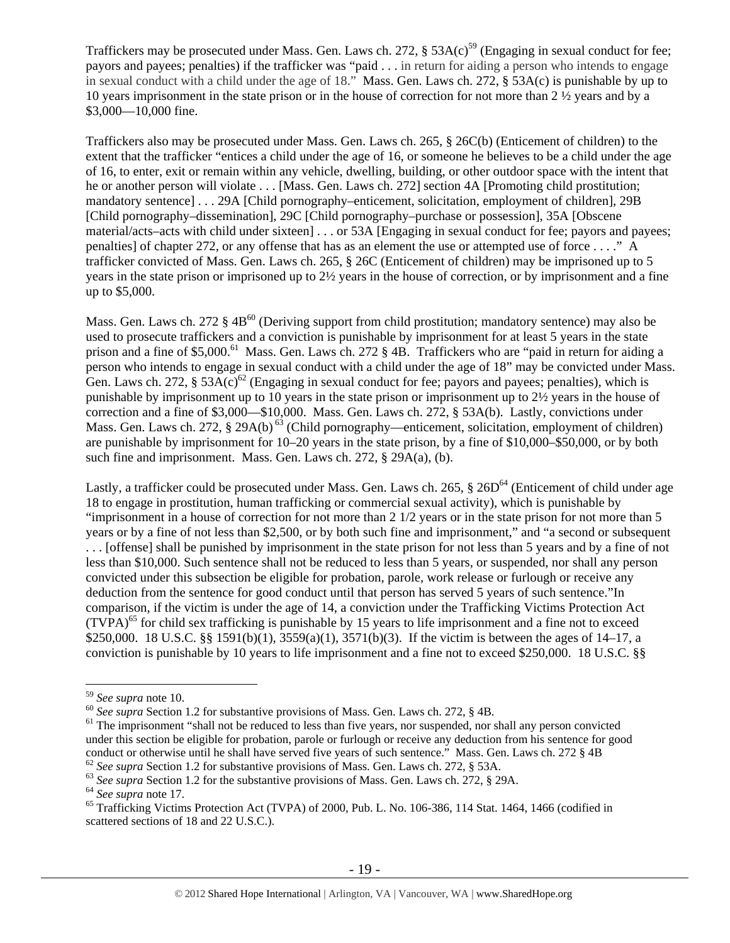Traffickers may be prosecuted under Mass. Gen. Laws ch. 272,  $\S$  53A(c)<sup>59</sup> (Engaging in sexual conduct for fee; payors and payees; penalties) if the trafficker was "paid . . . in return for aiding a person who intends to engage in sexual conduct with a child under the age of 18." Mass. Gen. Laws ch. 272, § 53A(c) is punishable by up to 10 years imprisonment in the state prison or in the house of correction for not more than 2 ½ years and by a \$3,000—10,000 fine.

Traffickers also may be prosecuted under Mass. Gen. Laws ch. 265, § 26C(b) (Enticement of children) to the extent that the trafficker "entices a child under the age of 16, or someone he believes to be a child under the age of 16, to enter, exit or remain within any vehicle, dwelling, building, or other outdoor space with the intent that he or another person will violate . . . [Mass. Gen. Laws ch. 272] section 4A [Promoting child prostitution; mandatory sentence] . . . 29A [Child pornography–enticement, solicitation, employment of children], 29B [Child pornography–dissemination], 29C [Child pornography–purchase or possession], 35A [Obscene material/acts–acts with child under sixteen] . . . or 53A [Engaging in sexual conduct for fee; payors and payees; penalties] of chapter 272, or any offense that has as an element the use or attempted use of force . . . ." A trafficker convicted of Mass. Gen. Laws ch. 265, § 26C (Enticement of children) may be imprisoned up to 5 years in the state prison or imprisoned up to 2½ years in the house of correction, or by imprisonment and a fine up to \$5,000.

Mass. Gen. Laws ch. 272  $\S$  4B<sup>60</sup> (Deriving support from child prostitution; mandatory sentence) may also be used to prosecute traffickers and a conviction is punishable by imprisonment for at least 5 years in the state prison and a fine of \$5,000.<sup>61</sup> Mass. Gen. Laws ch. 272 § 4B. Traffickers who are "paid in return for aiding a person who intends to engage in sexual conduct with a child under the age of 18" may be convicted under Mass. Gen. Laws ch. 272, § 53A(c)<sup>62</sup> (Engaging in sexual conduct for fee; payors and payees; penalties), which is punishable by imprisonment up to 10 years in the state prison or imprisonment up to 2½ years in the house of correction and a fine of \$3,000—\$10,000. Mass. Gen. Laws ch. 272, § 53A(b). Lastly, convictions under Mass. Gen. Laws ch. 272, § 29A(b)<sup>63</sup> (Child pornography—enticement, solicitation, employment of children) are punishable by imprisonment for 10–20 years in the state prison, by a fine of \$10,000–\$50,000, or by both such fine and imprisonment. Mass. Gen. Laws ch. 272, § 29A(a), (b).

Lastly, a trafficker could be prosecuted under Mass. Gen. Laws ch. 265,  $\S$  26D<sup>64</sup> (Enticement of child under age 18 to engage in prostitution, human trafficking or commercial sexual activity), which is punishable by "imprisonment in a house of correction for not more than 2 1/2 years or in the state prison for not more than 5 years or by a fine of not less than \$2,500, or by both such fine and imprisonment," and "a second or subsequent . . . [offense] shall be punished by imprisonment in the state prison for not less than 5 years and by a fine of not less than \$10,000. Such sentence shall not be reduced to less than 5 years, or suspended, nor shall any person convicted under this subsection be eligible for probation, parole, work release or furlough or receive any deduction from the sentence for good conduct until that person has served 5 years of such sentence."In comparison, if the victim is under the age of 14, a conviction under the Trafficking Victims Protection Act  $(TVPA)<sup>65</sup>$  for child sex trafficking is punishable by 15 years to life imprisonment and a fine not to exceed \$250,000. 18 U.S.C. §§ 1591(b)(1), 3559(a)(1), 3571(b)(3). If the victim is between the ages of 14–17, a conviction is punishable by 10 years to life imprisonment and a fine not to exceed \$250,000. 18 U.S.C. §§

<sup>&</sup>lt;sup>59</sup> See supra note 10.

 $\frac{60}{2}$  See supra Section 1.2 for substantive provisions of Mass. Gen. Laws ch. 272, § 4B.<br><sup>61</sup> The imprisonment "shall not be reduced to less than five years, nor suspended, nor shall any person convicted under this section be eligible for probation, parole or furlough or receive any deduction from his sentence for good conduct or otherwise until he shall have served five years of such sentence." Mass. Gen. Laws ch. 272 § 4B<br>
<sup>62</sup> See supra Section 1.2 for substantive provisions of Mass. Gen. Laws ch. 272, § 53A.<br>
<sup>63</sup> See supra Section

scattered sections of 18 and 22 U.S.C.).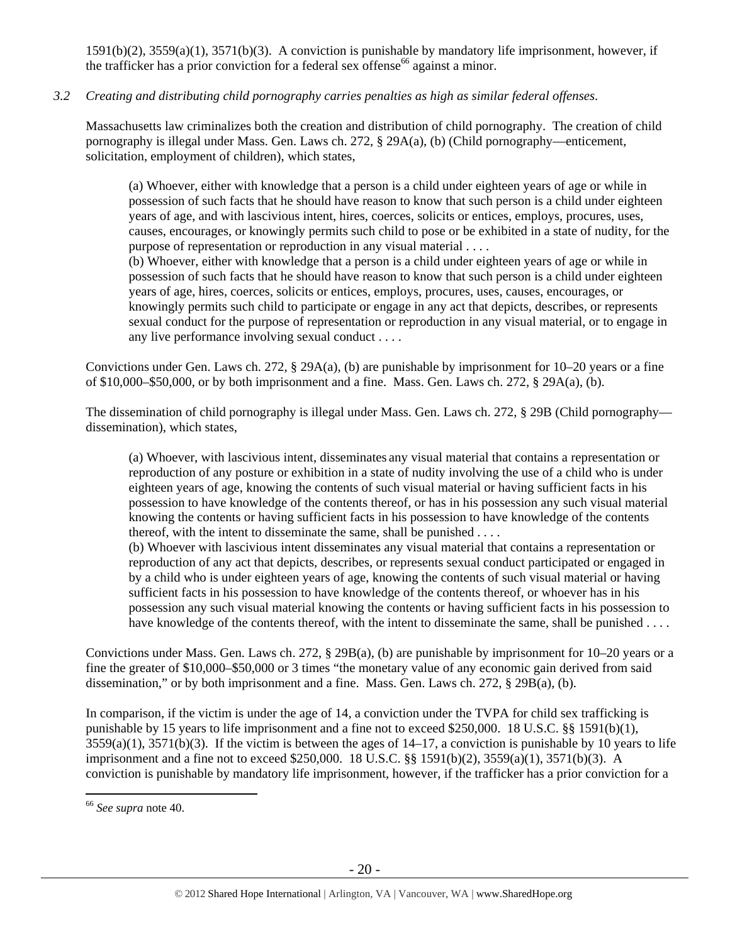1591(b)(2), 3559(a)(1), 3571(b)(3). A conviction is punishable by mandatory life imprisonment, however, if the trafficker has a prior conviction for a federal sex offense<sup>66</sup> against a minor.

# *3.2 Creating and distributing child pornography carries penalties as high as similar federal offenses*.

Massachusetts law criminalizes both the creation and distribution of child pornography. The creation of child pornography is illegal under Mass. Gen. Laws ch. 272, § 29A(a), (b) (Child pornography—enticement, solicitation, employment of children), which states,

(a) Whoever, either with knowledge that a person is a child under eighteen years of age or while in possession of such facts that he should have reason to know that such person is a child under eighteen years of age, and with lascivious intent, hires, coerces, solicits or entices, employs, procures, uses, causes, encourages, or knowingly permits such child to pose or be exhibited in a state of nudity, for the purpose of representation or reproduction in any visual material . . . .

(b) Whoever, either with knowledge that a person is a child under eighteen years of age or while in possession of such facts that he should have reason to know that such person is a child under eighteen years of age, hires, coerces, solicits or entices, employs, procures, uses, causes, encourages, or knowingly permits such child to participate or engage in any act that depicts, describes, or represents sexual conduct for the purpose of representation or reproduction in any visual material, or to engage in any live performance involving sexual conduct . . . .

Convictions under Gen. Laws ch. 272, § 29A(a), (b) are punishable by imprisonment for 10–20 years or a fine of \$10,000–\$50,000, or by both imprisonment and a fine. Mass. Gen. Laws ch. 272, § 29A(a), (b).

The dissemination of child pornography is illegal under Mass. Gen. Laws ch. 272, § 29B (Child pornography dissemination), which states,

(a) Whoever, with lascivious intent, disseminates any visual material that contains a representation or reproduction of any posture or exhibition in a state of nudity involving the use of a child who is under eighteen years of age, knowing the contents of such visual material or having sufficient facts in his possession to have knowledge of the contents thereof, or has in his possession any such visual material knowing the contents or having sufficient facts in his possession to have knowledge of the contents thereof, with the intent to disseminate the same, shall be punished . . . .

(b) Whoever with lascivious intent disseminates any visual material that contains a representation or reproduction of any act that depicts, describes, or represents sexual conduct participated or engaged in by a child who is under eighteen years of age, knowing the contents of such visual material or having sufficient facts in his possession to have knowledge of the contents thereof, or whoever has in his possession any such visual material knowing the contents or having sufficient facts in his possession to have knowledge of the contents thereof, with the intent to disseminate the same, shall be punished . . . .

Convictions under Mass. Gen. Laws ch. 272, § 29B(a), (b) are punishable by imprisonment for 10–20 years or a fine the greater of \$10,000–\$50,000 or 3 times "the monetary value of any economic gain derived from said dissemination," or by both imprisonment and a fine. Mass. Gen. Laws ch. 272, § 29B(a), (b).

In comparison, if the victim is under the age of 14, a conviction under the TVPA for child sex trafficking is punishable by 15 years to life imprisonment and a fine not to exceed \$250,000. 18 U.S.C. §§ 1591(b)(1),  $3559(a)(1)$ ,  $3571(b)(3)$ . If the victim is between the ages of  $14-17$ , a conviction is punishable by 10 years to life imprisonment and a fine not to exceed \$250,000. 18 U.S.C. §§ 1591(b)(2), 3559(a)(1), 3571(b)(3). A conviction is punishable by mandatory life imprisonment, however, if the trafficker has a prior conviction for a

<sup>66</sup> *See supra* note 40.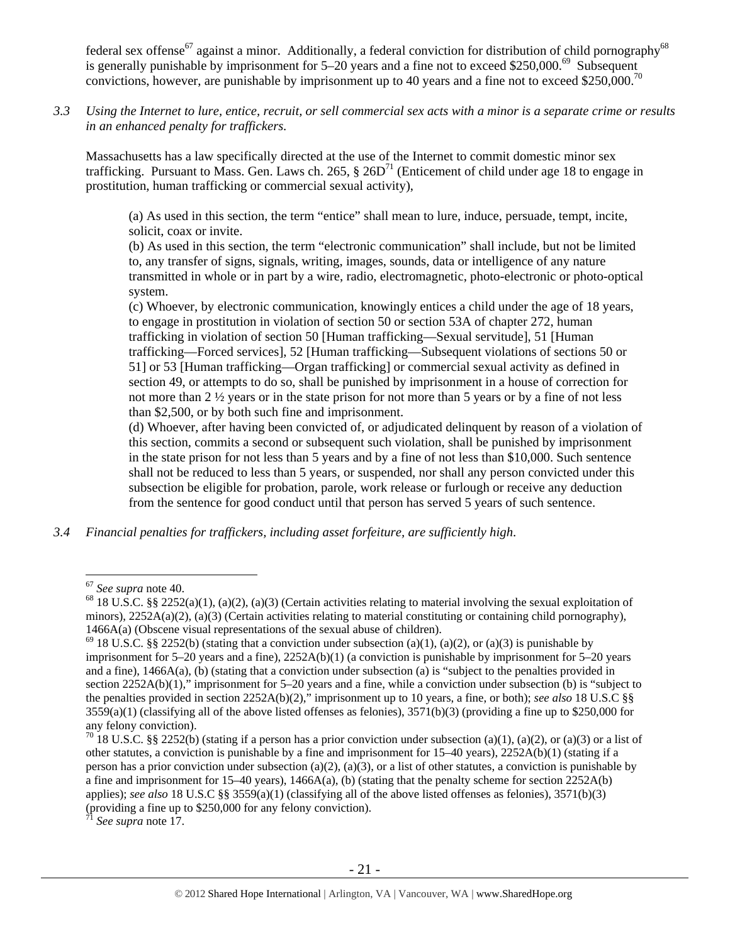federal sex offense<sup>67</sup> against a minor. Additionally, a federal conviction for distribution of child pornography<sup>68</sup> is generally punishable by imprisonment for  $5-20$  years and a fine not to exceed \$250,000.<sup>69</sup> Subsequent convictions, however, are punishable by imprisonment up to 40 years and a fine not to exceed \$250,000.<sup>70</sup>

*3.3 Using the Internet to lure, entice, recruit, or sell commercial sex acts with a minor is a separate crime or results in an enhanced penalty for traffickers.* 

Massachusetts has a law specifically directed at the use of the Internet to commit domestic minor sex trafficking. Pursuant to Mass. Gen. Laws ch. 265,  $\S 26D^{71}$  (Enticement of child under age 18 to engage in prostitution, human trafficking or commercial sexual activity),

(a) As used in this section, the term "entice" shall mean to lure, induce, persuade, tempt, incite, solicit, coax or invite.

(b) As used in this section, the term "electronic communication" shall include, but not be limited to, any transfer of signs, signals, writing, images, sounds, data or intelligence of any nature transmitted in whole or in part by a wire, radio, electromagnetic, photo-electronic or photo-optical system.

(c) Whoever, by electronic communication, knowingly entices a child under the age of 18 years, to engage in prostitution in violation of section 50 or section 53A of chapter 272, human trafficking in violation of section 50 [Human trafficking—Sexual servitude], 51 [Human trafficking—Forced services], 52 [Human trafficking—Subsequent violations of sections 50 or 51] or 53 [Human trafficking—Organ trafficking] or commercial sexual activity as defined in section 49, or attempts to do so, shall be punished by imprisonment in a house of correction for not more than 2 ½ years or in the state prison for not more than 5 years or by a fine of not less than \$2,500, or by both such fine and imprisonment.

(d) Whoever, after having been convicted of, or adjudicated delinquent by reason of a violation of this section, commits a second or subsequent such violation, shall be punished by imprisonment in the state prison for not less than 5 years and by a fine of not less than \$10,000. Such sentence shall not be reduced to less than 5 years, or suspended, nor shall any person convicted under this subsection be eligible for probation, parole, work release or furlough or receive any deduction from the sentence for good conduct until that person has served 5 years of such sentence.

*3.4 Financial penalties for traffickers, including asset forfeiture, are sufficiently high*.

 $\overline{a}$ 

See supra note 17.

<sup>&</sup>lt;sup>67</sup> See supra note 40.<br><sup>68</sup> 18 U.S.C. §§ 2252(a)(1), (a)(2), (a)(3) (Certain activities relating to material involving the sexual exploitation of minors),  $2252A(a)(2)$ ,  $(a)(3)$  (Certain activities relating to material constituting or containing child pornography), 1466A(a) (Obscene visual representations of the sexual abuse of children).<br><sup>69</sup> 18 U.S.C. §§ 2252(b) (stating that a conviction under subsection (a)(1), (a)(2), or (a)(3) is punishable by

imprisonment for 5–20 years and a fine), 2252A(b)(1) (a conviction is punishable by imprisonment for 5–20 years and a fine), 1466A(a), (b) (stating that a conviction under subsection (a) is "subject to the penalties provided in section 2252A(b)(1)," imprisonment for 5–20 years and a fine, while a conviction under subsection (b) is "subject to the penalties provided in section 2252A(b)(2)," imprisonment up to 10 years, a fine, or both); *see also* 18 U.S.C §§  $3559(a)(1)$  (classifying all of the above listed offenses as felonies),  $3571(b)(3)$  (providing a fine up to \$250,000 for any felony conviction).

<sup>&</sup>lt;sup>70</sup> 18 U.S.C. §§ 2252(b) (stating if a person has a prior conviction under subsection (a)(1), (a)(2), or (a)(3) or a list of other statutes, a conviction is punishable by a fine and imprisonment for 15–40 years), 2252A(b)(1) (stating if a person has a prior conviction under subsection (a)(2), (a)(3), or a list of other statutes, a conviction is punishable by a fine and imprisonment for 15–40 years), 1466A(a), (b) (stating that the penalty scheme for section 2252A(b) applies); *see also* 18 U.S.C §§ 3559(a)(1) (classifying all of the above listed offenses as felonies), 3571(b)(3) (providing a fine up to \$250,000 for any felony conviction).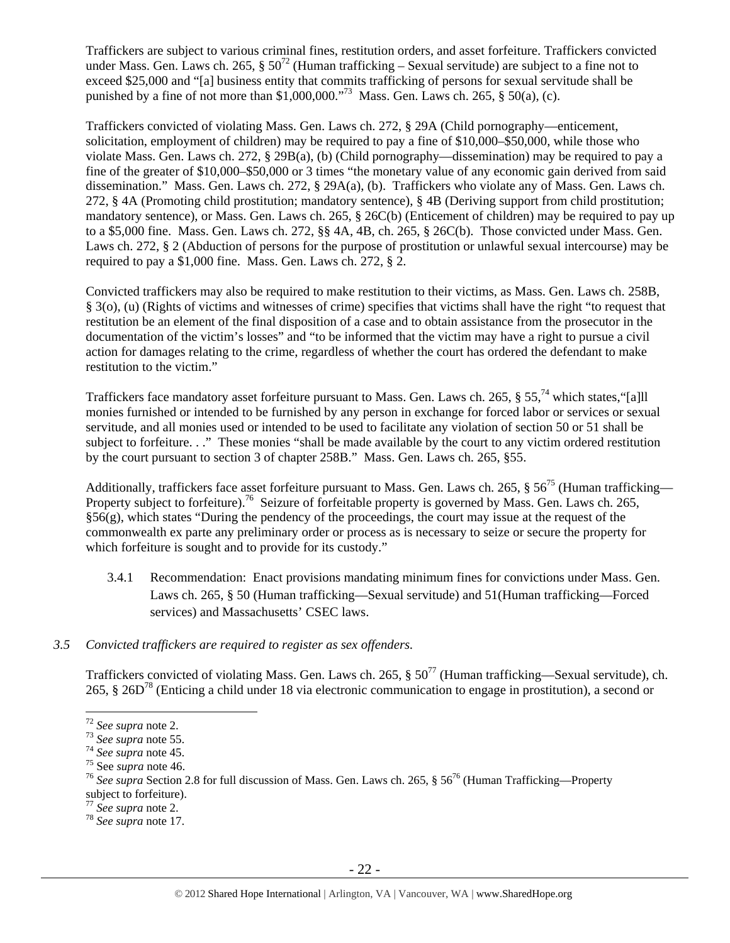Traffickers are subject to various criminal fines, restitution orders, and asset forfeiture. Traffickers convicted under Mass. Gen. Laws ch. 265,  $\S 50^{72}$  (Human trafficking – Sexual servitude) are subject to a fine not to exceed \$25,000 and "[a] business entity that commits trafficking of persons for sexual servitude shall be punished by a fine of not more than  $$1,000,000."$ <sup>73</sup> Mass. Gen. Laws ch. 265,  $§$  50(a), (c).

Traffickers convicted of violating Mass. Gen. Laws ch. 272, § 29A (Child pornography—enticement, solicitation, employment of children) may be required to pay a fine of \$10,000–\$50,000, while those who violate Mass. Gen. Laws ch. 272, § 29B(a), (b) (Child pornography—dissemination) may be required to pay a fine of the greater of \$10,000–\$50,000 or 3 times "the monetary value of any economic gain derived from said dissemination." Mass. Gen. Laws ch. 272, § 29A(a), (b). Traffickers who violate any of Mass. Gen. Laws ch. 272, § 4A (Promoting child prostitution; mandatory sentence), § 4B (Deriving support from child prostitution; mandatory sentence), or Mass. Gen. Laws ch. 265, § 26C(b) (Enticement of children) may be required to pay up to a \$5,000 fine. Mass. Gen. Laws ch. 272, §§ 4A, 4B, ch. 265, § 26C(b). Those convicted under Mass. Gen. Laws ch. 272, § 2 (Abduction of persons for the purpose of prostitution or unlawful sexual intercourse) may be required to pay a \$1,000 fine. Mass. Gen. Laws ch. 272, § 2.

Convicted traffickers may also be required to make restitution to their victims, as Mass. Gen. Laws ch. 258B, § 3(o), (u) (Rights of victims and witnesses of crime) specifies that victims shall have the right "to request that restitution be an element of the final disposition of a case and to obtain assistance from the prosecutor in the documentation of the victim's losses" and "to be informed that the victim may have a right to pursue a civil action for damages relating to the crime, regardless of whether the court has ordered the defendant to make restitution to the victim."

Traffickers face mandatory asset forfeiture pursuant to Mass. Gen. Laws ch. 265,  $\S 55$ ,  $74$  which states, "[a]] monies furnished or intended to be furnished by any person in exchange for forced labor or services or sexual servitude, and all monies used or intended to be used to facilitate any violation of section 50 or 51 shall be subject to forfeiture. . ." These monies "shall be made available by the court to any victim ordered restitution by the court pursuant to section 3 of chapter 258B." Mass. Gen. Laws ch. 265, §55.

Additionally, traffickers face asset forfeiture pursuant to Mass. Gen. Laws ch. 265,  $\S 56^{75}$  (Human trafficking— Property subject to forfeiture).<sup>76</sup> Seizure of forfeitable property is governed by Mass. Gen. Laws ch. 265,  $§56(g)$ , which states "During the pendency of the proceedings, the court may issue at the request of the commonwealth ex parte any preliminary order or process as is necessary to seize or secure the property for which forfeiture is sought and to provide for its custody."

3.4.1 Recommendation: Enact provisions mandating minimum fines for convictions under Mass. Gen. Laws ch. 265, § 50 (Human trafficking—Sexual servitude) and 51(Human trafficking—Forced services) and Massachusetts' CSEC laws.

### *3.5 Convicted traffickers are required to register as sex offenders.*

Traffickers convicted of violating Mass. Gen. Laws ch. 265,  $\S 50^{77}$  (Human trafficking—Sexual servitude), ch. 265, § 26D78 (Enticing a child under 18 via electronic communication to engage in prostitution), a second or

<sup>&</sup>lt;sup>72</sup> See supra note 2.<br>
<sup>73</sup> See supra note 55.<br>
<sup>74</sup> See supra note 45.<br>
<sup>75</sup> See supra note 46.<br>
<sup>75</sup> See supra note 46.<br>
<sup>76</sup> See supra Section 2.8 for full discussion of Mass. Gen. Laws ch. 265, § 56<sup>76</sup> (Human Traffi subject to forfeiture).<br> $\frac{1}{77}$  See supra note 2.

<sup>77</sup> *See supra* note 2. 78 *See supra* note 17.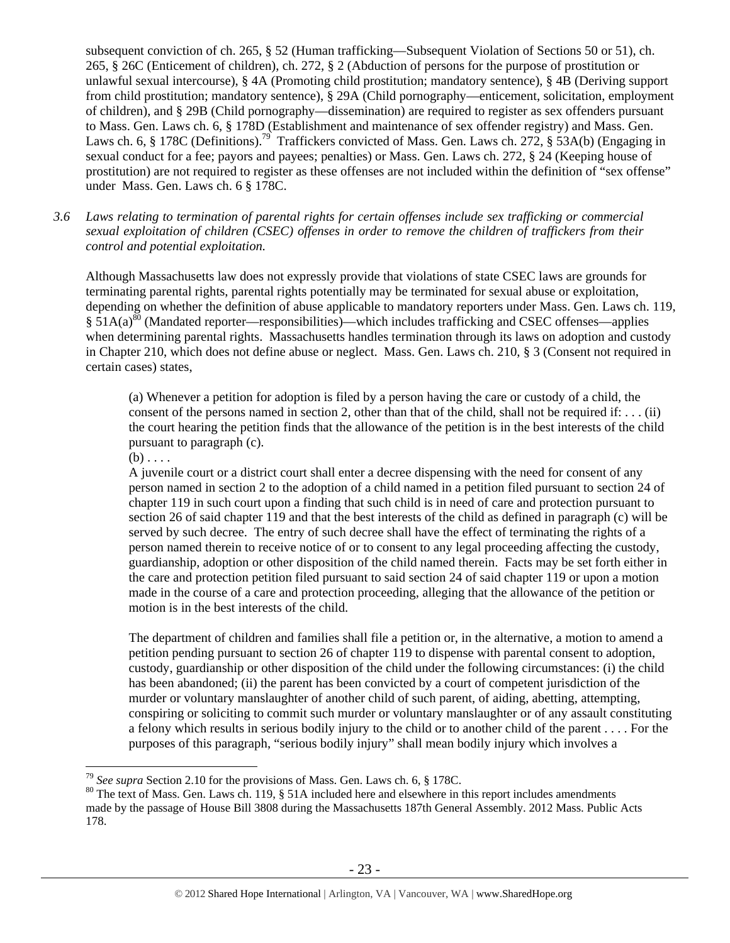subsequent conviction of ch. 265, § 52 (Human trafficking—Subsequent Violation of Sections 50 or 51), ch. 265, § 26C (Enticement of children), ch. 272, § 2 (Abduction of persons for the purpose of prostitution or unlawful sexual intercourse), § 4A (Promoting child prostitution; mandatory sentence), § 4B (Deriving support from child prostitution; mandatory sentence), § 29A (Child pornography—enticement, solicitation, employment of children), and § 29B (Child pornography—dissemination) are required to register as sex offenders pursuant to Mass. Gen. Laws ch. 6, § 178D (Establishment and maintenance of sex offender registry) and Mass. Gen. Laws ch. 6, § 178C (Definitions).<sup>79</sup> Traffickers convicted of Mass. Gen. Laws ch. 272, § 53A(b) (Engaging in sexual conduct for a fee; payors and payees; penalties) or Mass. Gen. Laws ch. 272, § 24 (Keeping house of prostitution) are not required to register as these offenses are not included within the definition of "sex offense" under Mass. Gen. Laws ch. 6 § 178C.

*3.6 Laws relating to termination of parental rights for certain offenses include sex trafficking or commercial sexual exploitation of children (CSEC) offenses in order to remove the children of traffickers from their control and potential exploitation.* 

Although Massachusetts law does not expressly provide that violations of state CSEC laws are grounds for terminating parental rights, parental rights potentially may be terminated for sexual abuse or exploitation, depending on whether the definition of abuse applicable to mandatory reporters under Mass. Gen. Laws ch. 119,  $\frac{1}{2}$  51A(a)<sup>80</sup> (Mandated reporter—responsibilities)—which includes trafficking and CSEC offenses—applies when determining parental rights. Massachusetts handles termination through its laws on adoption and custody in Chapter 210, which does not define abuse or neglect. Mass. Gen. Laws ch. 210, § 3 (Consent not required in certain cases) states,

(a) Whenever a petition for adoption is filed by a person having the care or custody of a child, the consent of the persons named in section 2, other than that of the child, shall not be required if:  $\dots$  (ii) the court hearing the petition finds that the allowance of the petition is in the best interests of the child pursuant to paragraph (c).

 $(b) \ldots$ 

 $\overline{a}$ 

A juvenile court or a district court shall enter a decree dispensing with the need for consent of any person named in section 2 to the adoption of a child named in a petition filed pursuant to section 24 of chapter 119 in such court upon a finding that such child is in need of care and protection pursuant to section 26 of said chapter 119 and that the best interests of the child as defined in paragraph (c) will be served by such decree. The entry of such decree shall have the effect of terminating the rights of a person named therein to receive notice of or to consent to any legal proceeding affecting the custody, guardianship, adoption or other disposition of the child named therein. Facts may be set forth either in the care and protection petition filed pursuant to said section 24 of said chapter 119 or upon a motion made in the course of a care and protection proceeding, alleging that the allowance of the petition or motion is in the best interests of the child.

The department of children and families shall file a petition or, in the alternative, a motion to amend a petition pending pursuant to section 26 of chapter 119 to dispense with parental consent to adoption, custody, guardianship or other disposition of the child under the following circumstances: (i) the child has been abandoned; (ii) the parent has been convicted by a court of competent jurisdiction of the murder or voluntary manslaughter of another child of such parent, of aiding, abetting, attempting, conspiring or soliciting to commit such murder or voluntary manslaughter or of any assault constituting a felony which results in serious bodily injury to the child or to another child of the parent . . . . For the purposes of this paragraph, "serious bodily injury" shall mean bodily injury which involves a

<sup>&</sup>lt;sup>79</sup> *See supra* Section 2.10 for the provisions of Mass. Gen. Laws ch. 6, § 178C.<br><sup>80</sup> The text of Mass. Gen. Laws ch. 119, § 51A included here and elsewhere in this report includes amendments made by the passage of House Bill 3808 during the Massachusetts 187th General Assembly. 2012 Mass. Public Acts 178.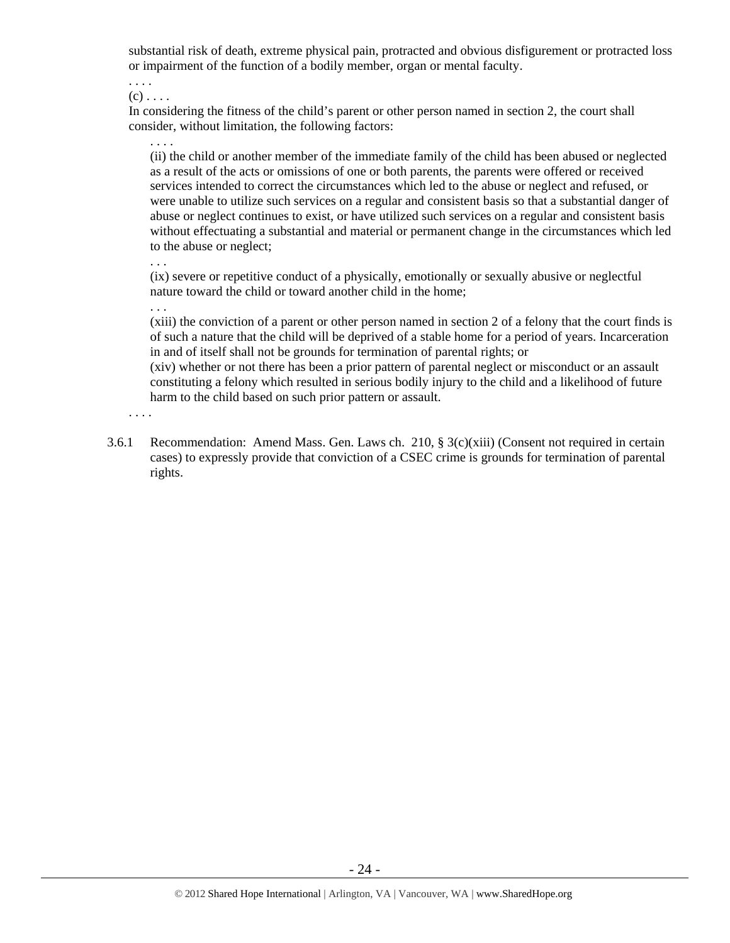substantial risk of death, extreme physical pain, protracted and obvious disfigurement or protracted loss or impairment of the function of a bodily member, organ or mental faculty.

. . . .  $(c)$ ...

In considering the fitness of the child's parent or other person named in section 2, the court shall consider, without limitation, the following factors:

(ii) the child or another member of the immediate family of the child has been abused or neglected as a result of the acts or omissions of one or both parents, the parents were offered or received services intended to correct the circumstances which led to the abuse or neglect and refused, or were unable to utilize such services on a regular and consistent basis so that a substantial danger of abuse or neglect continues to exist, or have utilized such services on a regular and consistent basis without effectuating a substantial and material or permanent change in the circumstances which led to the abuse or neglect;

. . .

. . .

. . . .

(ix) severe or repetitive conduct of a physically, emotionally or sexually abusive or neglectful nature toward the child or toward another child in the home;

(xiii) the conviction of a parent or other person named in section 2 of a felony that the court finds is of such a nature that the child will be deprived of a stable home for a period of years. Incarceration in and of itself shall not be grounds for termination of parental rights; or

(xiv) whether or not there has been a prior pattern of parental neglect or misconduct or an assault constituting a felony which resulted in serious bodily injury to the child and a likelihood of future harm to the child based on such prior pattern or assault.

. . . .

3.6.1 Recommendation: Amend Mass. Gen. Laws ch. 210,  $\S 3(c)(xiii)$  (Consent not required in certain cases) to expressly provide that conviction of a CSEC crime is grounds for termination of parental rights.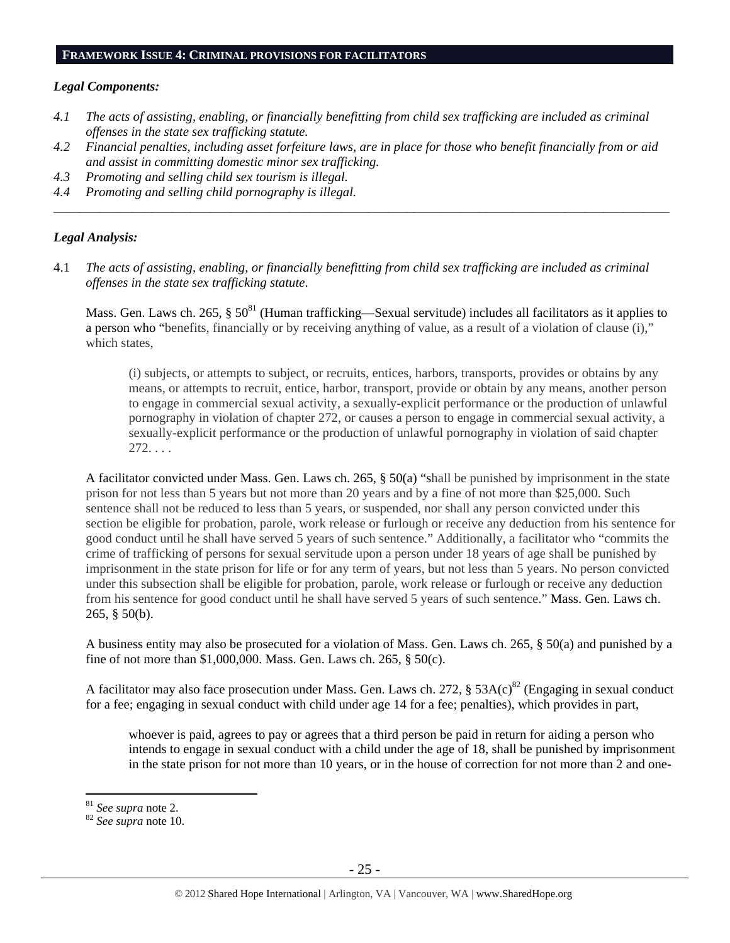#### **FRAMEWORK ISSUE 4: CRIMINAL PROVISIONS FOR FACILITATORS**

#### *Legal Components:*

- *4.1 The acts of assisting, enabling, or financially benefitting from child sex trafficking are included as criminal offenses in the state sex trafficking statute.*
- *4.2 Financial penalties, including asset forfeiture laws, are in place for those who benefit financially from or aid and assist in committing domestic minor sex trafficking.*

*\_\_\_\_\_\_\_\_\_\_\_\_\_\_\_\_\_\_\_\_\_\_\_\_\_\_\_\_\_\_\_\_\_\_\_\_\_\_\_\_\_\_\_\_\_\_\_\_\_\_\_\_\_\_\_\_\_\_\_\_\_\_\_\_\_\_\_\_\_\_\_\_\_\_\_\_\_\_\_\_\_\_\_\_\_\_\_\_\_\_\_\_\_\_* 

- *4.3 Promoting and selling child sex tourism is illegal.*
- *4.4 Promoting and selling child pornography is illegal.*

#### *Legal Analysis:*

4.1 *The acts of assisting, enabling, or financially benefitting from child sex trafficking are included as criminal offenses in the state sex trafficking statute*.

Mass. Gen. Laws ch. 265,  $\S 50^{81}$  (Human trafficking—Sexual servitude) includes all facilitators as it applies to a person who "benefits, financially or by receiving anything of value, as a result of a violation of clause (i)," which states,

(i) subjects, or attempts to subject, or recruits, entices, harbors, transports, provides or obtains by any means, or attempts to recruit, entice, harbor, transport, provide or obtain by any means, another person to engage in commercial sexual activity, a sexually-explicit performance or the production of unlawful pornography in violation of chapter 272, or causes a person to engage in commercial sexual activity, a sexually-explicit performance or the production of unlawful pornography in violation of said chapter  $272. \ldots$ 

A facilitator convicted under Mass. Gen. Laws ch. 265, § 50(a) "shall be punished by imprisonment in the state prison for not less than 5 years but not more than 20 years and by a fine of not more than \$25,000. Such sentence shall not be reduced to less than 5 years, or suspended, nor shall any person convicted under this section be eligible for probation, parole, work release or furlough or receive any deduction from his sentence for good conduct until he shall have served 5 years of such sentence." Additionally, a facilitator who "commits the crime of trafficking of persons for sexual servitude upon a person under 18 years of age shall be punished by imprisonment in the state prison for life or for any term of years, but not less than 5 years. No person convicted under this subsection shall be eligible for probation, parole, work release or furlough or receive any deduction from his sentence for good conduct until he shall have served 5 years of such sentence." Mass. Gen. Laws ch. 265, § 50(b).

A business entity may also be prosecuted for a violation of Mass. Gen. Laws ch. 265, § 50(a) and punished by a fine of not more than \$1,000,000. Mass. Gen. Laws ch. 265, § 50(c).

A facilitator may also face prosecution under Mass. Gen. Laws ch. 272,  $\S$  53A(c)<sup>82</sup> (Engaging in sexual conduct for a fee; engaging in sexual conduct with child under age 14 for a fee; penalties), which provides in part,

whoever is paid, agrees to pay or agrees that a third person be paid in return for aiding a person who intends to engage in sexual conduct with a child under the age of 18, shall be punished by imprisonment in the state prison for not more than 10 years, or in the house of correction for not more than 2 and one-

<sup>&</sup>lt;sup>81</sup> See supra note 2.

<sup>81</sup> *See supra* note 2. 82 *See supra* note 10.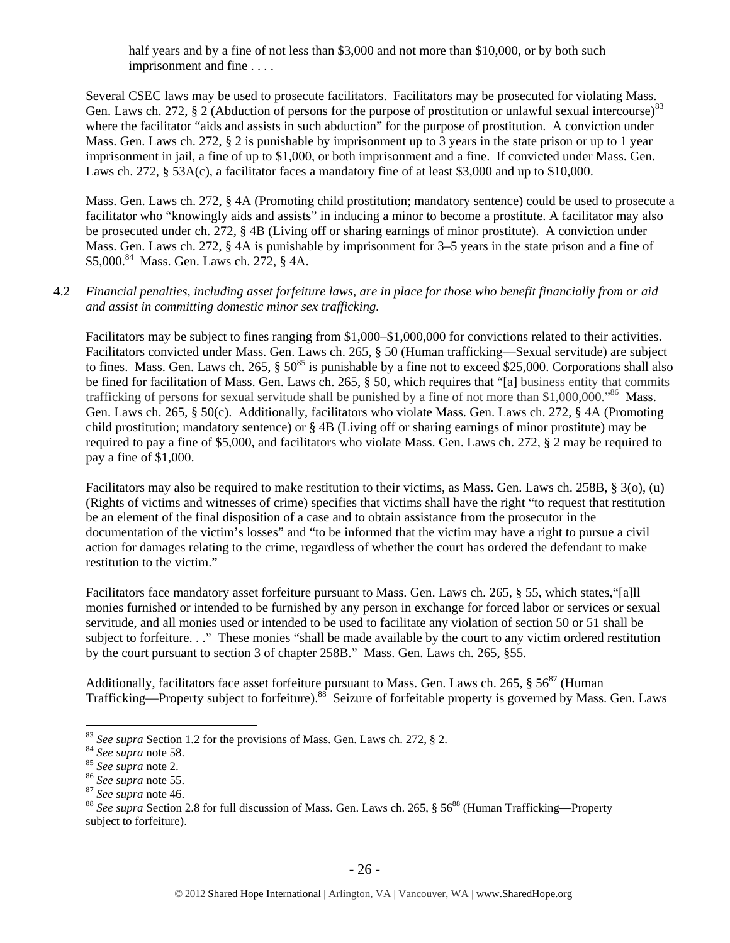half years and by a fine of not less than \$3,000 and not more than \$10,000, or by both such imprisonment and fine . . . .

Several CSEC laws may be used to prosecute facilitators. Facilitators may be prosecuted for violating Mass. Gen. Laws ch. 272, § 2 (Abduction of persons for the purpose of prostitution or unlawful sexual intercourse)<sup>83</sup> where the facilitator "aids and assists in such abduction" for the purpose of prostitution. A conviction under Mass. Gen. Laws ch. 272, § 2 is punishable by imprisonment up to 3 years in the state prison or up to 1 year imprisonment in jail, a fine of up to \$1,000, or both imprisonment and a fine. If convicted under Mass. Gen. Laws ch. 272, § 53A(c), a facilitator faces a mandatory fine of at least \$3,000 and up to \$10,000.

Mass. Gen. Laws ch. 272, § 4A (Promoting child prostitution; mandatory sentence) could be used to prosecute a facilitator who "knowingly aids and assists" in inducing a minor to become a prostitute. A facilitator may also be prosecuted under ch. 272, § 4B (Living off or sharing earnings of minor prostitute). A conviction under Mass. Gen. Laws ch. 272, § 4A is punishable by imprisonment for 3–5 years in the state prison and a fine of \$5,000.<sup>84</sup> Mass. Gen. Laws ch. 272, § 4A.

## 4.2 *Financial penalties, including asset forfeiture laws, are in place for those who benefit financially from or aid and assist in committing domestic minor sex trafficking.*

Facilitators may be subject to fines ranging from \$1,000–\$1,000,000 for convictions related to their activities. Facilitators convicted under Mass. Gen. Laws ch. 265, § 50 (Human trafficking—Sexual servitude) are subject to fines. Mass. Gen. Laws ch. 265,  $\S 50^{85}$  is punishable by a fine not to exceed \$25,000. Corporations shall also be fined for facilitation of Mass. Gen. Laws ch. 265, § 50, which requires that "[a] business entity that commits trafficking of persons for sexual servitude shall be punished by a fine of not more than \$1,000,000."<sup>86</sup> Mass. Gen. Laws ch. 265, § 50(c). Additionally, facilitators who violate Mass. Gen. Laws ch. 272, § 4A (Promoting child prostitution; mandatory sentence) or § 4B (Living off or sharing earnings of minor prostitute) may be required to pay a fine of \$5,000, and facilitators who violate Mass. Gen. Laws ch. 272, § 2 may be required to pay a fine of \$1,000.

Facilitators may also be required to make restitution to their victims, as Mass. Gen. Laws ch. 258B, § 3(o), (u) (Rights of victims and witnesses of crime) specifies that victims shall have the right "to request that restitution be an element of the final disposition of a case and to obtain assistance from the prosecutor in the documentation of the victim's losses" and "to be informed that the victim may have a right to pursue a civil action for damages relating to the crime, regardless of whether the court has ordered the defendant to make restitution to the victim."

Facilitators face mandatory asset forfeiture pursuant to Mass. Gen. Laws ch. 265, § 55, which states,"[a]ll monies furnished or intended to be furnished by any person in exchange for forced labor or services or sexual servitude, and all monies used or intended to be used to facilitate any violation of section 50 or 51 shall be subject to forfeiture. . ." These monies "shall be made available by the court to any victim ordered restitution by the court pursuant to section 3 of chapter 258B." Mass. Gen. Laws ch. 265, §55.

Additionally, facilitators face asset forfeiture pursuant to Mass. Gen. Laws ch. 265,  $\S 56^{87}$  (Human Trafficking—Property subject to forfeiture).88 Seizure of forfeitable property is governed by Mass. Gen. Laws

<sup>&</sup>lt;sup>83</sup> See supra Section 1.2 for the provisions of Mass. Gen. Laws ch. 272, § 2.<br><sup>84</sup> See supra note 58.<br><sup>85</sup> See supra note 2.<br><sup>85</sup> See supra note 55.<br><sup>87</sup> See supra note 46.<br><sup>87</sup> See supra note 46.<br><sup>88</sup> See supra note 46. subject to forfeiture).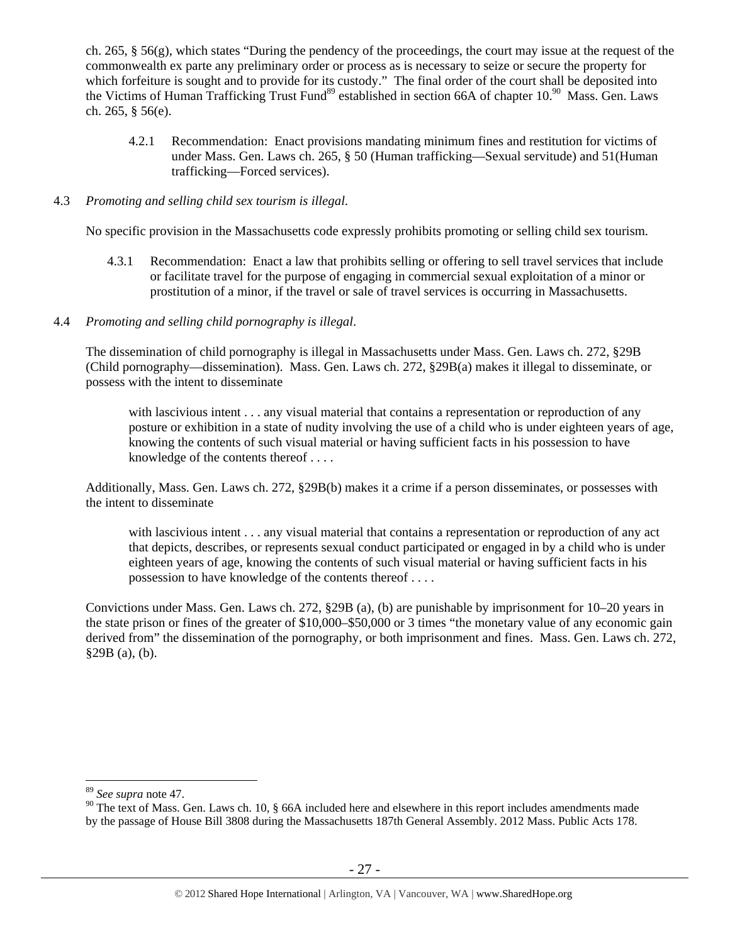ch. 265, § 56(g), which states "During the pendency of the proceedings, the court may issue at the request of the commonwealth ex parte any preliminary order or process as is necessary to seize or secure the property for which forfeiture is sought and to provide for its custody." The final order of the court shall be deposited into the Victims of Human Trafficking Trust Fund<sup>89</sup> established in section 66A of chapter 10.<sup>90</sup> Mass. Gen. Laws ch. 265, § 56(e).

4.2.1 Recommendation: Enact provisions mandating minimum fines and restitution for victims of under Mass. Gen. Laws ch. 265, § 50 (Human trafficking—Sexual servitude) and 51(Human trafficking—Forced services).

#### 4.3 *Promoting and selling child sex tourism is illegal*.

No specific provision in the Massachusetts code expressly prohibits promoting or selling child sex tourism.

4.3.1 Recommendation: Enact a law that prohibits selling or offering to sell travel services that include or facilitate travel for the purpose of engaging in commercial sexual exploitation of a minor or prostitution of a minor, if the travel or sale of travel services is occurring in Massachusetts.

## 4.4 *Promoting and selling child pornography is illegal*.

The dissemination of child pornography is illegal in Massachusetts under Mass. Gen. Laws ch. 272, §29B (Child pornography—dissemination). Mass. Gen. Laws ch. 272, §29B(a) makes it illegal to disseminate, or possess with the intent to disseminate

with lascivious intent . . . any visual material that contains a representation or reproduction of any posture or exhibition in a state of nudity involving the use of a child who is under eighteen years of age, knowing the contents of such visual material or having sufficient facts in his possession to have knowledge of the contents thereof . . . .

Additionally, Mass. Gen. Laws ch. 272, §29B(b) makes it a crime if a person disseminates, or possesses with the intent to disseminate

with lascivious intent . . . any visual material that contains a representation or reproduction of any act that depicts, describes, or represents sexual conduct participated or engaged in by a child who is under eighteen years of age, knowing the contents of such visual material or having sufficient facts in his possession to have knowledge of the contents thereof . . . .

Convictions under Mass. Gen. Laws ch. 272, §29B (a), (b) are punishable by imprisonment for 10–20 years in the state prison or fines of the greater of \$10,000–\$50,000 or 3 times "the monetary value of any economic gain derived from" the dissemination of the pornography, or both imprisonment and fines. Mass. Gen. Laws ch. 272, §29B (a), (b).

<sup>89</sup> *See supra* note 47.

 $90$  The text of Mass. Gen. Laws ch. 10, § 66A included here and elsewhere in this report includes amendments made by the passage of House Bill 3808 during the Massachusetts 187th General Assembly. 2012 Mass. Public Acts 178.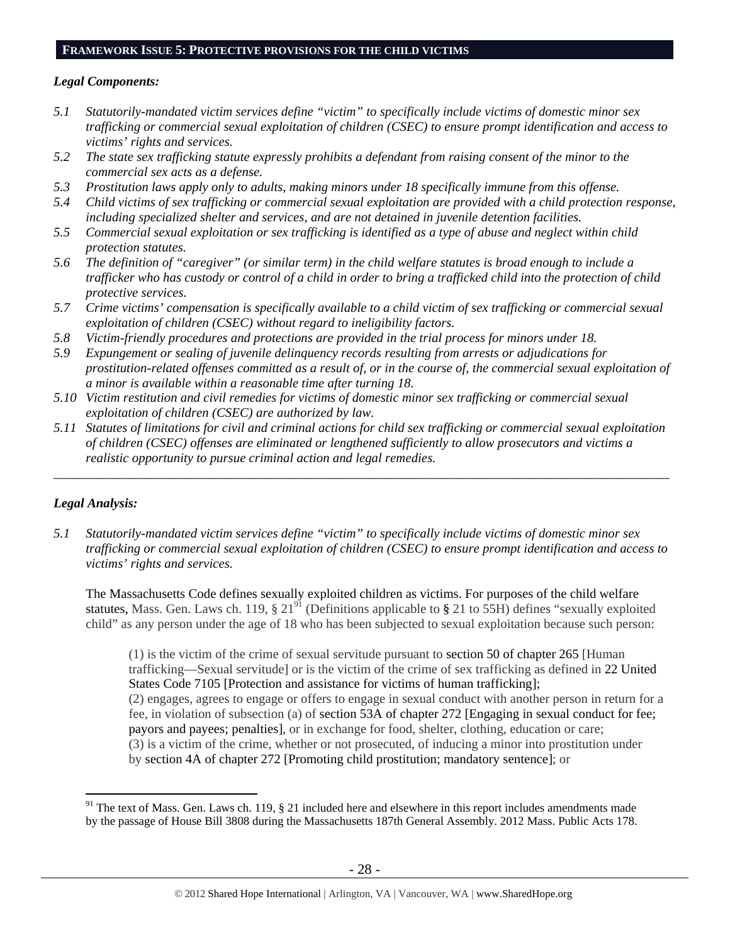#### **FRAMEWORK ISSUE 5: PROTECTIVE PROVISIONS FOR THE CHILD VICTIMS**

#### *Legal Components:*

- *5.1 Statutorily-mandated victim services define "victim" to specifically include victims of domestic minor sex trafficking or commercial sexual exploitation of children (CSEC) to ensure prompt identification and access to victims' rights and services.*
- *5.2 The state sex trafficking statute expressly prohibits a defendant from raising consent of the minor to the commercial sex acts as a defense.*
- *5.3 Prostitution laws apply only to adults, making minors under 18 specifically immune from this offense.*
- *5.4 Child victims of sex trafficking or commercial sexual exploitation are provided with a child protection response, including specialized shelter and services, and are not detained in juvenile detention facilities.*
- *5.5 Commercial sexual exploitation or sex trafficking is identified as a type of abuse and neglect within child protection statutes.*
- *5.6 The definition of "caregiver" (or similar term) in the child welfare statutes is broad enough to include a trafficker who has custody or control of a child in order to bring a trafficked child into the protection of child protective services.*
- *5.7 Crime victims' compensation is specifically available to a child victim of sex trafficking or commercial sexual exploitation of children (CSEC) without regard to ineligibility factors.*
- *5.8 Victim-friendly procedures and protections are provided in the trial process for minors under 18.*
- *5.9 Expungement or sealing of juvenile delinquency records resulting from arrests or adjudications for prostitution-related offenses committed as a result of, or in the course of, the commercial sexual exploitation of a minor is available within a reasonable time after turning 18.*
- *5.10 Victim restitution and civil remedies for victims of domestic minor sex trafficking or commercial sexual exploitation of children (CSEC) are authorized by law.*
- *5.11 Statutes of limitations for civil and criminal actions for child sex trafficking or commercial sexual exploitation of children (CSEC) offenses are eliminated or lengthened sufficiently to allow prosecutors and victims a realistic opportunity to pursue criminal action and legal remedies.*

*\_\_\_\_\_\_\_\_\_\_\_\_\_\_\_\_\_\_\_\_\_\_\_\_\_\_\_\_\_\_\_\_\_\_\_\_\_\_\_\_\_\_\_\_\_\_\_\_\_\_\_\_\_\_\_\_\_\_\_\_\_\_\_\_\_\_\_\_\_\_\_\_\_\_\_\_\_\_\_\_\_\_\_\_\_\_\_\_\_\_\_\_\_\_* 

# *Legal Analysis:*

 $\overline{a}$ 

*5.1 Statutorily-mandated victim services define "victim" to specifically include victims of domestic minor sex trafficking or commercial sexual exploitation of children (CSEC) to ensure prompt identification and access to victims' rights and services.* 

The Massachusetts Code defines sexually exploited children as victims. For purposes of the child welfare statutes, Mass. Gen. Laws ch. 119, § 2191 (Definitions applicable to **§** 21 to 55H) defines "sexually exploited child" as any person under the age of 18 who has been subjected to sexual exploitation because such person:

(1) is the victim of the crime of sexual servitude pursuant to section 50 of chapter 265 [Human trafficking—Sexual servitude] or is the victim of the crime of sex trafficking as defined in 22 United States Code 7105 [Protection and assistance for victims of human trafficking]; (2) engages, agrees to engage or offers to engage in sexual conduct with another person in return for a fee, in violation of subsection (a) of section 53A of chapter 272 [Engaging in sexual conduct for fee; payors and payees; penalties], or in exchange for food, shelter, clothing, education or care; (3) is a victim of the crime, whether or not prosecuted, of inducing a minor into prostitution under by section 4A of chapter 272 [Promoting child prostitution; mandatory sentence]; or

 $91$  The text of Mass. Gen. Laws ch. 119, § 21 included here and elsewhere in this report includes amendments made by the passage of House Bill 3808 during the Massachusetts 187th General Assembly. 2012 Mass. Public Acts 178.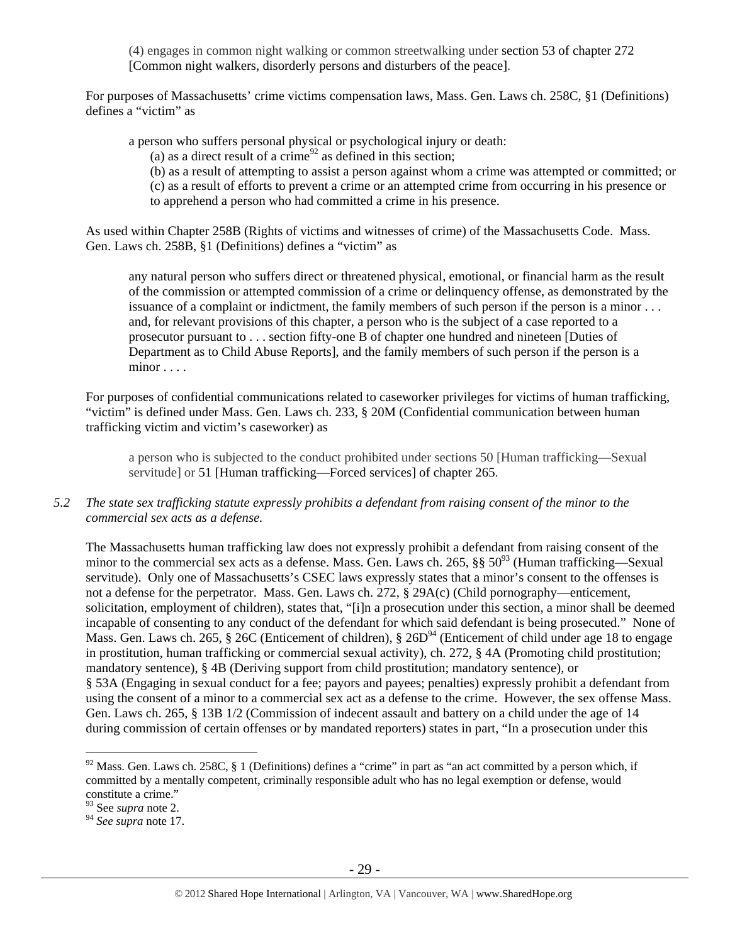(4) engages in common night walking or common streetwalking under section 53 of chapter 272 [Common night walkers, disorderly persons and disturbers of the peace].

For purposes of Massachusetts' crime victims compensation laws, Mass. Gen. Laws ch. 258C, §1 (Definitions) defines a "victim" as

a person who suffers personal physical or psychological injury or death:

(a) as a direct result of a crime<sup>92</sup> as defined in this section;

(b) as a result of attempting to assist a person against whom a crime was attempted or committed; or

(c) as a result of efforts to prevent a crime or an attempted crime from occurring in his presence or

to apprehend a person who had committed a crime in his presence.

As used within Chapter 258B (Rights of victims and witnesses of crime) of the Massachusetts Code. Mass. Gen. Laws ch. 258B, §1 (Definitions) defines a "victim" as

any natural person who suffers direct or threatened physical, emotional, or financial harm as the result of the commission or attempted commission of a crime or delinquency offense, as demonstrated by the issuance of a complaint or indictment, the family members of such person if the person is a minor . . . and, for relevant provisions of this chapter, a person who is the subject of a case reported to a prosecutor pursuant to . . . section fifty-one B of chapter one hundred and nineteen [Duties of Department as to Child Abuse Reports], and the family members of such person if the person is a minor . . . .

For purposes of confidential communications related to caseworker privileges for victims of human trafficking, "victim" is defined under Mass. Gen. Laws ch. 233, § 20M (Confidential communication between human trafficking victim and victim's caseworker) as

a person who is subjected to the conduct prohibited under sections 50 [Human trafficking—Sexual servitude] or 51 [Human trafficking—Forced services] of chapter 265.

*5.2 The state sex trafficking statute expressly prohibits a defendant from raising consent of the minor to the commercial sex acts as a defense.* 

The Massachusetts human trafficking law does not expressly prohibit a defendant from raising consent of the minor to the commercial sex acts as a defense. Mass. Gen. Laws ch. 265,  $\S$ § 50<sup>93</sup> (Human trafficking—Sexual servitude). Only one of Massachusetts's CSEC laws expressly states that a minor's consent to the offenses is not a defense for the perpetrator. Mass. Gen. Laws ch. 272, § 29A(c) (Child pornography—enticement, solicitation, employment of children), states that, "[i]n a prosecution under this section, a minor shall be deemed incapable of consenting to any conduct of the defendant for which said defendant is being prosecuted." None of Mass. Gen. Laws ch. 265, § 26C (Enticement of children), §  $26D^{94}$  (Enticement of child under age 18 to engage in prostitution, human trafficking or commercial sexual activity), ch. 272, § 4A (Promoting child prostitution; mandatory sentence), § 4B (Deriving support from child prostitution; mandatory sentence), or § 53A (Engaging in sexual conduct for a fee; payors and payees; penalties) expressly prohibit a defendant from using the consent of a minor to a commercial sex act as a defense to the crime. However, the sex offense Mass. Gen. Laws ch. 265, § 13B 1/2 (Commission of indecent assault and battery on a child under the age of 14 during commission of certain offenses or by mandated reporters) states in part, "In a prosecution under this

 $92$  Mass. Gen. Laws ch. 258C, § 1 (Definitions) defines a "crime" in part as "an act committed by a person which, if committed by a mentally competent, criminally responsible adult who has no legal exemption or defense, would constitute a crime."

<sup>93</sup> See *supra* note 2.

<sup>94</sup> *See supra* note 17.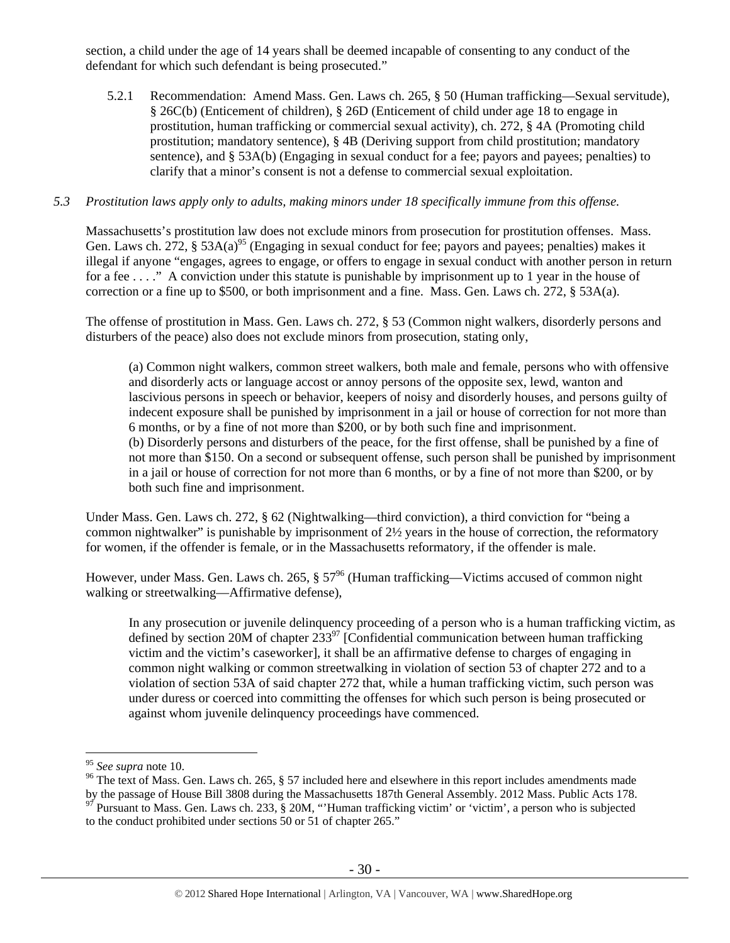section, a child under the age of 14 years shall be deemed incapable of consenting to any conduct of the defendant for which such defendant is being prosecuted."

5.2.1 Recommendation: Amend Mass. Gen. Laws ch. 265, § 50 (Human trafficking—Sexual servitude), § 26C(b) (Enticement of children), § 26D (Enticement of child under age 18 to engage in prostitution, human trafficking or commercial sexual activity), ch. 272, § 4A (Promoting child prostitution; mandatory sentence), § 4B (Deriving support from child prostitution; mandatory sentence), and § 53A(b) (Engaging in sexual conduct for a fee; payors and payees; penalties) to clarify that a minor's consent is not a defense to commercial sexual exploitation.

#### *5.3 Prostitution laws apply only to adults, making minors under 18 specifically immune from this offense.*

Massachusetts's prostitution law does not exclude minors from prosecution for prostitution offenses. Mass. Gen. Laws ch. 272, § 53A(a)<sup>95</sup> (Engaging in sexual conduct for fee; payors and payees; penalties) makes it illegal if anyone "engages, agrees to engage, or offers to engage in sexual conduct with another person in return for a fee . . . ." A conviction under this statute is punishable by imprisonment up to 1 year in the house of correction or a fine up to \$500, or both imprisonment and a fine. Mass. Gen. Laws ch. 272, § 53A(a).

The offense of prostitution in Mass. Gen. Laws ch. 272, § 53 (Common night walkers, disorderly persons and disturbers of the peace) also does not exclude minors from prosecution, stating only,

(a) Common night walkers, common street walkers, both male and female, persons who with offensive and disorderly acts or language accost or annoy persons of the opposite sex, lewd, wanton and lascivious persons in speech or behavior, keepers of noisy and disorderly houses, and persons guilty of indecent exposure shall be punished by imprisonment in a jail or house of correction for not more than 6 months, or by a fine of not more than \$200, or by both such fine and imprisonment. (b) Disorderly persons and disturbers of the peace, for the first offense, shall be punished by a fine of not more than \$150. On a second or subsequent offense, such person shall be punished by imprisonment in a jail or house of correction for not more than 6 months, or by a fine of not more than \$200, or by both such fine and imprisonment.

Under Mass. Gen. Laws ch. 272, § 62 (Nightwalking—third conviction), a third conviction for "being a common nightwalker" is punishable by imprisonment of 2½ years in the house of correction, the reformatory for women, if the offender is female, or in the Massachusetts reformatory, if the offender is male.

However, under Mass. Gen. Laws ch. 265,  $\S 57<sup>96</sup>$  (Human trafficking—Victims accused of common night walking or streetwalking—Affirmative defense),

In any prosecution or juvenile delinquency proceeding of a person who is a human trafficking victim, as defined by section 20M of chapter  $233^{97}$  [Confidential communication between human trafficking victim and the victim's caseworker], it shall be an affirmative defense to charges of engaging in common night walking or common streetwalking in violation of section 53 of chapter 272 and to a violation of section 53A of said chapter 272 that, while a human trafficking victim, such person was under duress or coerced into committing the offenses for which such person is being prosecuted or against whom juvenile delinquency proceedings have commenced.

<sup>&</sup>lt;sup>95</sup> See supra note 10.

<sup>&</sup>lt;sup>96</sup> The text of Mass. Gen. Laws ch. 265, § 57 included here and elsewhere in this report includes amendments made

by the passage of House Bill 3808 during the Massachusetts 187th General Assembly. 2012 Mass. Public Acts 178. 97 Pursuant to Mass. Gen. Laws ch. 233, § 20M, "'Human trafficking victim' or 'victim', a person who is subject to the conduct prohibited under sections 50 or 51 of chapter 265."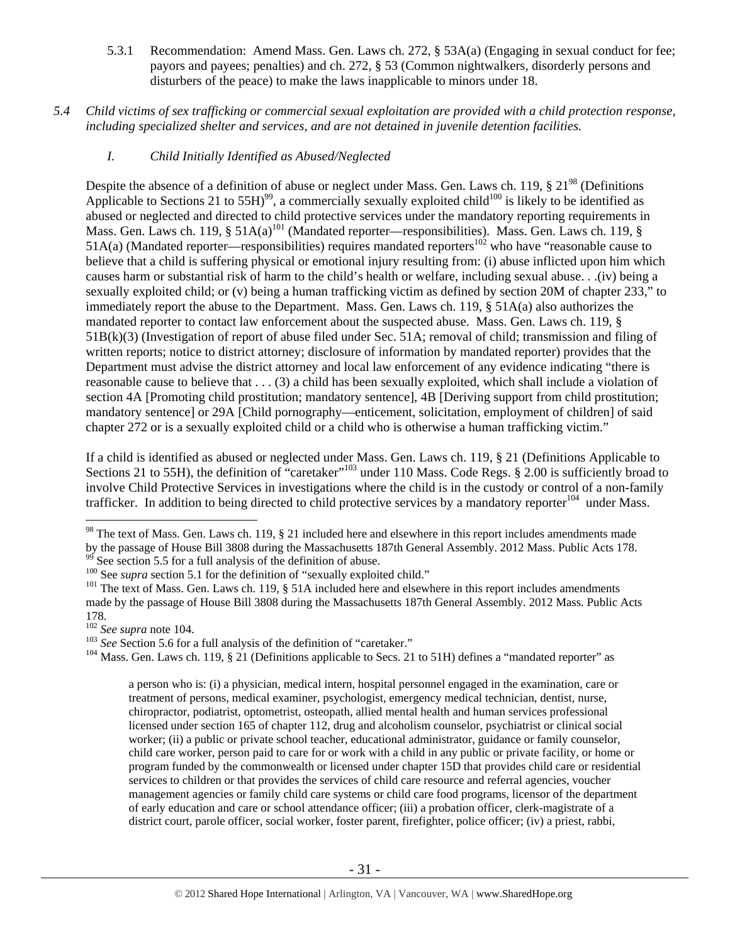- 5.3.1 Recommendation: Amend Mass. Gen. Laws ch. 272, § 53A(a) (Engaging in sexual conduct for fee; payors and payees; penalties) and ch. 272, § 53 (Common nightwalkers, disorderly persons and disturbers of the peace) to make the laws inapplicable to minors under 18.
- *5.4 Child victims of sex trafficking or commercial sexual exploitation are provided with a child protection response, including specialized shelter and services, and are not detained in juvenile detention facilities.* 
	- *I. Child Initially Identified as Abused/Neglected*

Despite the absence of a definition of abuse or neglect under Mass. Gen. Laws ch. 119, § 21<sup>98</sup> (Definitions Applicable to Sections 21 to  $55H$ <sup>99</sup>, a commercially sexually exploited child<sup>100</sup> is likely to be identified as abused or neglected and directed to child protective services under the mandatory reporting requirements in Mass. Gen. Laws ch. 119,  $\S$  51A(a)<sup>101</sup> (Mandated reporter—responsibilities). Mass. Gen. Laws ch. 119,  $\S$  $51A(a)$  (Mandated reporter—responsibilities) requires mandated reporters<sup>102</sup> who have "reasonable cause to believe that a child is suffering physical or emotional injury resulting from: (i) abuse inflicted upon him which causes harm or substantial risk of harm to the child's health or welfare, including sexual abuse. . .(iv) being a sexually exploited child; or (v) being a human trafficking victim as defined by section 20M of chapter 233," to immediately report the abuse to the Department. Mass. Gen. Laws ch. 119, § 51A(a) also authorizes the mandated reporter to contact law enforcement about the suspected abuse. Mass. Gen. Laws ch. 119, § 51B(k)(3) (Investigation of report of abuse filed under Sec. 51A; removal of child; transmission and filing of written reports; notice to district attorney; disclosure of information by mandated reporter) provides that the Department must advise the district attorney and local law enforcement of any evidence indicating "there is reasonable cause to believe that . . . (3) a child has been sexually exploited, which shall include a violation of section 4A [Promoting child prostitution; mandatory sentence], 4B [Deriving support from child prostitution; mandatory sentence] or 29A [Child pornography—enticement, solicitation, employment of children] of said chapter 272 or is a sexually exploited child or a child who is otherwise a human trafficking victim."

If a child is identified as abused or neglected under Mass. Gen. Laws ch. 119, § 21 (Definitions Applicable to Sections 21 to 55H), the definition of "caretaker"<sup>103</sup> under 110 Mass. Code Regs. § 2.00 is sufficiently broad to involve Child Protective Services in investigations where the child is in the custody or control of a non-family trafficker. In addition to being directed to child protective services by a mandatory reporter<sup>104</sup> under Mass.

<sup>103</sup> *See* Section 5.6 for a full analysis of the definition of "caretaker." <sup>104</sup> Mass. Gen. Laws ch. 119, § 21 (Definitions applicable to Secs. 21 to 51H) defines a "mandated reporter" as

a person who is: (i) a physician, medical intern, hospital personnel engaged in the examination, care or treatment of persons, medical examiner, psychologist, emergency medical technician, dentist, nurse, chiropractor, podiatrist, optometrist, osteopath, allied mental health and human services professional licensed under section 165 of chapter 112, drug and alcoholism counselor, psychiatrist or clinical social worker; (ii) a public or private school teacher, educational administrator, guidance or family counselor, child care worker, person paid to care for or work with a child in any public or private facility, or home or program funded by the commonwealth or licensed under chapter 15D that provides child care or residential services to children or that provides the services of child care resource and referral agencies, voucher management agencies or family child care systems or child care food programs, licensor of the department of early education and care or school attendance officer; (iii) a probation officer, clerk-magistrate of a district court, parole officer, social worker, foster parent, firefighter, police officer; (iv) a priest, rabbi,

 $\overline{a}$ <sup>98</sup> The text of Mass. Gen. Laws ch. 119, § 21 included here and elsewhere in this report includes amendments made by the passage of House Bill 3808 during the Massachusetts 187th General Assembly. 2012 Mass. Public Acts 178.<br><sup>99</sup> See section 5.5 for a full analysis of the definition of abuse.<br><sup>100</sup> See *supra* section 5.1 for the defi

<sup>&</sup>lt;sup>101</sup> The text of Mass. Gen. Laws ch. 119, § 51A included here and elsewhere in this report includes amendments made by the passage of House Bill 3808 during the Massachusetts 187th General Assembly. 2012 Mass. Public Acts 178.<br> $102$  *See supra* note 104.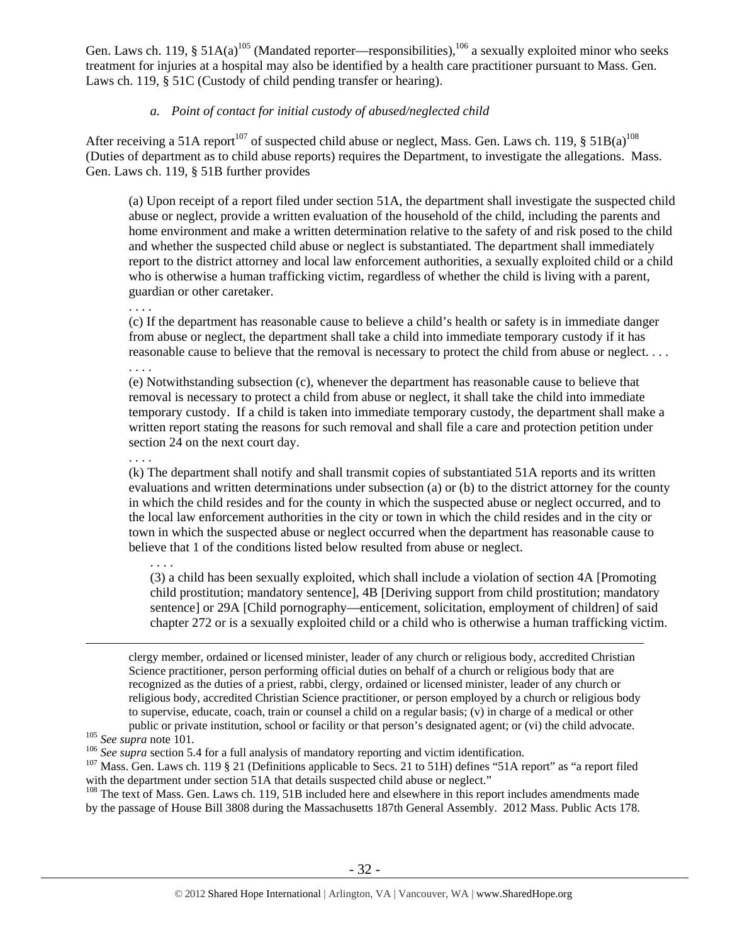Gen. Laws ch. 119, §  $51A(a)^{105}$  (Mandated reporter—responsibilities),  $^{106}$  a sexually exploited minor who seeks treatment for injuries at a hospital may also be identified by a health care practitioner pursuant to Mass. Gen. Laws ch. 119, § 51C (Custody of child pending transfer or hearing).

# *a. Point of contact for initial custody of abused/neglected child*

After receiving a 51A report<sup>107</sup> of suspected child abuse or neglect, Mass. Gen. Laws ch. 119, § 51B(a)<sup>108</sup> (Duties of department as to child abuse reports) requires the Department, to investigate the allegations. Mass. Gen. Laws ch. 119, § 51B further provides

(a) Upon receipt of a report filed under section 51A, the department shall investigate the suspected child abuse or neglect, provide a written evaluation of the household of the child, including the parents and home environment and make a written determination relative to the safety of and risk posed to the child and whether the suspected child abuse or neglect is substantiated. The department shall immediately report to the district attorney and local law enforcement authorities, a sexually exploited child or a child who is otherwise a human trafficking victim, regardless of whether the child is living with a parent, guardian or other caretaker.

. . . .

(c) If the department has reasonable cause to believe a child's health or safety is in immediate danger from abuse or neglect, the department shall take a child into immediate temporary custody if it has reasonable cause to believe that the removal is necessary to protect the child from abuse or neglect. . . .

. . . .

(e) Notwithstanding subsection (c), whenever the department has reasonable cause to believe that removal is necessary to protect a child from abuse or neglect, it shall take the child into immediate temporary custody. If a child is taken into immediate temporary custody, the department shall make a written report stating the reasons for such removal and shall file a care and protection petition under section 24 on the next court day.

. . . .

. . . .

(k) The department shall notify and shall transmit copies of substantiated 51A reports and its written evaluations and written determinations under subsection (a) or (b) to the district attorney for the county in which the child resides and for the county in which the suspected abuse or neglect occurred, and to the local law enforcement authorities in the city or town in which the child resides and in the city or town in which the suspected abuse or neglect occurred when the department has reasonable cause to believe that 1 of the conditions listed below resulted from abuse or neglect.

(3) a child has been sexually exploited, which shall include a violation of section 4A [Promoting child prostitution; mandatory sentence], 4B [Deriving support from child prostitution; mandatory sentence] or 29A [Child pornography—enticement, solicitation, employment of children] of said chapter 272 or is a sexually exploited child or a child who is otherwise a human trafficking victim.

 clergy member, ordained or licensed minister, leader of any church or religious body, accredited Christian Science practitioner, person performing official duties on behalf of a church or religious body that are recognized as the duties of a priest, rabbi, clergy, ordained or licensed minister, leader of any church or religious body, accredited Christian Science practitioner, or person employed by a church or religious body to supervise, educate, coach, train or counsel a child on a regular basis; (v) in charge of a medical or other public or private institution, school or facility or that person's designated agent; or (vi) the child advocate.<br><sup>105</sup> See supra note 101.<br><sup>106</sup> See supra section 5.4 for a full analysis of mandatory reporting and victim i

<sup>108</sup> The text of Mass. Gen. Laws ch. 119, 51B included here and elsewhere in this report includes amendments made by the passage of House Bill 3808 during the Massachusetts 187th General Assembly. 2012 Mass. Public Acts 178.

with the department under section 51A that details suspected child abuse or neglect."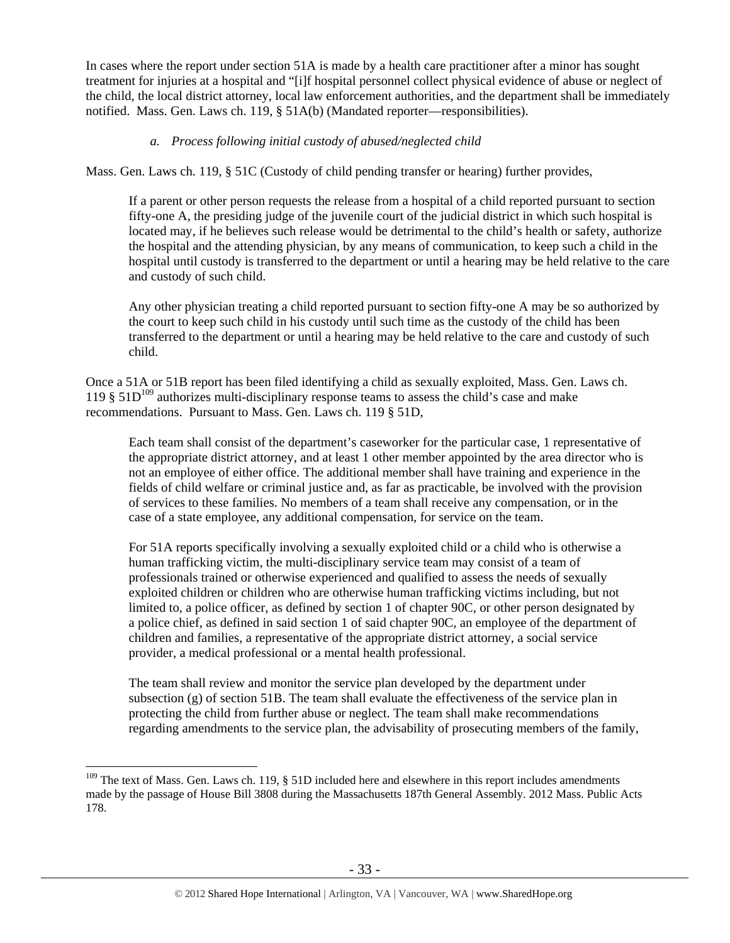In cases where the report under section 51A is made by a health care practitioner after a minor has sought treatment for injuries at a hospital and "[i]f hospital personnel collect physical evidence of abuse or neglect of the child, the local district attorney, local law enforcement authorities, and the department shall be immediately notified. Mass. Gen. Laws ch. 119, § 51A(b) (Mandated reporter—responsibilities).

## *a. Process following initial custody of abused/neglected child*

Mass. Gen. Laws ch. 119, § 51C (Custody of child pending transfer or hearing) further provides,

If a parent or other person requests the release from a hospital of a child reported pursuant to section fifty-one A, the presiding judge of the juvenile court of the judicial district in which such hospital is located may, if he believes such release would be detrimental to the child's health or safety, authorize the hospital and the attending physician, by any means of communication, to keep such a child in the hospital until custody is transferred to the department or until a hearing may be held relative to the care and custody of such child.

Any other physician treating a child reported pursuant to section fifty-one A may be so authorized by the court to keep such child in his custody until such time as the custody of the child has been transferred to the department or until a hearing may be held relative to the care and custody of such child.

Once a 51A or 51B report has been filed identifying a child as sexually exploited, Mass. Gen. Laws ch. 119  $\S 51D^{109}$  authorizes multi-disciplinary response teams to assess the child's case and make recommendations. Pursuant to Mass. Gen. Laws ch. 119 § 51D,

Each team shall consist of the department's caseworker for the particular case, 1 representative of the appropriate district attorney, and at least 1 other member appointed by the area director who is not an employee of either office. The additional member shall have training and experience in the fields of child welfare or criminal justice and, as far as practicable, be involved with the provision of services to these families. No members of a team shall receive any compensation, or in the case of a state employee, any additional compensation, for service on the team.

For 51A reports specifically involving a sexually exploited child or a child who is otherwise a human trafficking victim, the multi-disciplinary service team may consist of a team of professionals trained or otherwise experienced and qualified to assess the needs of sexually exploited children or children who are otherwise human trafficking victims including, but not limited to, a police officer, as defined by section 1 of chapter 90C, or other person designated by a police chief, as defined in said section 1 of said chapter 90C, an employee of the department of children and families, a representative of the appropriate district attorney, a social service provider, a medical professional or a mental health professional.

The team shall review and monitor the service plan developed by the department under subsection  $(g)$  of section 51B. The team shall evaluate the effectiveness of the service plan in protecting the child from further abuse or neglect. The team shall make recommendations regarding amendments to the service plan, the advisability of prosecuting members of the family,

 $109$  The text of Mass. Gen. Laws ch. 119, § 51D included here and elsewhere in this report includes amendments made by the passage of House Bill 3808 during the Massachusetts 187th General Assembly. 2012 Mass. Public Acts 178.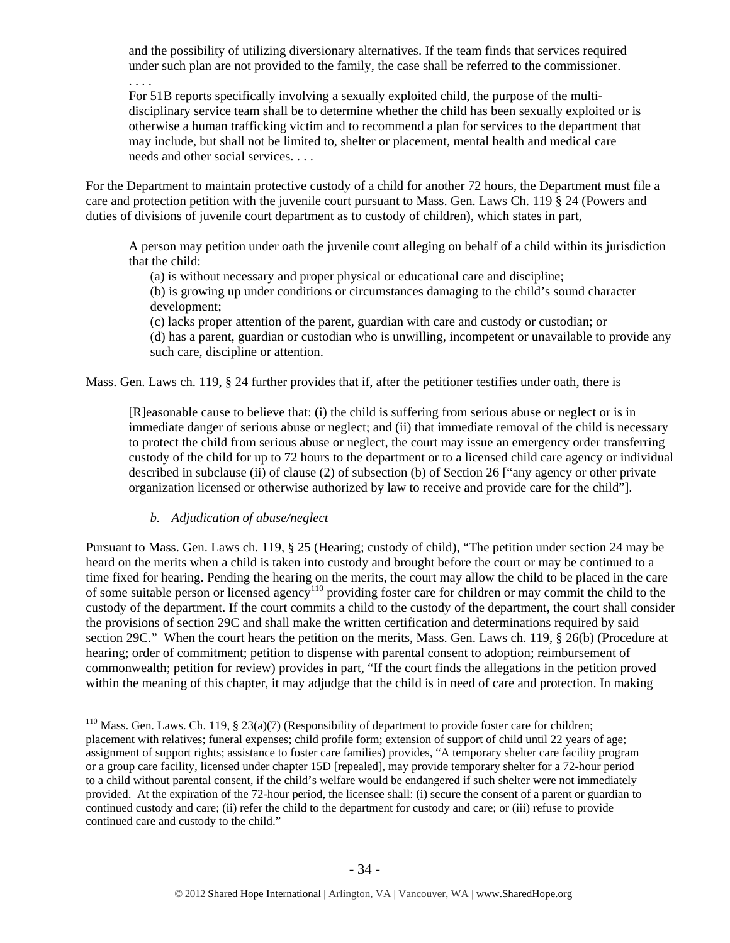and the possibility of utilizing diversionary alternatives. If the team finds that services required under such plan are not provided to the family, the case shall be referred to the commissioner.

For 51B reports specifically involving a sexually exploited child, the purpose of the multidisciplinary service team shall be to determine whether the child has been sexually exploited or is otherwise a human trafficking victim and to recommend a plan for services to the department that may include, but shall not be limited to, shelter or placement, mental health and medical care needs and other social services. . . .

For the Department to maintain protective custody of a child for another 72 hours, the Department must file a care and protection petition with the juvenile court pursuant to Mass. Gen. Laws Ch. 119 § 24 (Powers and duties of divisions of juvenile court department as to custody of children), which states in part,

A person may petition under oath the juvenile court alleging on behalf of a child within its jurisdiction that the child:

(a) is without necessary and proper physical or educational care and discipline;

(b) is growing up under conditions or circumstances damaging to the child's sound character development;

(c) lacks proper attention of the parent, guardian with care and custody or custodian; or (d) has a parent, guardian or custodian who is unwilling, incompetent or unavailable to provide any such care, discipline or attention.

Mass. Gen. Laws ch. 119, § 24 further provides that if, after the petitioner testifies under oath, there is

[R]easonable cause to believe that: (i) the child is suffering from serious abuse or neglect or is in immediate danger of serious abuse or neglect; and (ii) that immediate removal of the child is necessary to protect the child from serious abuse or neglect, the court may issue an emergency order transferring custody of the child for up to 72 hours to the department or to a licensed child care agency or individual described in subclause (ii) of clause (2) of subsection (b) of Section 26 ["any agency or other private organization licensed or otherwise authorized by law to receive and provide care for the child"].

# *b. Adjudication of abuse/neglect*

. . . .

 $\overline{a}$ 

Pursuant to Mass. Gen. Laws ch. 119, § 25 (Hearing; custody of child), "The petition under section 24 may be heard on the merits when a child is taken into custody and brought before the court or may be continued to a time fixed for hearing. Pending the hearing on the merits, the court may allow the child to be placed in the care of some suitable person or licensed agency110 providing foster care for children or may commit the child to the custody of the department. If the court commits a child to the custody of the department, the court shall consider the provisions of section 29C and shall make the written certification and determinations required by said section 29C." When the court hears the petition on the merits, Mass. Gen. Laws ch. 119, § 26(b) (Procedure at hearing; order of commitment; petition to dispense with parental consent to adoption; reimbursement of commonwealth; petition for review) provides in part, "If the court finds the allegations in the petition proved within the meaning of this chapter, it may adjudge that the child is in need of care and protection. In making

<sup>&</sup>lt;sup>110</sup> Mass. Gen. Laws. Ch. 119, § 23(a)(7) (Responsibility of department to provide foster care for children; placement with relatives; funeral expenses; child profile form; extension of support of child until 22 years of age; assignment of support rights; assistance to foster care families) provides, "A temporary shelter care facility program or a group care facility, licensed under chapter 15D [repealed], may provide temporary shelter for a 72-hour period to a child without parental consent, if the child's welfare would be endangered if such shelter were not immediately provided. At the expiration of the 72-hour period, the licensee shall: (i) secure the consent of a parent or guardian to continued custody and care; (ii) refer the child to the department for custody and care; or (iii) refuse to provide continued care and custody to the child."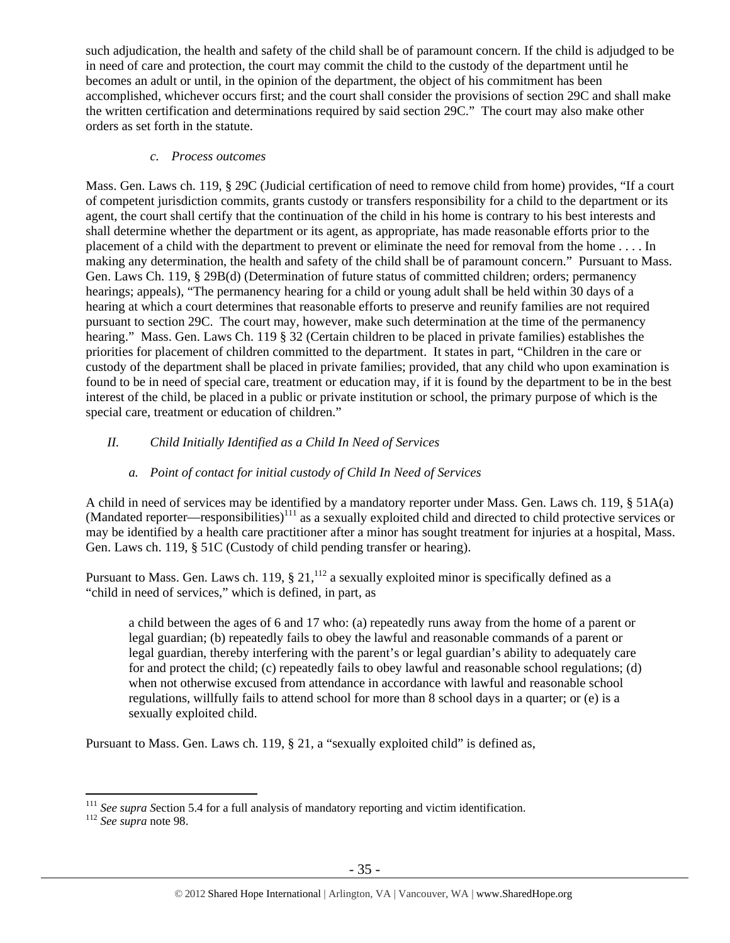such adjudication, the health and safety of the child shall be of paramount concern. If the child is adjudged to be in need of care and protection, the court may commit the child to the custody of the department until he becomes an adult or until, in the opinion of the department, the object of his commitment has been accomplished, whichever occurs first; and the court shall consider the provisions of section 29C and shall make the written certification and determinations required by said section 29C." The court may also make other orders as set forth in the statute.

#### *c. Process outcomes*

Mass. Gen. Laws ch. 119, § 29C (Judicial certification of need to remove child from home) provides, "If a court of competent jurisdiction commits, grants custody or transfers responsibility for a child to the department or its agent, the court shall certify that the continuation of the child in his home is contrary to his best interests and shall determine whether the department or its agent, as appropriate, has made reasonable efforts prior to the placement of a child with the department to prevent or eliminate the need for removal from the home . . . . In making any determination, the health and safety of the child shall be of paramount concern." Pursuant to Mass. Gen. Laws Ch. 119, § 29B(d) (Determination of future status of committed children; orders; permanency hearings; appeals), "The permanency hearing for a child or young adult shall be held within 30 days of a hearing at which a court determines that reasonable efforts to preserve and reunify families are not required pursuant to section 29C. The court may, however, make such determination at the time of the permanency hearing." Mass. Gen. Laws Ch. 119 § 32 (Certain children to be placed in private families) establishes the priorities for placement of children committed to the department. It states in part, "Children in the care or custody of the department shall be placed in private families; provided, that any child who upon examination is found to be in need of special care, treatment or education may, if it is found by the department to be in the best interest of the child, be placed in a public or private institution or school, the primary purpose of which is the special care, treatment or education of children."

# *II. Child Initially Identified as a Child In Need of Services*

# *a. Point of contact for initial custody of Child In Need of Services*

A child in need of services may be identified by a mandatory reporter under Mass. Gen. Laws ch. 119, § 51A(a)  $(Mandated reporter—responsibilities)<sup>111</sup>$  as a sexually exploited child and directed to child protective services or may be identified by a health care practitioner after a minor has sought treatment for injuries at a hospital, Mass. Gen. Laws ch. 119, § 51C (Custody of child pending transfer or hearing).

Pursuant to Mass. Gen. Laws ch. 119,  $\S 21$ ,  $^{112}$  a sexually exploited minor is specifically defined as a "child in need of services," which is defined, in part, as

a child between the ages of 6 and 17 who: (a) repeatedly runs away from the home of a parent or legal guardian; (b) repeatedly fails to obey the lawful and reasonable commands of a parent or legal guardian, thereby interfering with the parent's or legal guardian's ability to adequately care for and protect the child; (c) repeatedly fails to obey lawful and reasonable school regulations; (d) when not otherwise excused from attendance in accordance with lawful and reasonable school regulations, willfully fails to attend school for more than 8 school days in a quarter; or (e) is a sexually exploited child.

Pursuant to Mass. Gen. Laws ch. 119, § 21, a "sexually exploited child" is defined as,

<sup>&</sup>lt;sup>111</sup> *See supra Section 5.4 for a full analysis of mandatory reporting and victim identification.* 112 *See supra* note 98.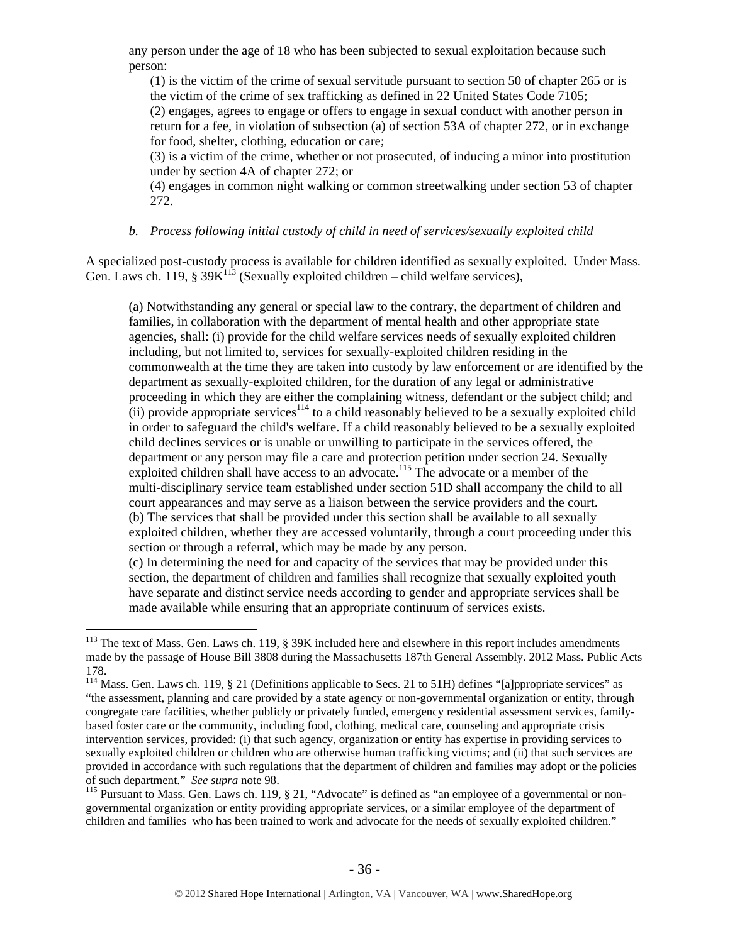any person under the age of 18 who has been subjected to sexual exploitation because such person:

(1) is the victim of the crime of sexual servitude pursuant to section 50 of chapter 265 or is the victim of the crime of sex trafficking as defined in 22 United States Code 7105;

(2) engages, agrees to engage or offers to engage in sexual conduct with another person in return for a fee, in violation of subsection (a) of section 53A of chapter 272, or in exchange for food, shelter, clothing, education or care;

(3) is a victim of the crime, whether or not prosecuted, of inducing a minor into prostitution under by section 4A of chapter 272; or

(4) engages in common night walking or common streetwalking under section 53 of chapter 272.

#### *b. Process following initial custody of child in need of services/sexually exploited child*

A specialized post-custody process is available for children identified as sexually exploited. Under Mass. Gen. Laws ch. 119, §  $39K<sup>113</sup>$  (Sexually exploited children – child welfare services),

(a) Notwithstanding any general or special law to the contrary, the department of children and families, in collaboration with the department of mental health and other appropriate state agencies, shall: (i) provide for the child welfare services needs of sexually exploited children including, but not limited to, services for sexually-exploited children residing in the commonwealth at the time they are taken into custody by law enforcement or are identified by the department as sexually-exploited children, for the duration of any legal or administrative proceeding in which they are either the complaining witness, defendant or the subject child; and  $(iii)$  provide appropriate services<sup>114</sup> to a child reasonably believed to be a sexually exploited child in order to safeguard the child's welfare. If a child reasonably believed to be a sexually exploited child declines services or is unable or unwilling to participate in the services offered, the department or any person may file a care and protection petition under section 24. Sexually exploited children shall have access to an advocate.<sup>115</sup> The advocate or a member of the multi-disciplinary service team established under section 51D shall accompany the child to all court appearances and may serve as a liaison between the service providers and the court. (b) The services that shall be provided under this section shall be available to all sexually exploited children, whether they are accessed voluntarily, through a court proceeding under this section or through a referral, which may be made by any person.

(c) In determining the need for and capacity of the services that may be provided under this section, the department of children and families shall recognize that sexually exploited youth have separate and distinct service needs according to gender and appropriate services shall be made available while ensuring that an appropriate continuum of services exists.

 $\overline{a}$ 

governmental organization or entity providing appropriate services, or a similar employee of the department of children and families who has been trained to work and advocate for the needs of sexually exploited children."

 $113$  The text of Mass. Gen. Laws ch. 119, § 39K included here and elsewhere in this report includes amendments made by the passage of House Bill 3808 during the Massachusetts 187th General Assembly. 2012 Mass. Public Acts 178.

 $114$  Mass. Gen. Laws ch. 119, § 21 (Definitions applicable to Secs. 21 to 51H) defines "[a]ppropriate services" as "the assessment, planning and care provided by a state agency or non-governmental organization or entity, through congregate care facilities, whether publicly or privately funded, emergency residential assessment services, familybased foster care or the community, including food, clothing, medical care, counseling and appropriate crisis intervention services, provided: (i) that such agency, organization or entity has expertise in providing services to sexually exploited children or children who are otherwise human trafficking victims; and (ii) that such services are provided in accordance with such regulations that the department of children and families may adopt or the policies of such department." *See supra* note 98.<br><sup>115</sup> Pursuant to Mass. Gen. Laws ch. 119, § 21, "Advocate" is defined as "an employee of a governmental or non-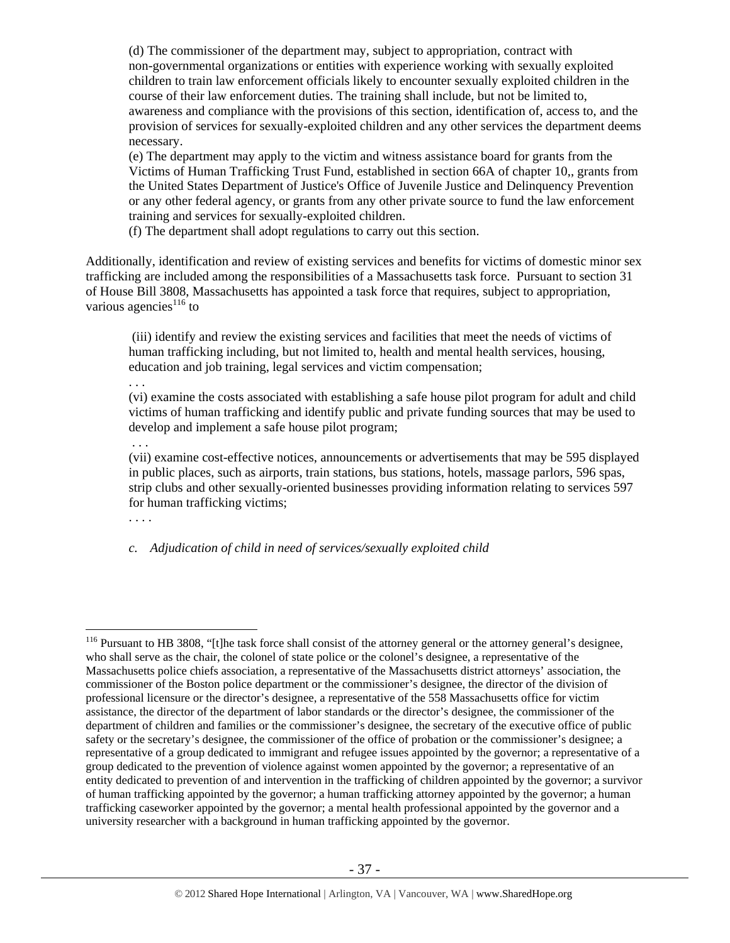(d) The commissioner of the department may, subject to appropriation, contract with non-governmental organizations or entities with experience working with sexually exploited children to train law enforcement officials likely to encounter sexually exploited children in the course of their law enforcement duties. The training shall include, but not be limited to, awareness and compliance with the provisions of this section, identification of, access to, and the provision of services for sexually-exploited children and any other services the department deems necessary.

(e) The department may apply to the victim and witness assistance board for grants from the Victims of Human Trafficking Trust Fund, established in section 66A of chapter 10,, grants from the United States Department of Justice's Office of Juvenile Justice and Delinquency Prevention or any other federal agency, or grants from any other private source to fund the law enforcement training and services for sexually-exploited children.

(f) The department shall adopt regulations to carry out this section.

Additionally, identification and review of existing services and benefits for victims of domestic minor sex trafficking are included among the responsibilities of a Massachusetts task force. Pursuant to section 31 of House Bill 3808, Massachusetts has appointed a task force that requires, subject to appropriation, various agencies $^{116}$  to

 (iii) identify and review the existing services and facilities that meet the needs of victims of human trafficking including, but not limited to, health and mental health services, housing, education and job training, legal services and victim compensation;

(vi) examine the costs associated with establishing a safe house pilot program for adult and child victims of human trafficking and identify public and private funding sources that may be used to develop and implement a safe house pilot program;

. . .

. . .

(vii) examine cost-effective notices, announcements or advertisements that may be 595 displayed in public places, such as airports, train stations, bus stations, hotels, massage parlors, 596 spas, strip clubs and other sexually-oriented businesses providing information relating to services 597 for human trafficking victims;

. . . .

 $\overline{a}$ 

*c. Adjudication of child in need of services/sexually exploited child* 

<sup>&</sup>lt;sup>116</sup> Pursuant to HB 3808, "[t]he task force shall consist of the attorney general or the attorney general's designee, who shall serve as the chair, the colonel of state police or the colonel's designee, a representative of the Massachusetts police chiefs association, a representative of the Massachusetts district attorneys' association, the commissioner of the Boston police department or the commissioner's designee, the director of the division of professional licensure or the director's designee, a representative of the 558 Massachusetts office for victim assistance, the director of the department of labor standards or the director's designee, the commissioner of the department of children and families or the commissioner's designee, the secretary of the executive office of public safety or the secretary's designee, the commissioner of the office of probation or the commissioner's designee; a representative of a group dedicated to immigrant and refugee issues appointed by the governor; a representative of a group dedicated to the prevention of violence against women appointed by the governor; a representative of an entity dedicated to prevention of and intervention in the trafficking of children appointed by the governor; a survivor of human trafficking appointed by the governor; a human trafficking attorney appointed by the governor; a human trafficking caseworker appointed by the governor; a mental health professional appointed by the governor and a university researcher with a background in human trafficking appointed by the governor.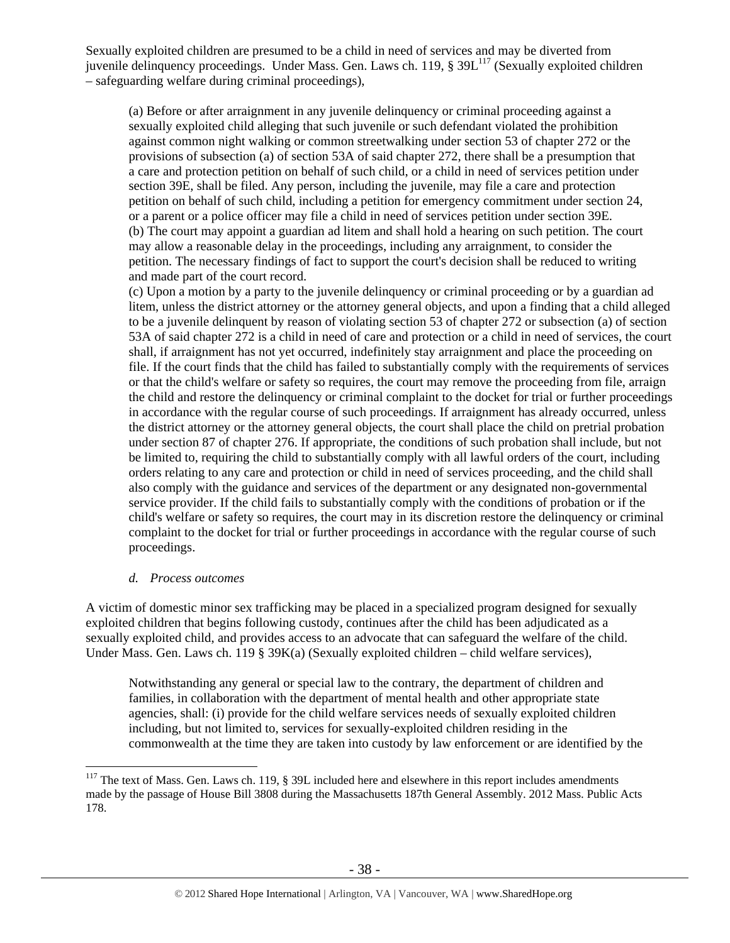Sexually exploited children are presumed to be a child in need of services and may be diverted from juvenile delinquency proceedings. Under Mass. Gen. Laws ch. 119, § 39L<sup>117</sup> (Sexually exploited children – safeguarding welfare during criminal proceedings),

(a) Before or after arraignment in any juvenile delinquency or criminal proceeding against a sexually exploited child alleging that such juvenile or such defendant violated the prohibition against common night walking or common streetwalking under section 53 of chapter 272 or the provisions of subsection (a) of section 53A of said chapter 272, there shall be a presumption that a care and protection petition on behalf of such child, or a child in need of services petition under section 39E, shall be filed. Any person, including the juvenile, may file a care and protection petition on behalf of such child, including a petition for emergency commitment under section 24, or a parent or a police officer may file a child in need of services petition under section 39E. (b) The court may appoint a guardian ad litem and shall hold a hearing on such petition. The court may allow a reasonable delay in the proceedings, including any arraignment, to consider the petition. The necessary findings of fact to support the court's decision shall be reduced to writing and made part of the court record.

(c) Upon a motion by a party to the juvenile delinquency or criminal proceeding or by a guardian ad litem, unless the district attorney or the attorney general objects, and upon a finding that a child alleged to be a juvenile delinquent by reason of violating section 53 of chapter 272 or subsection (a) of section 53A of said chapter 272 is a child in need of care and protection or a child in need of services, the court shall, if arraignment has not yet occurred, indefinitely stay arraignment and place the proceeding on file. If the court finds that the child has failed to substantially comply with the requirements of services or that the child's welfare or safety so requires, the court may remove the proceeding from file, arraign the child and restore the delinquency or criminal complaint to the docket for trial or further proceedings in accordance with the regular course of such proceedings. If arraignment has already occurred, unless the district attorney or the attorney general objects, the court shall place the child on pretrial probation under section 87 of chapter 276. If appropriate, the conditions of such probation shall include, but not be limited to, requiring the child to substantially comply with all lawful orders of the court, including orders relating to any care and protection or child in need of services proceeding, and the child shall also comply with the guidance and services of the department or any designated non-governmental service provider. If the child fails to substantially comply with the conditions of probation or if the child's welfare or safety so requires, the court may in its discretion restore the delinquency or criminal complaint to the docket for trial or further proceedings in accordance with the regular course of such proceedings.

#### *d. Process outcomes*

 $\overline{a}$ 

A victim of domestic minor sex trafficking may be placed in a specialized program designed for sexually exploited children that begins following custody, continues after the child has been adjudicated as a sexually exploited child, and provides access to an advocate that can safeguard the welfare of the child. Under Mass. Gen. Laws ch. 119 § 39K(a) (Sexually exploited children – child welfare services),

Notwithstanding any general or special law to the contrary, the department of children and families, in collaboration with the department of mental health and other appropriate state agencies, shall: (i) provide for the child welfare services needs of sexually exploited children including, but not limited to, services for sexually-exploited children residing in the commonwealth at the time they are taken into custody by law enforcement or are identified by the

<sup>&</sup>lt;sup>117</sup> The text of Mass. Gen. Laws ch. 119, § 39L included here and elsewhere in this report includes amendments made by the passage of House Bill 3808 during the Massachusetts 187th General Assembly. 2012 Mass. Public Acts 178.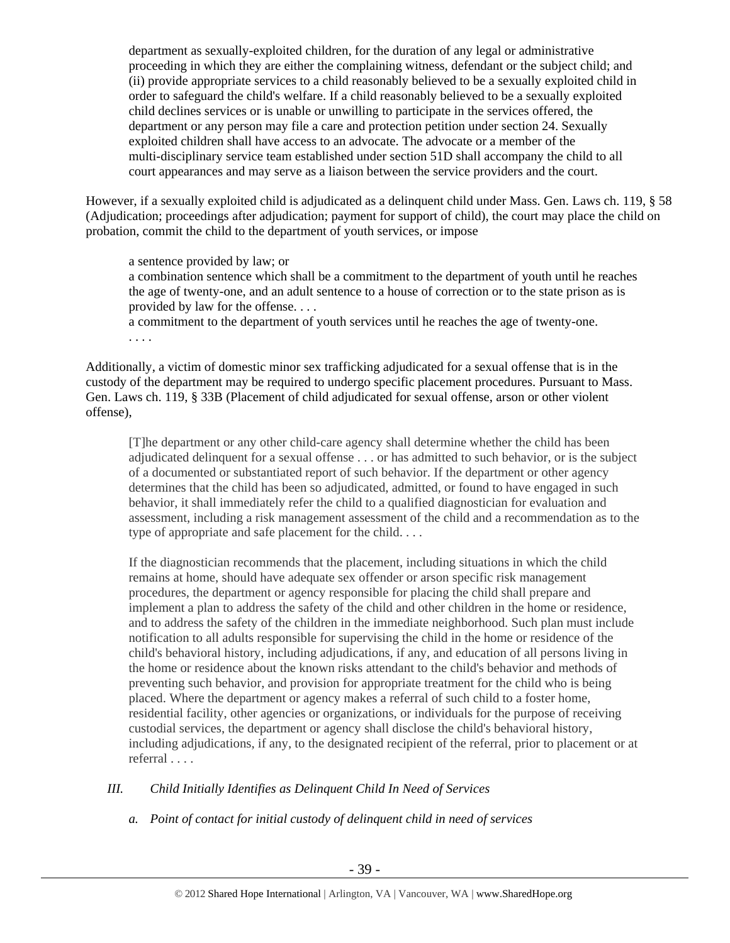department as sexually-exploited children, for the duration of any legal or administrative proceeding in which they are either the complaining witness, defendant or the subject child; and (ii) provide appropriate services to a child reasonably believed to be a sexually exploited child in order to safeguard the child's welfare. If a child reasonably believed to be a sexually exploited child declines services or is unable or unwilling to participate in the services offered, the department or any person may file a care and protection petition under section 24. Sexually exploited children shall have access to an advocate. The advocate or a member of the multi-disciplinary service team established under section 51D shall accompany the child to all court appearances and may serve as a liaison between the service providers and the court.

However, if a sexually exploited child is adjudicated as a delinquent child under Mass. Gen. Laws ch. 119, § 58 (Adjudication; proceedings after adjudication; payment for support of child), the court may place the child on probation, commit the child to the department of youth services, or impose

a sentence provided by law; or a combination sentence which shall be a commitment to the department of youth until he reaches the age of twenty-one, and an adult sentence to a house of correction or to the state prison as is provided by law for the offense. . . .

a commitment to the department of youth services until he reaches the age of twenty-one. . . . .

Additionally, a victim of domestic minor sex trafficking adjudicated for a sexual offense that is in the custody of the department may be required to undergo specific placement procedures. Pursuant to Mass. Gen. Laws ch. 119, § 33B (Placement of child adjudicated for sexual offense, arson or other violent offense),

[T]he department or any other child-care agency shall determine whether the child has been adjudicated delinquent for a sexual offense . . . or has admitted to such behavior, or is the subject of a documented or substantiated report of such behavior. If the department or other agency determines that the child has been so adjudicated, admitted, or found to have engaged in such behavior, it shall immediately refer the child to a qualified diagnostician for evaluation and assessment, including a risk management assessment of the child and a recommendation as to the type of appropriate and safe placement for the child. . . .

If the diagnostician recommends that the placement, including situations in which the child remains at home, should have adequate sex offender or arson specific risk management procedures, the department or agency responsible for placing the child shall prepare and implement a plan to address the safety of the child and other children in the home or residence, and to address the safety of the children in the immediate neighborhood. Such plan must include notification to all adults responsible for supervising the child in the home or residence of the child's behavioral history, including adjudications, if any, and education of all persons living in the home or residence about the known risks attendant to the child's behavior and methods of preventing such behavior, and provision for appropriate treatment for the child who is being placed. Where the department or agency makes a referral of such child to a foster home, residential facility, other agencies or organizations, or individuals for the purpose of receiving custodial services, the department or agency shall disclose the child's behavioral history, including adjudications, if any, to the designated recipient of the referral, prior to placement or at referral . . . .

# *III. Child Initially Identifies as Delinquent Child In Need of Services*

*a. Point of contact for initial custody of delinquent child in need of services*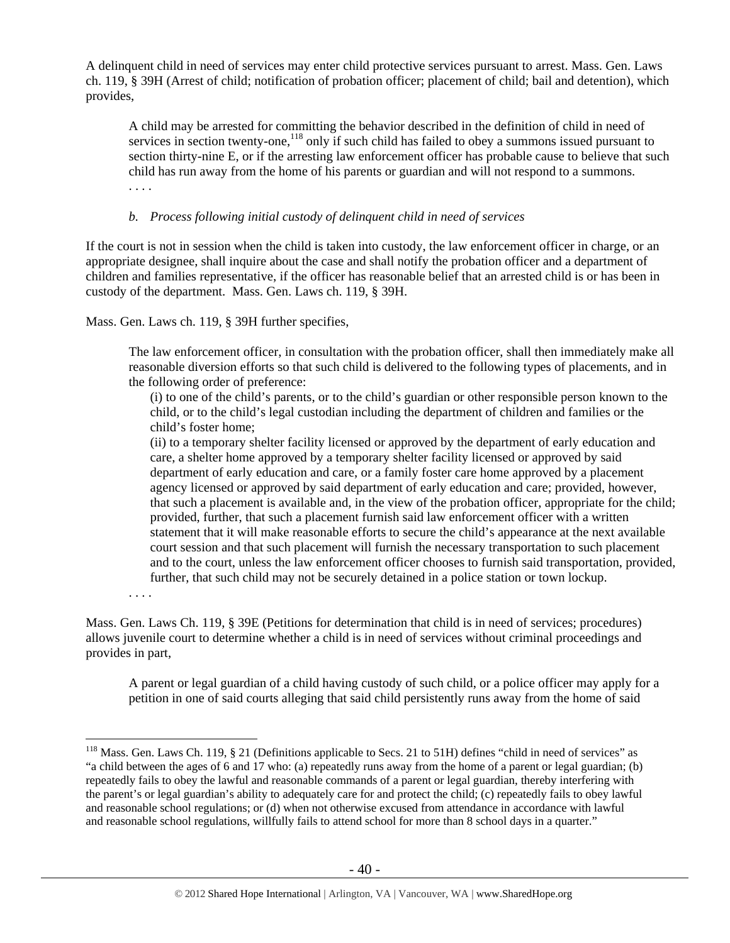A delinquent child in need of services may enter child protective services pursuant to arrest. Mass. Gen. Laws ch. 119, § 39H (Arrest of child; notification of probation officer; placement of child; bail and detention), which provides,

A child may be arrested for committing the behavior described in the definition of child in need of services in section twenty-one,<sup>118</sup> only if such child has failed to obey a summons issued pursuant to section thirty-nine E, or if the arresting law enforcement officer has probable cause to believe that such child has run away from the home of his parents or guardian and will not respond to a summons. . . . .

## *b. Process following initial custody of delinquent child in need of services*

If the court is not in session when the child is taken into custody, the law enforcement officer in charge, or an appropriate designee, shall inquire about the case and shall notify the probation officer and a department of children and families representative, if the officer has reasonable belief that an arrested child is or has been in custody of the department. Mass. Gen. Laws ch. 119, § 39H.

Mass. Gen. Laws ch. 119, § 39H further specifies,

The law enforcement officer, in consultation with the probation officer, shall then immediately make all reasonable diversion efforts so that such child is delivered to the following types of placements, and in the following order of preference:

(i) to one of the child's parents, or to the child's guardian or other responsible person known to the child, or to the child's legal custodian including the department of children and families or the child's foster home;

(ii) to a temporary shelter facility licensed or approved by the department of early education and care, a shelter home approved by a temporary shelter facility licensed or approved by said department of early education and care, or a family foster care home approved by a placement agency licensed or approved by said department of early education and care; provided, however, that such a placement is available and, in the view of the probation officer, appropriate for the child; provided, further, that such a placement furnish said law enforcement officer with a written statement that it will make reasonable efforts to secure the child's appearance at the next available court session and that such placement will furnish the necessary transportation to such placement and to the court, unless the law enforcement officer chooses to furnish said transportation, provided, further, that such child may not be securely detained in a police station or town lockup.

. . . .

 $\overline{a}$ 

Mass. Gen. Laws Ch. 119, § 39E (Petitions for determination that child is in need of services; procedures) allows juvenile court to determine whether a child is in need of services without criminal proceedings and provides in part,

A parent or legal guardian of a child having custody of such child, or a police officer may apply for a petition in one of said courts alleging that said child persistently runs away from the home of said

<sup>&</sup>lt;sup>118</sup> Mass. Gen. Laws Ch. 119, § 21 (Definitions applicable to Secs. 21 to 51H) defines "child in need of services" as "a child between the ages of 6 and 17 who: (a) repeatedly runs away from the home of a parent or legal guardian; (b) repeatedly fails to obey the lawful and reasonable commands of a parent or legal guardian, thereby interfering with the parent's or legal guardian's ability to adequately care for and protect the child; (c) repeatedly fails to obey lawful and reasonable school regulations; or (d) when not otherwise excused from attendance in accordance with lawful and reasonable school regulations, willfully fails to attend school for more than 8 school days in a quarter."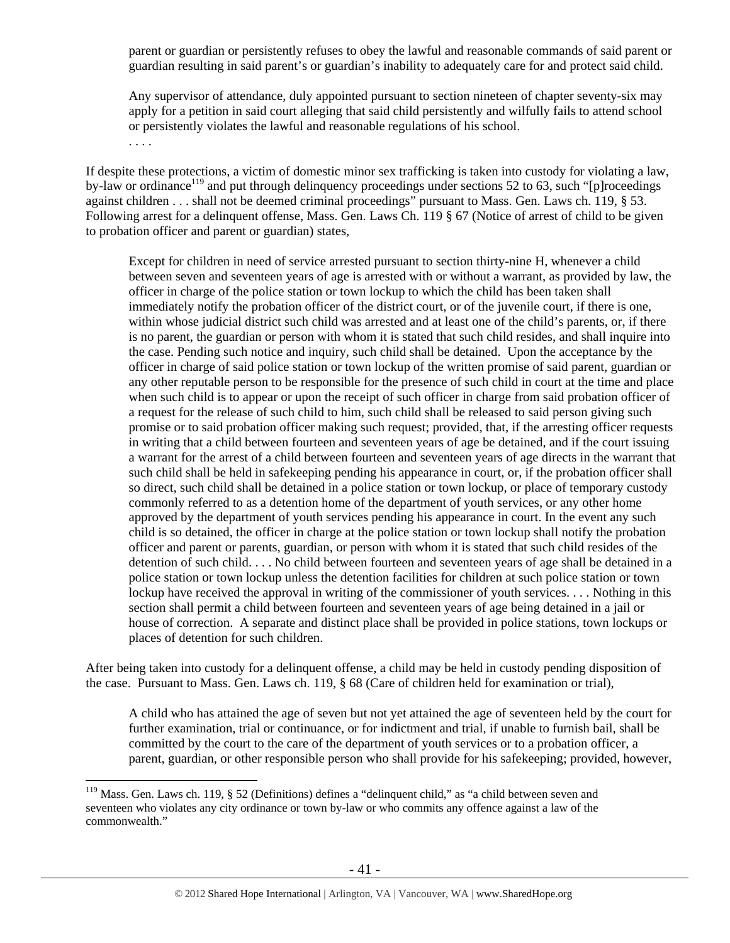parent or guardian or persistently refuses to obey the lawful and reasonable commands of said parent or guardian resulting in said parent's or guardian's inability to adequately care for and protect said child.

Any supervisor of attendance, duly appointed pursuant to section nineteen of chapter seventy-six may apply for a petition in said court alleging that said child persistently and wilfully fails to attend school or persistently violates the lawful and reasonable regulations of his school.

. . . .

 $\overline{a}$ 

If despite these protections, a victim of domestic minor sex trafficking is taken into custody for violating a law, by-law or ordinance<sup>119</sup> and put through delinquency proceedings under sections 52 to 63, such "[p]roceedings against children . . . shall not be deemed criminal proceedings" pursuant to Mass. Gen. Laws ch. 119, § 53. Following arrest for a delinquent offense, Mass. Gen. Laws Ch. 119 § 67 (Notice of arrest of child to be given to probation officer and parent or guardian) states,

Except for children in need of service arrested pursuant to section thirty-nine H, whenever a child between seven and seventeen years of age is arrested with or without a warrant, as provided by law, the officer in charge of the police station or town lockup to which the child has been taken shall immediately notify the probation officer of the district court, or of the juvenile court, if there is one, within whose judicial district such child was arrested and at least one of the child's parents, or, if there is no parent, the guardian or person with whom it is stated that such child resides, and shall inquire into the case. Pending such notice and inquiry, such child shall be detained. Upon the acceptance by the officer in charge of said police station or town lockup of the written promise of said parent, guardian or any other reputable person to be responsible for the presence of such child in court at the time and place when such child is to appear or upon the receipt of such officer in charge from said probation officer of a request for the release of such child to him, such child shall be released to said person giving such promise or to said probation officer making such request; provided, that, if the arresting officer requests in writing that a child between fourteen and seventeen years of age be detained, and if the court issuing a warrant for the arrest of a child between fourteen and seventeen years of age directs in the warrant that such child shall be held in safekeeping pending his appearance in court, or, if the probation officer shall so direct, such child shall be detained in a police station or town lockup, or place of temporary custody commonly referred to as a detention home of the department of youth services, or any other home approved by the department of youth services pending his appearance in court. In the event any such child is so detained, the officer in charge at the police station or town lockup shall notify the probation officer and parent or parents, guardian, or person with whom it is stated that such child resides of the detention of such child. . . . No child between fourteen and seventeen years of age shall be detained in a police station or town lockup unless the detention facilities for children at such police station or town lockup have received the approval in writing of the commissioner of youth services. . . . Nothing in this section shall permit a child between fourteen and seventeen years of age being detained in a jail or house of correction. A separate and distinct place shall be provided in police stations, town lockups or places of detention for such children.

After being taken into custody for a delinquent offense, a child may be held in custody pending disposition of the case. Pursuant to Mass. Gen. Laws ch. 119, § 68 (Care of children held for examination or trial),

A child who has attained the age of seven but not yet attained the age of seventeen held by the court for further examination, trial or continuance, or for indictment and trial, if unable to furnish bail, shall be committed by the court to the care of the department of youth services or to a probation officer, a parent, guardian, or other responsible person who shall provide for his safekeeping; provided, however,

<sup>&</sup>lt;sup>119</sup> Mass. Gen. Laws ch. 119, § 52 (Definitions) defines a "delinquent child," as "a child between seven and seventeen who violates any city ordinance or town by-law or who commits any offence against a law of the commonwealth."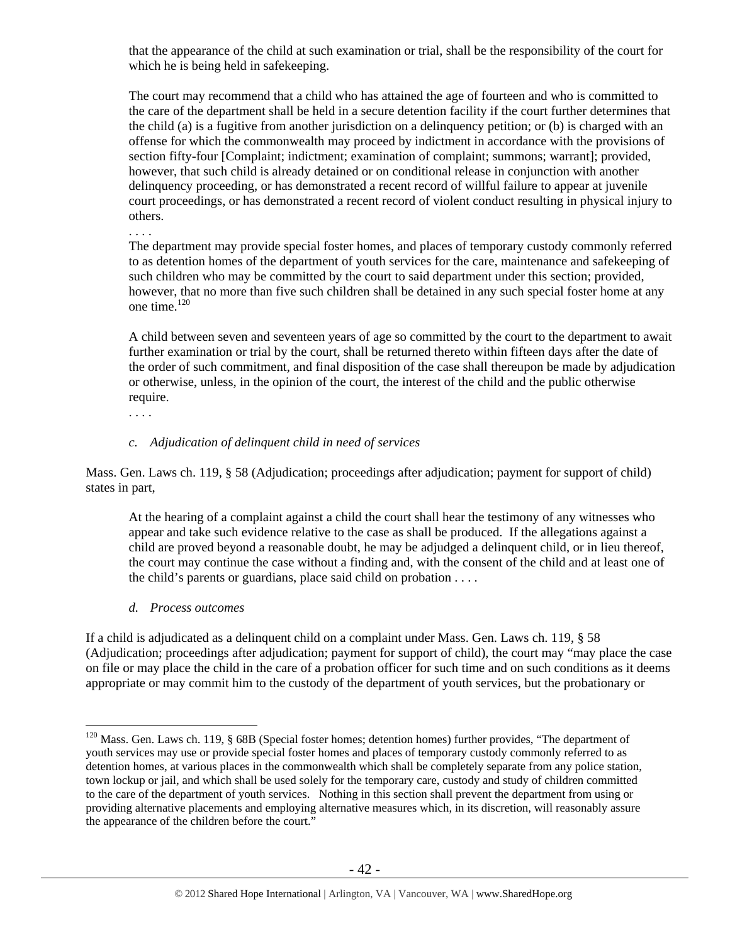that the appearance of the child at such examination or trial, shall be the responsibility of the court for which he is being held in safekeeping.

The court may recommend that a child who has attained the age of fourteen and who is committed to the care of the department shall be held in a secure detention facility if the court further determines that the child (a) is a fugitive from another jurisdiction on a delinquency petition; or (b) is charged with an offense for which the commonwealth may proceed by indictment in accordance with the provisions of section fifty-four [Complaint; indictment; examination of complaint; summons; warrant]; provided, however, that such child is already detained or on conditional release in conjunction with another delinquency proceeding, or has demonstrated a recent record of willful failure to appear at juvenile court proceedings, or has demonstrated a recent record of violent conduct resulting in physical injury to others.

The department may provide special foster homes, and places of temporary custody commonly referred to as detention homes of the department of youth services for the care, maintenance and safekeeping of such children who may be committed by the court to said department under this section; provided, however, that no more than five such children shall be detained in any such special foster home at any one time. $120$ 

A child between seven and seventeen years of age so committed by the court to the department to await further examination or trial by the court, shall be returned thereto within fifteen days after the date of the order of such commitment, and final disposition of the case shall thereupon be made by adjudication or otherwise, unless, in the opinion of the court, the interest of the child and the public otherwise require.

. . . .

 $\overline{a}$ 

. . . .

## *c. Adjudication of delinquent child in need of services*

Mass. Gen. Laws ch. 119, § 58 (Adjudication; proceedings after adjudication; payment for support of child) states in part,

At the hearing of a complaint against a child the court shall hear the testimony of any witnesses who appear and take such evidence relative to the case as shall be produced. If the allegations against a child are proved beyond a reasonable doubt, he may be adjudged a delinquent child, or in lieu thereof, the court may continue the case without a finding and, with the consent of the child and at least one of the child's parents or guardians, place said child on probation . . . .

#### *d. Process outcomes*

If a child is adjudicated as a delinquent child on a complaint under Mass. Gen. Laws ch. 119, § 58 (Adjudication; proceedings after adjudication; payment for support of child), the court may "may place the case on file or may place the child in the care of a probation officer for such time and on such conditions as it deems appropriate or may commit him to the custody of the department of youth services, but the probationary or

<sup>&</sup>lt;sup>120</sup> Mass. Gen. Laws ch. 119, § 68B (Special foster homes; detention homes) further provides, "The department of youth services may use or provide special foster homes and places of temporary custody commonly referred to as detention homes, at various places in the commonwealth which shall be completely separate from any police station, town lockup or jail, and which shall be used solely for the temporary care, custody and study of children committed to the care of the department of youth services. Nothing in this section shall prevent the department from using or providing alternative placements and employing alternative measures which, in its discretion, will reasonably assure the appearance of the children before the court."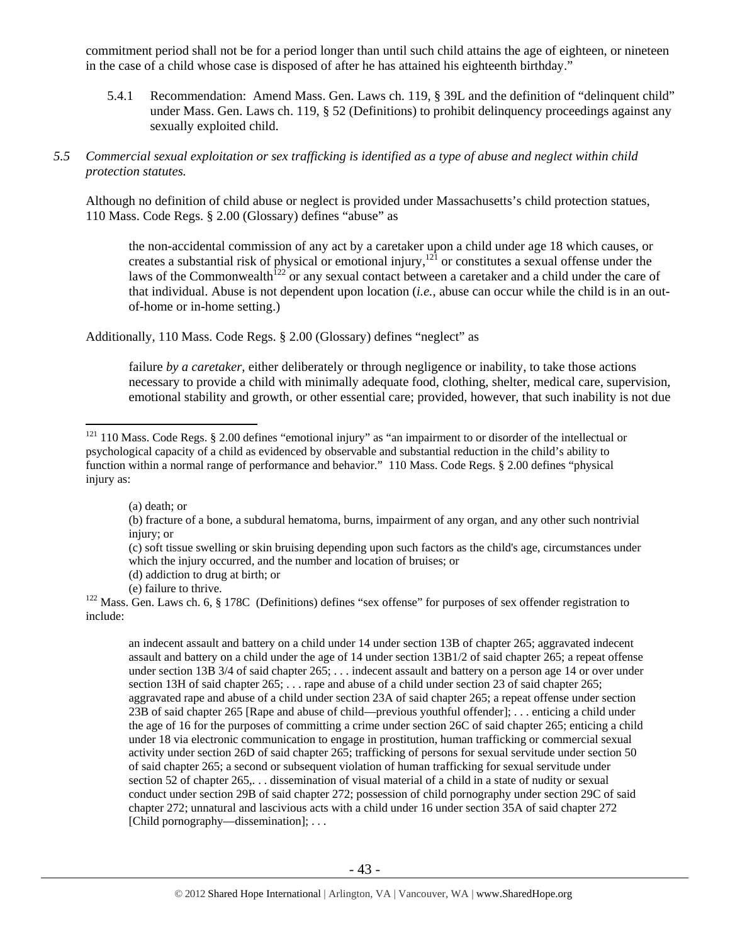commitment period shall not be for a period longer than until such child attains the age of eighteen, or nineteen in the case of a child whose case is disposed of after he has attained his eighteenth birthday."

5.4.1 Recommendation: Amend Mass. Gen. Laws ch. 119, § 39L and the definition of "delinquent child" under Mass. Gen. Laws ch. 119, § 52 (Definitions) to prohibit delinquency proceedings against any sexually exploited child.

### *5.5 Commercial sexual exploitation or sex trafficking is identified as a type of abuse and neglect within child protection statutes.*

Although no definition of child abuse or neglect is provided under Massachusetts's child protection statues, 110 Mass. Code Regs. § 2.00 (Glossary) defines "abuse" as

the non-accidental commission of any act by a caretaker upon a child under age 18 which causes, or creates a substantial risk of physical or emotional injury,<sup>121</sup> or constitutes a sexual offense under the laws of the Commonwealth<sup>122</sup> or any sexual contact between a caretaker and a child under the care of that individual. Abuse is not dependent upon location (*i.e.*, abuse can occur while the child is in an outof-home or in-home setting.)

Additionally, 110 Mass. Code Regs. § 2.00 (Glossary) defines "neglect" as

failure *by a caretaker*, either deliberately or through negligence or inability, to take those actions necessary to provide a child with minimally adequate food, clothing, shelter, medical care, supervision, emotional stability and growth, or other essential care; provided, however, that such inability is not due

(a) death; or

 $\overline{a}$ 

(c) soft tissue swelling or skin bruising depending upon such factors as the child's age, circumstances under which the injury occurred, and the number and location of bruises; or

- (d) addiction to drug at birth; or
- 

(e) failure to thrive. 122 Mass. Gen. Laws ch. 6, § 178C (Definitions) defines "sex offense" for purposes of sex offender registration to include:

an indecent assault and battery on a child under 14 under section 13B of chapter 265; aggravated indecent assault and battery on a child under the age of 14 under section 13B1/2 of said chapter 265; a repeat offense under section 13B 3/4 of said chapter 265; . . . indecent assault and battery on a person age 14 or over under section 13H of said chapter  $265$ ; . . . rape and abuse of a child under section 23 of said chapter 265; aggravated rape and abuse of a child under section 23A of said chapter 265; a repeat offense under section 23B of said chapter 265 [Rape and abuse of child—previous youthful offender]; . . . enticing a child under the age of 16 for the purposes of committing a crime under section 26C of said chapter 265; enticing a child under 18 via electronic communication to engage in prostitution, human trafficking or commercial sexual activity under section 26D of said chapter 265; trafficking of persons for sexual servitude under section 50 of said chapter 265; a second or subsequent violation of human trafficking for sexual servitude under section 52 of chapter 265,... dissemination of visual material of a child in a state of nudity or sexual conduct under section 29B of said chapter 272; possession of child pornography under section 29C of said chapter 272; unnatural and lascivious acts with a child under 16 under section 35A of said chapter 272 [Child pornography—dissemination]; ...

 $121$  110 Mass. Code Regs. § 2.00 defines "emotional injury" as "an impairment to or disorder of the intellectual or psychological capacity of a child as evidenced by observable and substantial reduction in the child's ability to function within a normal range of performance and behavior." 110 Mass. Code Regs. § 2.00 defines "physical injury as:

<sup>(</sup>b) fracture of a bone, a subdural hematoma, burns, impairment of any organ, and any other such nontrivial injury; or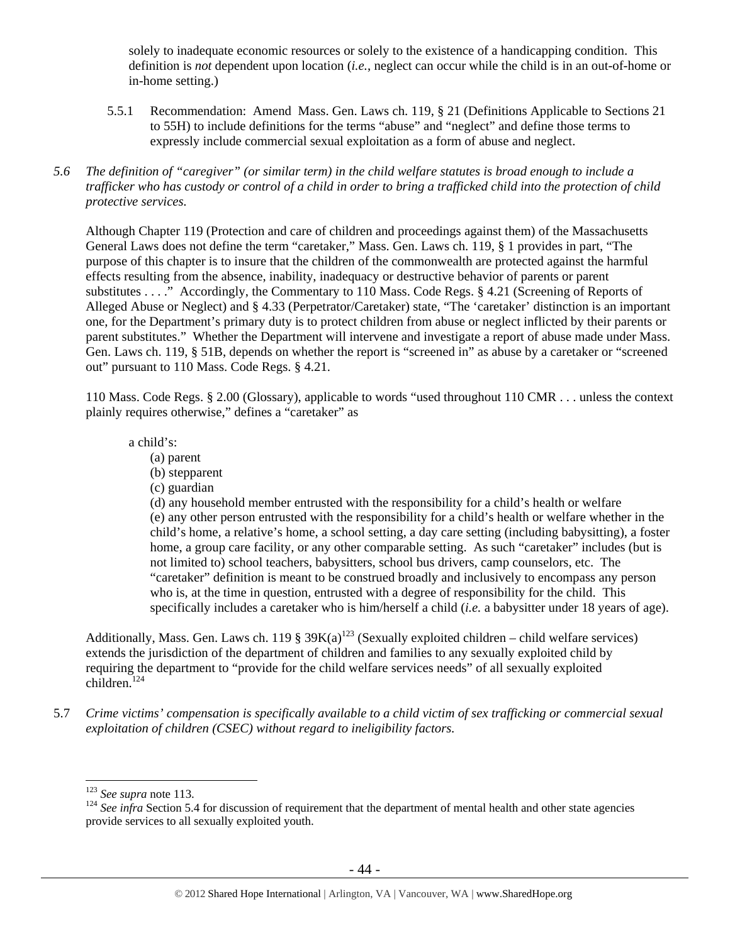solely to inadequate economic resources or solely to the existence of a handicapping condition. This definition is *not* dependent upon location (*i.e.*, neglect can occur while the child is in an out-of-home or in-home setting.)

- 5.5.1 Recommendation: Amend Mass. Gen. Laws ch. 119, § 21 (Definitions Applicable to Sections 21 to 55H) to include definitions for the terms "abuse" and "neglect" and define those terms to expressly include commercial sexual exploitation as a form of abuse and neglect.
- *5.6 The definition of "caregiver" (or similar term) in the child welfare statutes is broad enough to include a trafficker who has custody or control of a child in order to bring a trafficked child into the protection of child protective services.*

Although Chapter 119 (Protection and care of children and proceedings against them) of the Massachusetts General Laws does not define the term "caretaker," Mass. Gen. Laws ch. 119, § 1 provides in part, "The purpose of this chapter is to insure that the children of the commonwealth are protected against the harmful effects resulting from the absence, inability, inadequacy or destructive behavior of parents or parent substitutes . . . ." Accordingly, the Commentary to 110 Mass. Code Regs. § 4.21 (Screening of Reports of Alleged Abuse or Neglect) and § 4.33 (Perpetrator/Caretaker) state, "The 'caretaker' distinction is an important one, for the Department's primary duty is to protect children from abuse or neglect inflicted by their parents or parent substitutes." Whether the Department will intervene and investigate a report of abuse made under Mass. Gen. Laws ch. 119, § 51B, depends on whether the report is "screened in" as abuse by a caretaker or "screened out" pursuant to 110 Mass. Code Regs. § 4.21.

110 Mass. Code Regs. § 2.00 (Glossary), applicable to words "used throughout 110 CMR . . . unless the context plainly requires otherwise," defines a "caretaker" as

a child's:

- (a) parent
- (b) stepparent
- (c) guardian

(d) any household member entrusted with the responsibility for a child's health or welfare (e) any other person entrusted with the responsibility for a child's health or welfare whether in the child's home, a relative's home, a school setting, a day care setting (including babysitting), a foster home, a group care facility, or any other comparable setting. As such "caretaker" includes (but is not limited to) school teachers, babysitters, school bus drivers, camp counselors, etc. The "caretaker" definition is meant to be construed broadly and inclusively to encompass any person who is, at the time in question, entrusted with a degree of responsibility for the child. This specifically includes a caretaker who is him/herself a child (*i.e.* a babysitter under 18 years of age).

Additionally, Mass. Gen. Laws ch. 119 §  $39K(a)^{123}$  (Sexually exploited children – child welfare services) extends the jurisdiction of the department of children and families to any sexually exploited child by requiring the department to "provide for the child welfare services needs" of all sexually exploited children.<sup>124</sup>

5.7 *Crime victims' compensation is specifically available to a child victim of sex trafficking or commercial sexual exploitation of children (CSEC) without regard to ineligibility factors.* 

 $123$  See supra note 113.

<sup>&</sup>lt;sup>124</sup> See infra Section 5.4 for discussion of requirement that the department of mental health and other state agencies provide services to all sexually exploited youth.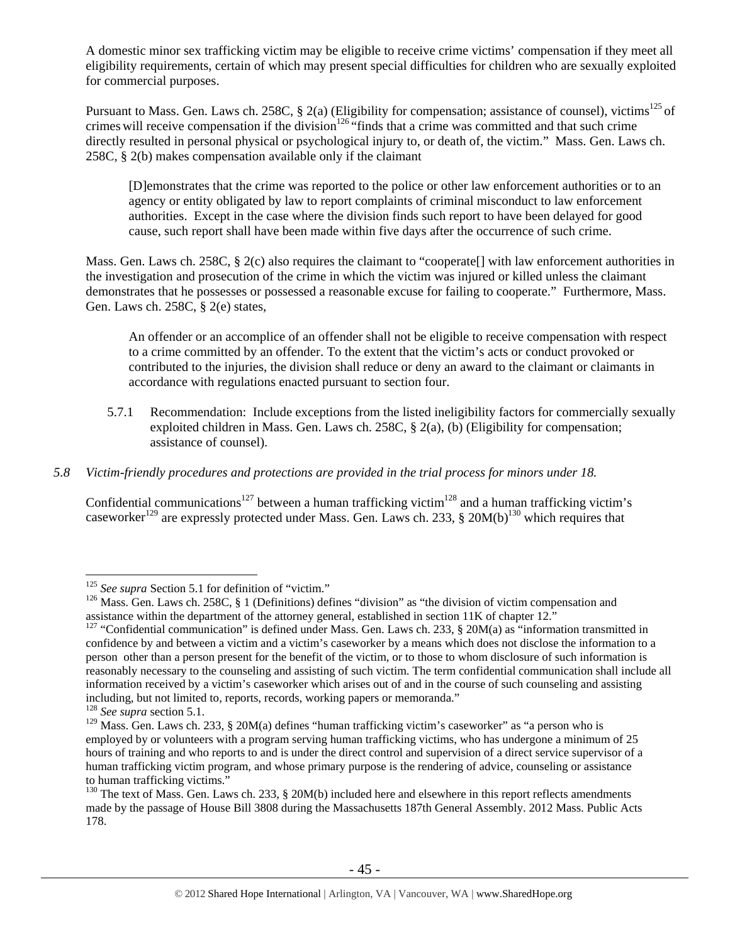A domestic minor sex trafficking victim may be eligible to receive crime victims' compensation if they meet all eligibility requirements, certain of which may present special difficulties for children who are sexually exploited for commercial purposes.

Pursuant to Mass. Gen. Laws ch. 258C, § 2(a) (Eligibility for compensation; assistance of counsel), victims<sup>125</sup> of crimes will receive compensation if the division<sup>126</sup> "finds that a crime was committed and that such crime directly resulted in personal physical or psychological injury to, or death of, the victim." Mass. Gen. Laws ch. 258C, § 2(b) makes compensation available only if the claimant

[D]emonstrates that the crime was reported to the police or other law enforcement authorities or to an agency or entity obligated by law to report complaints of criminal misconduct to law enforcement authorities. Except in the case where the division finds such report to have been delayed for good cause, such report shall have been made within five days after the occurrence of such crime.

Mass. Gen. Laws ch. 258C, § 2(c) also requires the claimant to "cooperate[] with law enforcement authorities in the investigation and prosecution of the crime in which the victim was injured or killed unless the claimant demonstrates that he possesses or possessed a reasonable excuse for failing to cooperate." Furthermore, Mass. Gen. Laws ch. 258C, § 2(e) states,

An offender or an accomplice of an offender shall not be eligible to receive compensation with respect to a crime committed by an offender. To the extent that the victim's acts or conduct provoked or contributed to the injuries, the division shall reduce or deny an award to the claimant or claimants in accordance with regulations enacted pursuant to section four.

5.7.1 Recommendation: Include exceptions from the listed ineligibility factors for commercially sexually exploited children in Mass. Gen. Laws ch. 258C, § 2(a), (b) (Eligibility for compensation; assistance of counsel).

# *5.8 Victim-friendly procedures and protections are provided in the trial process for minors under 18.*

Confidential communications<sup>127</sup> between a human trafficking victim<sup>128</sup> and a human trafficking victim's caseworker<sup>129</sup> are expressly protected under Mass. Gen. Laws ch. 233, § 20M(b)<sup>130</sup> which requires that

<sup>&</sup>lt;sup>125</sup> See supra Section 5.1 for definition of "victim."

<sup>&</sup>lt;sup>126</sup> Mass. Gen. Laws ch. 258C, § 1 (Definitions) defines "division" as "the division of victim compensation and assistance within the department of the attorney general, established in section 11K of chapter 12."

<sup>&</sup>lt;sup>127</sup> "Confidential communication" is defined under Mass. Gen. Laws ch. 233, § 20M(a) as "information transmitted in confidence by and between a victim and a victim's caseworker by a means which does not disclose the information to a person other than a person present for the benefit of the victim, or to those to whom disclosure of such information is reasonably necessary to the counseling and assisting of such victim. The term confidential communication shall include all information received by a victim's caseworker which arises out of and in the course of such counseling and assisting including, but not limited to, reports, records, working papers or memoranda."

<sup>128</sup> *See supra* section 5.1.

<sup>&</sup>lt;sup>129</sup> Mass. Gen. Laws ch. 233, § 20M(a) defines "human trafficking victim's caseworker" as "a person who is employed by or volunteers with a program serving human trafficking victims, who has undergone a minimum of 25 hours of training and who reports to and is under the direct control and supervision of a direct service supervisor of a human trafficking victim program, and whose primary purpose is the rendering of advice, counseling or assistance to human trafficking victims."

<sup>&</sup>lt;sup>130</sup> The text of Mass. Gen. Laws ch. 233, § 20M(b) included here and elsewhere in this report reflects amendments made by the passage of House Bill 3808 during the Massachusetts 187th General Assembly. 2012 Mass. Public Acts 178.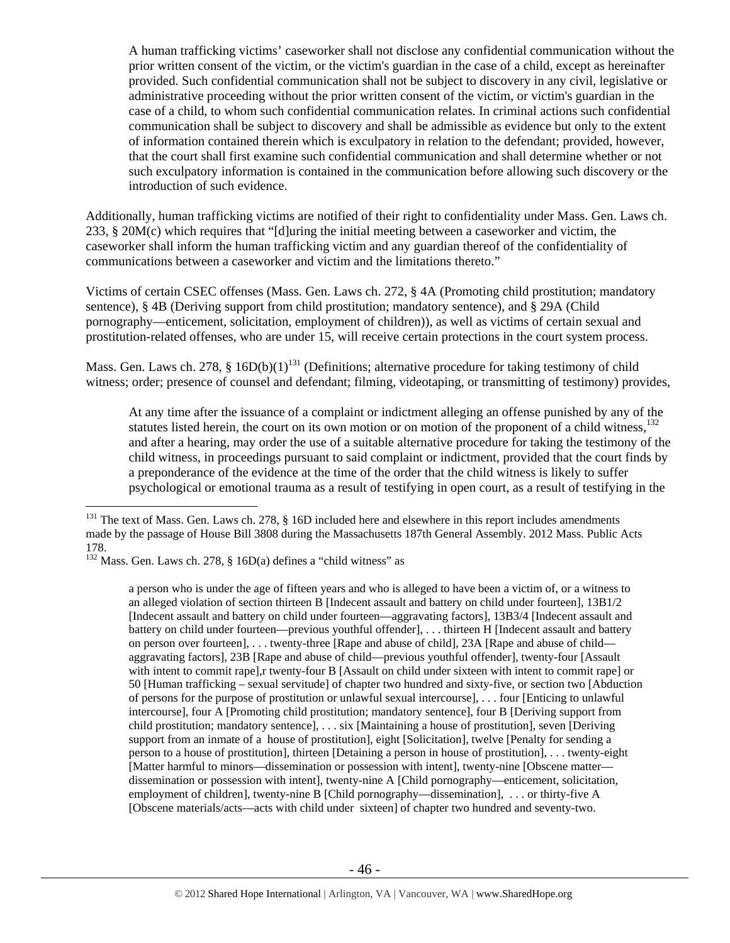A human trafficking victims' caseworker shall not disclose any confidential communication without the prior written consent of the victim, or the victim's guardian in the case of a child, except as hereinafter provided. Such confidential communication shall not be subject to discovery in any civil, legislative or administrative proceeding without the prior written consent of the victim, or victim's guardian in the case of a child, to whom such confidential communication relates. In criminal actions such confidential communication shall be subject to discovery and shall be admissible as evidence but only to the extent of information contained therein which is exculpatory in relation to the defendant; provided, however, that the court shall first examine such confidential communication and shall determine whether or not such exculpatory information is contained in the communication before allowing such discovery or the introduction of such evidence.

Additionally, human trafficking victims are notified of their right to confidentiality under Mass. Gen. Laws ch. 233, § 20M(c) which requires that "[d]uring the initial meeting between a caseworker and victim, the caseworker shall inform the human trafficking victim and any guardian thereof of the confidentiality of communications between a caseworker and victim and the limitations thereto."

Victims of certain CSEC offenses (Mass. Gen. Laws ch. 272, § 4A (Promoting child prostitution; mandatory sentence), § 4B (Deriving support from child prostitution; mandatory sentence), and § 29A (Child pornography—enticement, solicitation, employment of children)), as well as victims of certain sexual and prostitution-related offenses, who are under 15, will receive certain protections in the court system process.

Mass. Gen. Laws ch. 278, §  $16D(b)(1)^{131}$  (Definitions; alternative procedure for taking testimony of child witness; order; presence of counsel and defendant; filming, videotaping, or transmitting of testimony) provides,

At any time after the issuance of a complaint or indictment alleging an offense punished by any of the statutes listed herein, the court on its own motion or on motion of the proponent of a child witness,  $132$ and after a hearing, may order the use of a suitable alternative procedure for taking the testimony of the child witness, in proceedings pursuant to said complaint or indictment, provided that the court finds by a preponderance of the evidence at the time of the order that the child witness is likely to suffer psychological or emotional trauma as a result of testifying in open court, as a result of testifying in the

 $\overline{a}$ 

a person who is under the age of fifteen years and who is alleged to have been a victim of, or a witness to an alleged violation of section thirteen B [Indecent assault and battery on child under fourteen], 13B1/2 [Indecent assault and battery on child under fourteen—aggravating factors], 13B3/4 [Indecent assault and battery on child under fourteen—previous youthful offender], . . . thirteen H [Indecent assault and battery on person over fourteen], . . . twenty-three [Rape and abuse of child], 23A [Rape and abuse of child aggravating factors], 23B [Rape and abuse of child—previous youthful offender], twenty-four [Assault with intent to commit rape],r twenty-four B [Assault on child under sixteen with intent to commit rape] or 50 [Human trafficking – sexual servitude] of chapter two hundred and sixty-five, or section two [Abduction of persons for the purpose of prostitution or unlawful sexual intercourse], . . . four [Enticing to unlawful intercourse], four A [Promoting child prostitution; mandatory sentence], four B [Deriving support from child prostitution; mandatory sentence], . . . six [Maintaining a house of prostitution], seven [Deriving support from an inmate of a house of prostitution], eight [Solicitation], twelve [Penalty for sending a person to a house of prostitution], thirteen [Detaining a person in house of prostitution], . . . twenty-eight [Matter harmful to minors—dissemination or possession with intent], twenty-nine [Obscene matter dissemination or possession with intent], twenty-nine A [Child pornography—enticement, solicitation, employment of children], twenty-nine B [Child pornography—dissemination], . . . or thirty-five A [Obscene materials/acts—acts with child under sixteen] of chapter two hundred and seventy-two.

 $131$  The text of Mass. Gen. Laws ch. 278, § 16D included here and elsewhere in this report includes amendments made by the passage of House Bill 3808 during the Massachusetts 187th General Assembly. 2012 Mass. Public Acts 178.

 $132$  Mass. Gen. Laws ch. 278, § 16D(a) defines a "child witness" as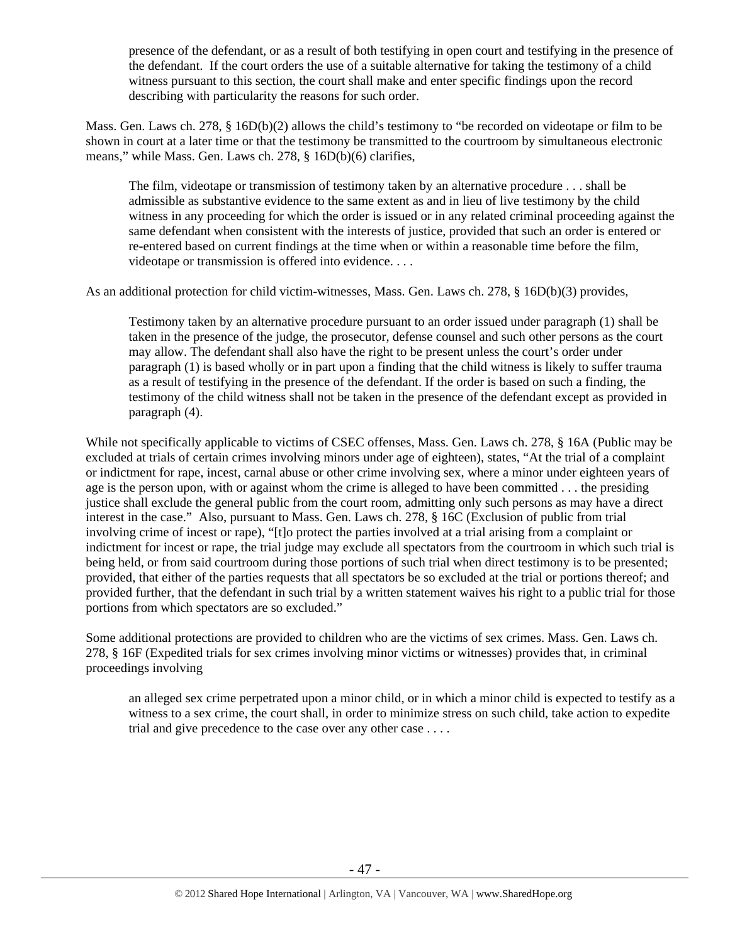presence of the defendant, or as a result of both testifying in open court and testifying in the presence of the defendant. If the court orders the use of a suitable alternative for taking the testimony of a child witness pursuant to this section, the court shall make and enter specific findings upon the record describing with particularity the reasons for such order.

Mass. Gen. Laws ch. 278, § 16D(b)(2) allows the child's testimony to "be recorded on videotape or film to be shown in court at a later time or that the testimony be transmitted to the courtroom by simultaneous electronic means," while Mass. Gen. Laws ch. 278, § 16D(b)(6) clarifies,

The film, videotape or transmission of testimony taken by an alternative procedure . . . shall be admissible as substantive evidence to the same extent as and in lieu of live testimony by the child witness in any proceeding for which the order is issued or in any related criminal proceeding against the same defendant when consistent with the interests of justice, provided that such an order is entered or re-entered based on current findings at the time when or within a reasonable time before the film, videotape or transmission is offered into evidence. . . .

As an additional protection for child victim-witnesses, Mass. Gen. Laws ch. 278, § 16D(b)(3) provides,

Testimony taken by an alternative procedure pursuant to an order issued under paragraph (1) shall be taken in the presence of the judge, the prosecutor, defense counsel and such other persons as the court may allow. The defendant shall also have the right to be present unless the court's order under paragraph (1) is based wholly or in part upon a finding that the child witness is likely to suffer trauma as a result of testifying in the presence of the defendant. If the order is based on such a finding, the testimony of the child witness shall not be taken in the presence of the defendant except as provided in paragraph (4).

While not specifically applicable to victims of CSEC offenses, Mass. Gen. Laws ch. 278, § 16A (Public may be excluded at trials of certain crimes involving minors under age of eighteen), states, "At the trial of a complaint or indictment for rape, incest, carnal abuse or other crime involving sex, where a minor under eighteen years of age is the person upon, with or against whom the crime is alleged to have been committed . . . the presiding justice shall exclude the general public from the court room, admitting only such persons as may have a direct interest in the case." Also, pursuant to Mass. Gen. Laws ch. 278, § 16C (Exclusion of public from trial involving crime of incest or rape), "[t]o protect the parties involved at a trial arising from a complaint or indictment for incest or rape, the trial judge may exclude all spectators from the courtroom in which such trial is being held, or from said courtroom during those portions of such trial when direct testimony is to be presented; provided, that either of the parties requests that all spectators be so excluded at the trial or portions thereof; and provided further, that the defendant in such trial by a written statement waives his right to a public trial for those portions from which spectators are so excluded."

Some additional protections are provided to children who are the victims of sex crimes. Mass. Gen. Laws ch. 278, § 16F (Expedited trials for sex crimes involving minor victims or witnesses) provides that, in criminal proceedings involving

an alleged sex crime perpetrated upon a minor child, or in which a minor child is expected to testify as a witness to a sex crime, the court shall, in order to minimize stress on such child, take action to expedite trial and give precedence to the case over any other case . . . .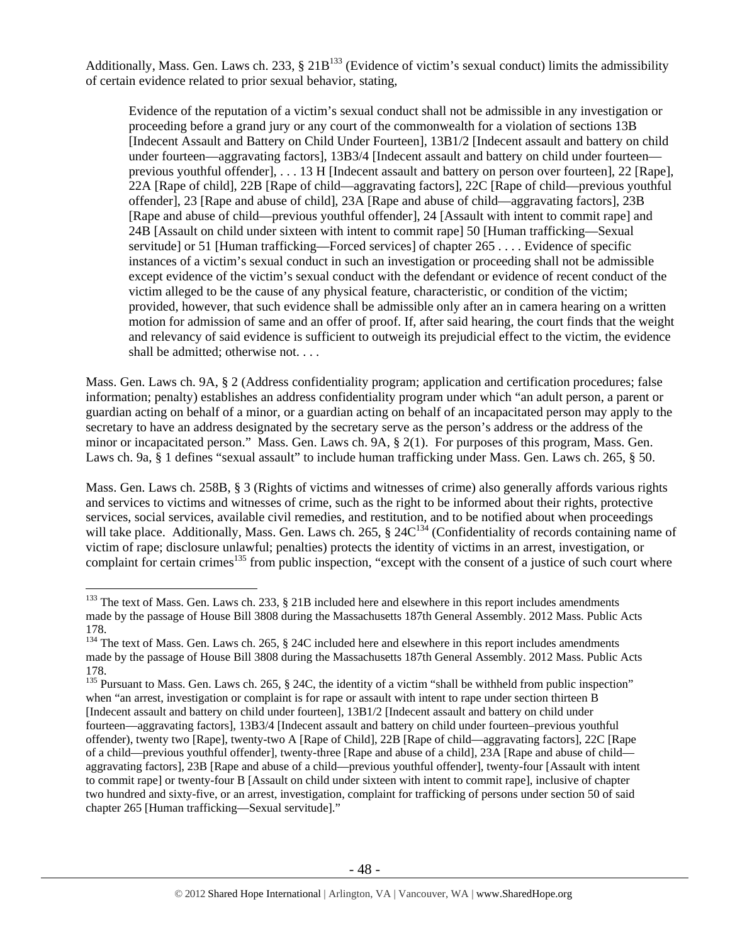Additionally, Mass. Gen. Laws ch. 233,  $\S 21B<sup>133</sup>$  (Evidence of victim's sexual conduct) limits the admissibility of certain evidence related to prior sexual behavior, stating,

Evidence of the reputation of a victim's sexual conduct shall not be admissible in any investigation or proceeding before a grand jury or any court of the commonwealth for a violation of sections 13B [Indecent Assault and Battery on Child Under Fourteen], 13B1/2 [Indecent assault and battery on child under fourteen—aggravating factors], 13B3/4 [Indecent assault and battery on child under fourteen previous youthful offender], . . . 13 H [Indecent assault and battery on person over fourteen], 22 [Rape], 22A [Rape of child], 22B [Rape of child—aggravating factors], 22C [Rape of child—previous youthful offender], 23 [Rape and abuse of child], 23A [Rape and abuse of child—aggravating factors], 23B [Rape and abuse of child—previous youthful offender], 24 [Assault with intent to commit rape] and 24B [Assault on child under sixteen with intent to commit rape] 50 [Human trafficking—Sexual servitude] or 51 [Human trafficking—Forced services] of chapter 265 . . . . Evidence of specific instances of a victim's sexual conduct in such an investigation or proceeding shall not be admissible except evidence of the victim's sexual conduct with the defendant or evidence of recent conduct of the victim alleged to be the cause of any physical feature, characteristic, or condition of the victim; provided, however, that such evidence shall be admissible only after an in camera hearing on a written motion for admission of same and an offer of proof. If, after said hearing, the court finds that the weight and relevancy of said evidence is sufficient to outweigh its prejudicial effect to the victim, the evidence shall be admitted; otherwise not. . . .

Mass. Gen. Laws ch. 9A, § 2 (Address confidentiality program; application and certification procedures; false information; penalty) establishes an address confidentiality program under which "an adult person, a parent or guardian acting on behalf of a minor, or a guardian acting on behalf of an incapacitated person may apply to the secretary to have an address designated by the secretary serve as the person's address or the address of the minor or incapacitated person." Mass. Gen. Laws ch. 9A, § 2(1). For purposes of this program, Mass. Gen. Laws ch. 9a, § 1 defines "sexual assault" to include human trafficking under Mass. Gen. Laws ch. 265, § 50.

Mass. Gen. Laws ch. 258B, § 3 (Rights of victims and witnesses of crime) also generally affords various rights and services to victims and witnesses of crime, such as the right to be informed about their rights, protective services, social services, available civil remedies, and restitution, and to be notified about when proceedings will take place. Additionally, Mass. Gen. Laws ch. 265,  $\S$  24 $C^{134}$  (Confidentiality of records containing name of victim of rape; disclosure unlawful; penalties) protects the identity of victims in an arrest, investigation, or complaint for certain crimes<sup>135</sup> from public inspection, "except with the consent of a justice of such court where

<sup>&</sup>lt;sup>133</sup> The text of Mass. Gen. Laws ch. 233,  $\S$  21B included here and elsewhere in this report includes amendments made by the passage of House Bill 3808 during the Massachusetts 187th General Assembly. 2012 Mass. Public Acts 178.

<sup>&</sup>lt;sup>134</sup> The text of Mass. Gen. Laws ch. 265, § 24C included here and elsewhere in this report includes amendments made by the passage of House Bill 3808 during the Massachusetts 187th General Assembly. 2012 Mass. Public Acts 178.

<sup>&</sup>lt;sup>135</sup> Pursuant to Mass. Gen. Laws ch. 265, § 24C, the identity of a victim "shall be withheld from public inspection" when "an arrest, investigation or complaint is for rape or assault with intent to rape under section thirteen B [Indecent assault and battery on child under fourteen], 13B1/2 [Indecent assault and battery on child under fourteen—aggravating factors], 13B3/4 [Indecent assault and battery on child under fourteen–previous youthful offender), twenty two [Rape], twenty-two A [Rape of Child], 22B [Rape of child—aggravating factors], 22C [Rape of a child—previous youthful offender], twenty-three [Rape and abuse of a child], 23A [Rape and abuse of child aggravating factors], 23B [Rape and abuse of a child—previous youthful offender], twenty-four [Assault with intent to commit rape] or twenty-four B [Assault on child under sixteen with intent to commit rape], inclusive of chapter two hundred and sixty-five, or an arrest, investigation, complaint for trafficking of persons under section 50 of said chapter 265 [Human trafficking—Sexual servitude]."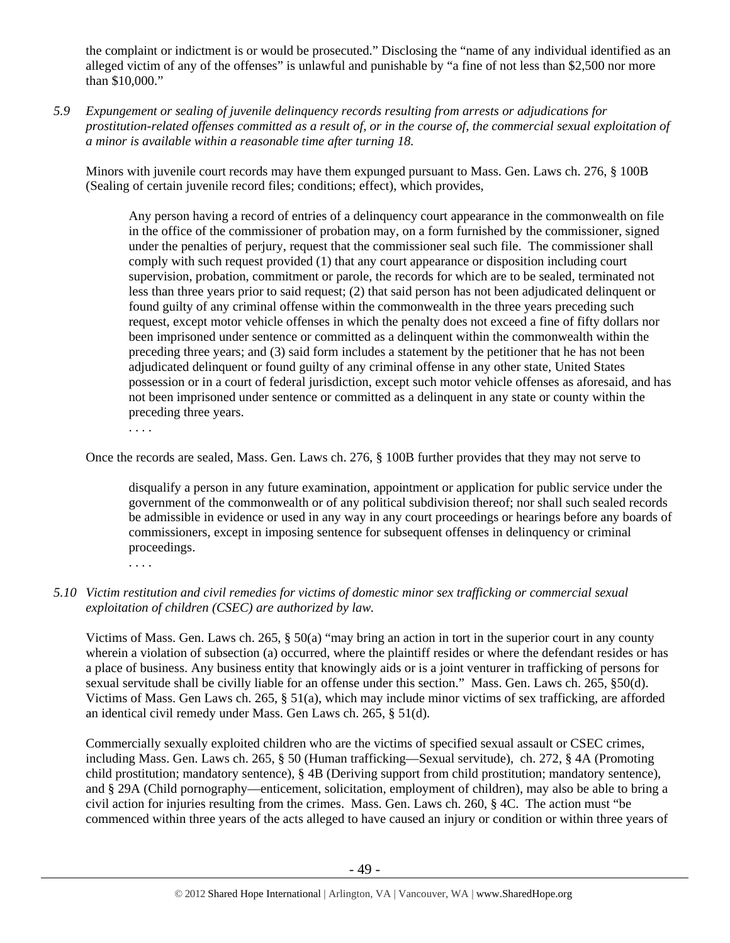the complaint or indictment is or would be prosecuted." Disclosing the "name of any individual identified as an alleged victim of any of the offenses" is unlawful and punishable by "a fine of not less than \$2,500 nor more than \$10,000."

*5.9 Expungement or sealing of juvenile delinquency records resulting from arrests or adjudications for prostitution-related offenses committed as a result of, or in the course of, the commercial sexual exploitation of a minor is available within a reasonable time after turning 18.* 

Minors with juvenile court records may have them expunged pursuant to Mass. Gen. Laws ch. 276, § 100B (Sealing of certain juvenile record files; conditions; effect), which provides,

Any person having a record of entries of a delinquency court appearance in the commonwealth on file in the office of the commissioner of probation may, on a form furnished by the commissioner, signed under the penalties of perjury, request that the commissioner seal such file. The commissioner shall comply with such request provided (1) that any court appearance or disposition including court supervision, probation, commitment or parole, the records for which are to be sealed, terminated not less than three years prior to said request; (2) that said person has not been adjudicated delinquent or found guilty of any criminal offense within the commonwealth in the three years preceding such request, except motor vehicle offenses in which the penalty does not exceed a fine of fifty dollars nor been imprisoned under sentence or committed as a delinquent within the commonwealth within the preceding three years; and (3) said form includes a statement by the petitioner that he has not been adjudicated delinquent or found guilty of any criminal offense in any other state, United States possession or in a court of federal jurisdiction, except such motor vehicle offenses as aforesaid, and has not been imprisoned under sentence or committed as a delinquent in any state or county within the preceding three years.

. . . .

Once the records are sealed, Mass. Gen. Laws ch. 276, § 100B further provides that they may not serve to

disqualify a person in any future examination, appointment or application for public service under the government of the commonwealth or of any political subdivision thereof; nor shall such sealed records be admissible in evidence or used in any way in any court proceedings or hearings before any boards of commissioners, except in imposing sentence for subsequent offenses in delinquency or criminal proceedings.

. . . .

# *5.10 Victim restitution and civil remedies for victims of domestic minor sex trafficking or commercial sexual exploitation of children (CSEC) are authorized by law.*

Victims of Mass. Gen. Laws ch. 265, § 50(a) "may bring an action in tort in the superior court in any county wherein a violation of subsection (a) occurred, where the plaintiff resides or where the defendant resides or has a place of business. Any business entity that knowingly aids or is a joint venturer in trafficking of persons for sexual servitude shall be civilly liable for an offense under this section." Mass. Gen. Laws ch. 265, §50(d). Victims of Mass. Gen Laws ch. 265, § 51(a), which may include minor victims of sex trafficking, are afforded an identical civil remedy under Mass. Gen Laws ch. 265, § 51(d).

Commercially sexually exploited children who are the victims of specified sexual assault or CSEC crimes, including Mass. Gen. Laws ch. 265, § 50 (Human trafficking—Sexual servitude), ch. 272, § 4A (Promoting child prostitution; mandatory sentence), § 4B (Deriving support from child prostitution; mandatory sentence), and § 29A (Child pornography—enticement, solicitation, employment of children), may also be able to bring a civil action for injuries resulting from the crimes. Mass. Gen. Laws ch. 260, § 4C. The action must "be commenced within three years of the acts alleged to have caused an injury or condition or within three years of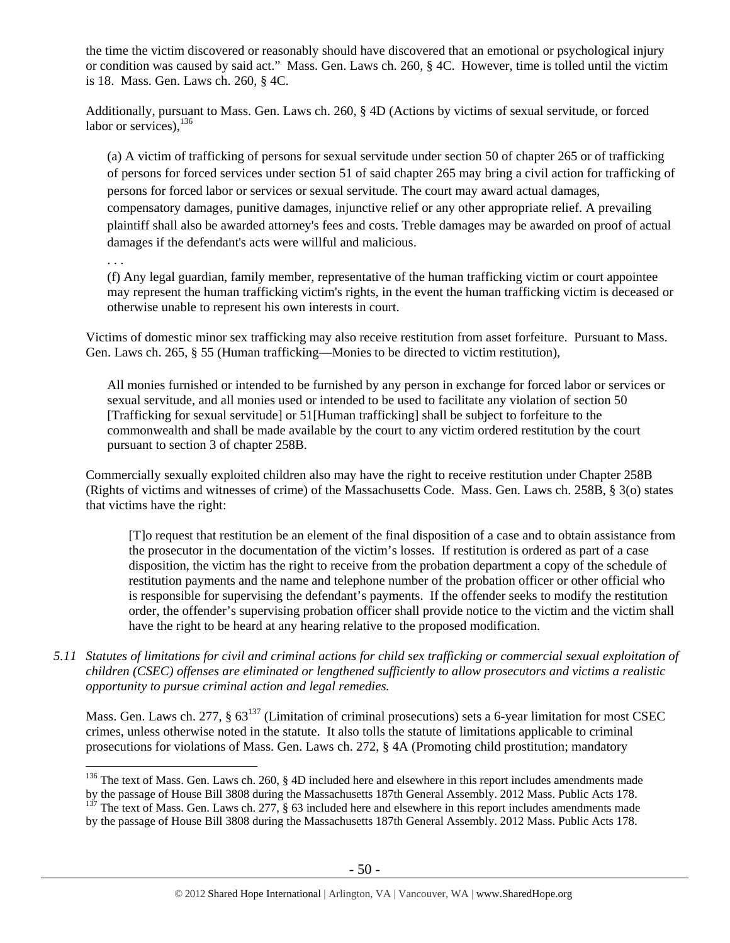the time the victim discovered or reasonably should have discovered that an emotional or psychological injury or condition was caused by said act." Mass. Gen. Laws ch. 260, § 4C. However, time is tolled until the victim is 18. Mass. Gen. Laws ch. 260, § 4C.

Additionally, pursuant to Mass. Gen. Laws ch. 260, § 4D (Actions by victims of sexual servitude, or forced labor or services), $^{136}$ 

(a) A victim of trafficking of persons for sexual servitude under section 50 of chapter 265 or of trafficking of persons for forced services under section 51 of said chapter 265 may bring a civil action for trafficking of persons for forced labor or services or sexual servitude. The court may award actual damages, compensatory damages, punitive damages, injunctive relief or any other appropriate relief. A prevailing plaintiff shall also be awarded attorney's fees and costs. Treble damages may be awarded on proof of actual damages if the defendant's acts were willful and malicious.

. . .

 $\overline{a}$ 

(f) Any legal guardian, family member, representative of the human trafficking victim or court appointee may represent the human trafficking victim's rights, in the event the human trafficking victim is deceased or otherwise unable to represent his own interests in court.

Victims of domestic minor sex trafficking may also receive restitution from asset forfeiture. Pursuant to Mass. Gen. Laws ch. 265, § 55 (Human trafficking—Monies to be directed to victim restitution),

All monies furnished or intended to be furnished by any person in exchange for forced labor or services or sexual servitude, and all monies used or intended to be used to facilitate any violation of section 50 [Trafficking for sexual servitude] or 51[Human trafficking] shall be subject to forfeiture to the commonwealth and shall be made available by the court to any victim ordered restitution by the court pursuant to section 3 of chapter 258B.

Commercially sexually exploited children also may have the right to receive restitution under Chapter 258B (Rights of victims and witnesses of crime) of the Massachusetts Code. Mass. Gen. Laws ch. 258B, § 3(o) states that victims have the right:

[T]o request that restitution be an element of the final disposition of a case and to obtain assistance from the prosecutor in the documentation of the victim's losses. If restitution is ordered as part of a case disposition, the victim has the right to receive from the probation department a copy of the schedule of restitution payments and the name and telephone number of the probation officer or other official who is responsible for supervising the defendant's payments. If the offender seeks to modify the restitution order, the offender's supervising probation officer shall provide notice to the victim and the victim shall have the right to be heard at any hearing relative to the proposed modification.

*5.11 Statutes of limitations for civil and criminal actions for child sex trafficking or commercial sexual exploitation of children (CSEC) offenses are eliminated or lengthened sufficiently to allow prosecutors and victims a realistic opportunity to pursue criminal action and legal remedies.* 

Mass. Gen. Laws ch. 277, §  $63^{137}$  (Limitation of criminal prosecutions) sets a 6-year limitation for most CSEC crimes, unless otherwise noted in the statute. It also tolls the statute of limitations applicable to criminal prosecutions for violations of Mass. Gen. Laws ch. 272, § 4A (Promoting child prostitution; mandatory

<sup>&</sup>lt;sup>136</sup> The text of Mass. Gen. Laws ch. 260, § 4D included here and elsewhere in this report includes amendments made

by the passage of House Bill 3808 during the Massachusetts 187th General Assembly. 2012 Mass. Public Acts 178. <sup>137</sup> The text of Mass. Gen. Laws ch. 277, § 63 included here and elsewhere in this report includes amendments

by the passage of House Bill 3808 during the Massachusetts 187th General Assembly. 2012 Mass. Public Acts 178.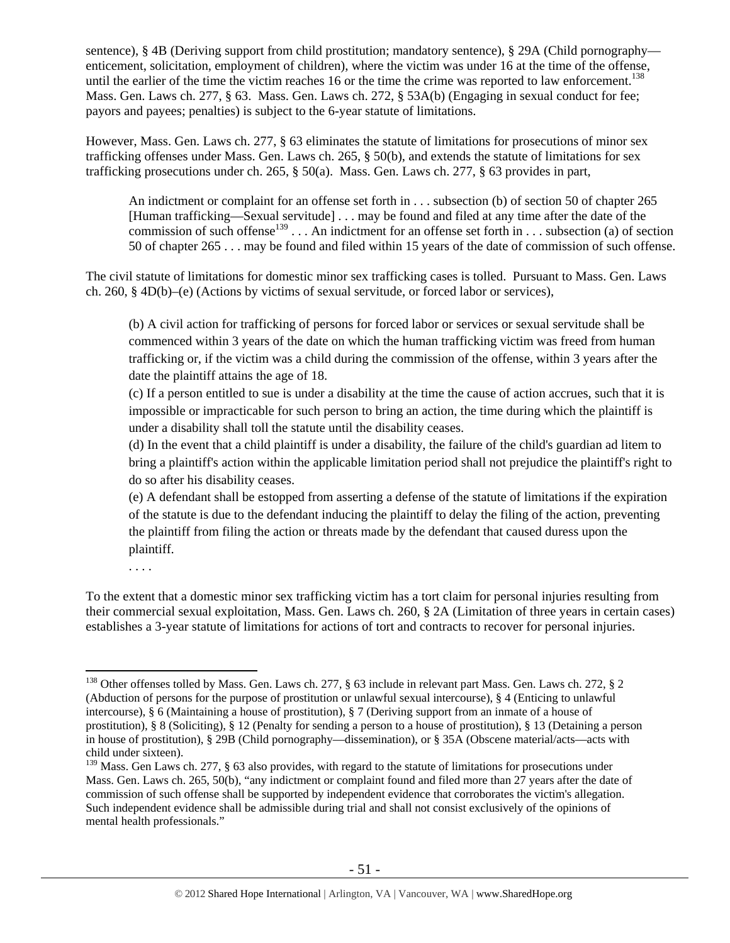sentence), § 4B (Deriving support from child prostitution; mandatory sentence), § 29A (Child pornography enticement, solicitation, employment of children), where the victim was under 16 at the time of the offense, until the earlier of the time the victim reaches 16 or the time the crime was reported to law enforcement.<sup>138</sup> Mass. Gen. Laws ch. 277, § 63. Mass. Gen. Laws ch. 272, § 53A(b) (Engaging in sexual conduct for fee; payors and payees; penalties) is subject to the 6-year statute of limitations.

However, Mass. Gen. Laws ch. 277, § 63 eliminates the statute of limitations for prosecutions of minor sex trafficking offenses under Mass. Gen. Laws ch. 265, § 50(b), and extends the statute of limitations for sex trafficking prosecutions under ch. 265, § 50(a). Mass. Gen. Laws ch. 277, § 63 provides in part,

An indictment or complaint for an offense set forth in . . . subsection (b) of section 50 of chapter 265 [Human trafficking—Sexual servitude] . . . may be found and filed at any time after the date of the commission of such offense<sup>139</sup> . . . An indictment for an offense set forth in . . . subsection (a) of section 50 of chapter 265 . . . may be found and filed within 15 years of the date of commission of such offense.

The civil statute of limitations for domestic minor sex trafficking cases is tolled. Pursuant to Mass. Gen. Laws ch. 260, § 4D(b)–(e) (Actions by victims of sexual servitude, or forced labor or services),

(b) A civil action for trafficking of persons for forced labor or services or sexual servitude shall be commenced within 3 years of the date on which the human trafficking victim was freed from human trafficking or, if the victim was a child during the commission of the offense, within 3 years after the date the plaintiff attains the age of 18.

(c) If a person entitled to sue is under a disability at the time the cause of action accrues, such that it is impossible or impracticable for such person to bring an action, the time during which the plaintiff is under a disability shall toll the statute until the disability ceases.

(d) In the event that a child plaintiff is under a disability, the failure of the child's guardian ad litem to bring a plaintiff's action within the applicable limitation period shall not prejudice the plaintiff's right to do so after his disability ceases.

(e) A defendant shall be estopped from asserting a defense of the statute of limitations if the expiration of the statute is due to the defendant inducing the plaintiff to delay the filing of the action, preventing the plaintiff from filing the action or threats made by the defendant that caused duress upon the plaintiff.

. . . .

 $\overline{a}$ 

To the extent that a domestic minor sex trafficking victim has a tort claim for personal injuries resulting from their commercial sexual exploitation, Mass. Gen. Laws ch. 260, § 2A (Limitation of three years in certain cases) establishes a 3-year statute of limitations for actions of tort and contracts to recover for personal injuries.

<sup>&</sup>lt;sup>138</sup> Other offenses tolled by Mass. Gen. Laws ch. 277, § 63 include in relevant part Mass. Gen. Laws ch. 272, § 2 (Abduction of persons for the purpose of prostitution or unlawful sexual intercourse), § 4 (Enticing to unlawful intercourse), § 6 (Maintaining a house of prostitution), § 7 (Deriving support from an inmate of a house of prostitution), § 8 (Soliciting), § 12 (Penalty for sending a person to a house of prostitution), § 13 (Detaining a person in house of prostitution), § 29B (Child pornography—dissemination), or § 35A (Obscene material/acts—acts with child under sixteen).

 $139$  Mass. Gen Laws ch. 277, § 63 also provides, with regard to the statute of limitations for prosecutions under Mass. Gen. Laws ch. 265, 50(b), "any indictment or complaint found and filed more than 27 years after the date of commission of such offense shall be supported by independent evidence that corroborates the victim's allegation. Such independent evidence shall be admissible during trial and shall not consist exclusively of the opinions of mental health professionals."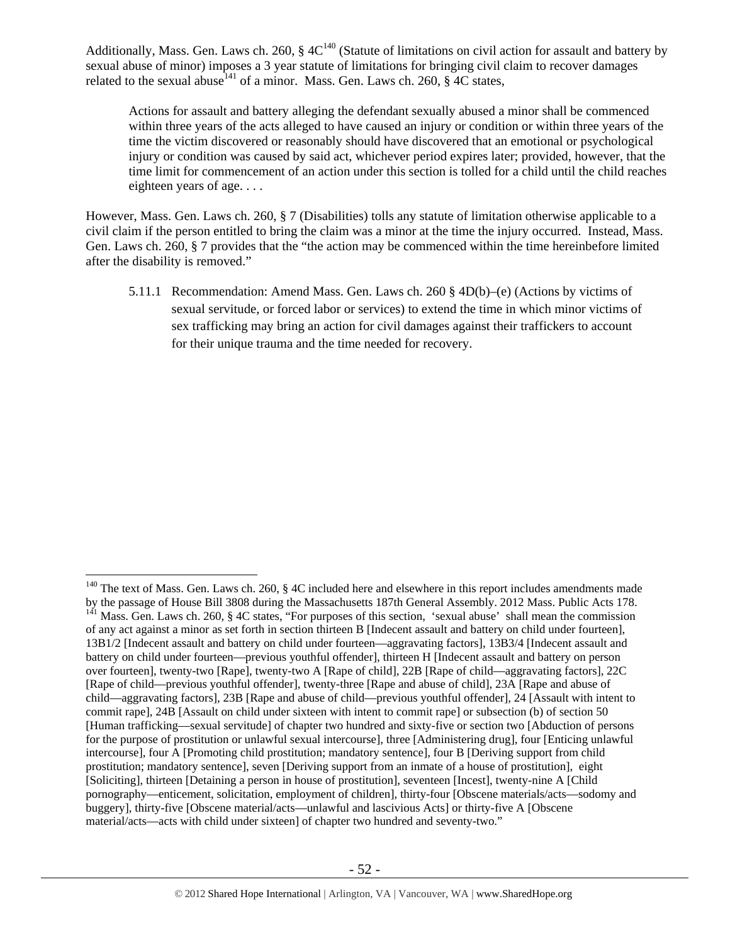Additionally, Mass. Gen. Laws ch. 260,  $\S 4C^{140}$  (Statute of limitations on civil action for assault and battery by sexual abuse of minor) imposes a 3 year statute of limitations for bringing civil claim to recover damages related to the sexual abuse<sup>141</sup> of a minor. Mass. Gen. Laws ch. 260,  $\frac{8}{10}$  4C states,

Actions for assault and battery alleging the defendant sexually abused a minor shall be commenced within three years of the acts alleged to have caused an injury or condition or within three years of the time the victim discovered or reasonably should have discovered that an emotional or psychological injury or condition was caused by said act, whichever period expires later; provided, however, that the time limit for commencement of an action under this section is tolled for a child until the child reaches eighteen years of age. . . .

However, Mass. Gen. Laws ch. 260, § 7 (Disabilities) tolls any statute of limitation otherwise applicable to a civil claim if the person entitled to bring the claim was a minor at the time the injury occurred. Instead, Mass. Gen. Laws ch. 260, § 7 provides that the "the action may be commenced within the time hereinbefore limited after the disability is removed."

5.11.1 Recommendation: Amend Mass. Gen. Laws ch. 260 § 4D(b)–(e) (Actions by victims of sexual servitude, or forced labor or services) to extend the time in which minor victims of sex trafficking may bring an action for civil damages against their traffickers to account for their unique trauma and the time needed for recovery.

<sup>&</sup>lt;sup>140</sup> The text of Mass. Gen. Laws ch. 260, § 4C included here and elsewhere in this report includes amendments made<br>by the passage of House Bill 3808 during the Massachusetts 187th General Assembly. 2012 Mass. Public Acts  $h^{141}$  Mass. Gen. Laws ch. 260, § 4C states, "For purposes of this section, 'sexual abuse' shall mean the commission of any act against a minor as set forth in section thirteen B [Indecent assault and battery on child under fourteen], 13B1/2 [Indecent assault and battery on child under fourteen—aggravating factors], 13B3/4 [Indecent assault and battery on child under fourteen—previous youthful offender], thirteen H [Indecent assault and battery on person over fourteen], twenty-two [Rape], twenty-two A [Rape of child], 22B [Rape of child—aggravating factors], 22C [Rape of child—previous youthful offender], twenty-three [Rape and abuse of child], 23A [Rape and abuse of child—aggravating factors], 23B [Rape and abuse of child—previous youthful offender], 24 [Assault with intent to commit rape], 24B [Assault on child under sixteen with intent to commit rape] or subsection (b) of section 50 [Human trafficking—sexual servitude] of chapter two hundred and sixty-five or section two [Abduction of persons for the purpose of prostitution or unlawful sexual intercourse], three [Administering drug], four [Enticing unlawful intercourse], four A [Promoting child prostitution; mandatory sentence], four B [Deriving support from child prostitution; mandatory sentence], seven [Deriving support from an inmate of a house of prostitution], eight [Soliciting], thirteen [Detaining a person in house of prostitution], seventeen [Incest], twenty-nine A [Child pornography—enticement, solicitation, employment of children], thirty-four [Obscene materials/acts—sodomy and buggery], thirty-five [Obscene material/acts—unlawful and lascivious Acts] or thirty-five A [Obscene material/acts—acts with child under sixteen] of chapter two hundred and seventy-two."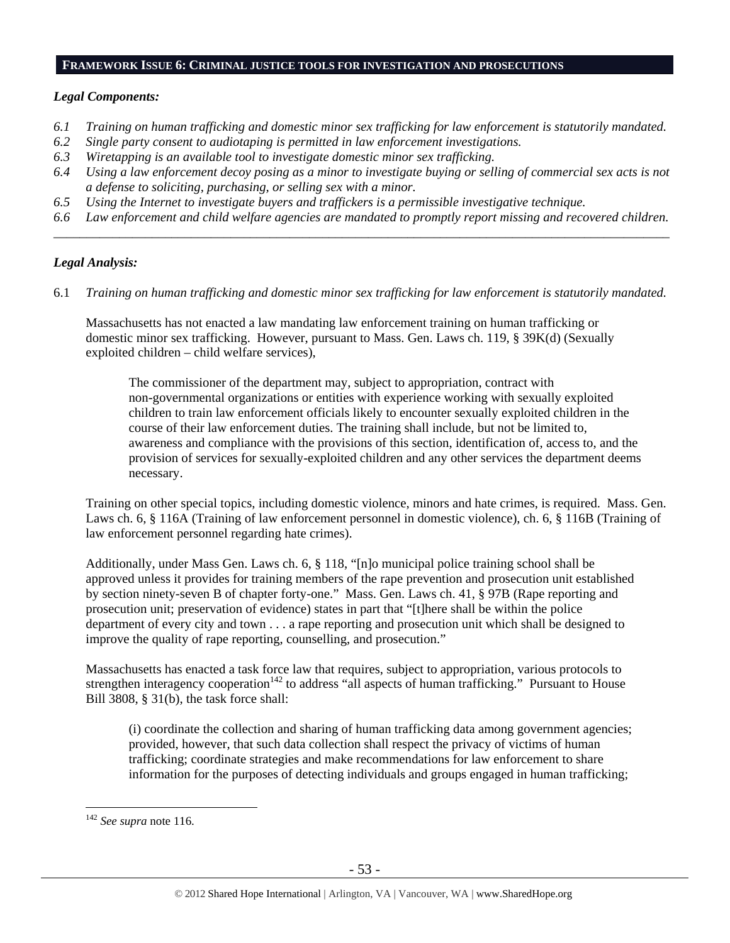#### **FRAMEWORK ISSUE 6: CRIMINAL JUSTICE TOOLS FOR INVESTIGATION AND PROSECUTIONS**

#### *Legal Components:*

- *6.1 Training on human trafficking and domestic minor sex trafficking for law enforcement is statutorily mandated.*
- *6.2 Single party consent to audiotaping is permitted in law enforcement investigations.*
- *6.3 Wiretapping is an available tool to investigate domestic minor sex trafficking.*
- *6.4 Using a law enforcement decoy posing as a minor to investigate buying or selling of commercial sex acts is not a defense to soliciting, purchasing, or selling sex with a minor.*
- *6.5 Using the Internet to investigate buyers and traffickers is a permissible investigative technique.*
- *6.6 Law enforcement and child welfare agencies are mandated to promptly report missing and recovered children. \_\_\_\_\_\_\_\_\_\_\_\_\_\_\_\_\_\_\_\_\_\_\_\_\_\_\_\_\_\_\_\_\_\_\_\_\_\_\_\_\_\_\_\_\_\_\_\_\_\_\_\_\_\_\_\_\_\_\_\_\_\_\_\_\_\_\_\_\_\_\_\_\_\_\_\_\_\_\_\_\_\_\_\_\_\_\_\_\_\_\_\_\_\_*

#### *Legal Analysis:*

6.1 *Training on human trafficking and domestic minor sex trafficking for law enforcement is statutorily mandated.*

Massachusetts has not enacted a law mandating law enforcement training on human trafficking or domestic minor sex trafficking. However, pursuant to Mass. Gen. Laws ch. 119, § 39K(d) (Sexually exploited children – child welfare services),

The commissioner of the department may, subject to appropriation, contract with non-governmental organizations or entities with experience working with sexually exploited children to train law enforcement officials likely to encounter sexually exploited children in the course of their law enforcement duties. The training shall include, but not be limited to, awareness and compliance with the provisions of this section, identification of, access to, and the provision of services for sexually-exploited children and any other services the department deems necessary.

Training on other special topics, including domestic violence, minors and hate crimes, is required. Mass. Gen. Laws ch. 6, § 116A (Training of law enforcement personnel in domestic violence), ch. 6, § 116B (Training of law enforcement personnel regarding hate crimes).

Additionally, under Mass Gen. Laws ch. 6, § 118, "[n]o municipal police training school shall be approved unless it provides for training members of the rape prevention and prosecution unit established by section ninety-seven B of chapter forty-one." Mass. Gen. Laws ch. 41, § 97B (Rape reporting and prosecution unit; preservation of evidence) states in part that "[t]here shall be within the police department of every city and town . . . a rape reporting and prosecution unit which shall be designed to improve the quality of rape reporting, counselling, and prosecution."

Massachusetts has enacted a task force law that requires, subject to appropriation, various protocols to strengthen interagency cooperation<sup>142</sup> to address "all aspects of human trafficking." Pursuant to House Bill 3808, § 31(b), the task force shall:

(i) coordinate the collection and sharing of human trafficking data among government agencies; provided, however, that such data collection shall respect the privacy of victims of human trafficking; coordinate strategies and make recommendations for law enforcement to share information for the purposes of detecting individuals and groups engaged in human trafficking;

<sup>142</sup> *See supra* note 116.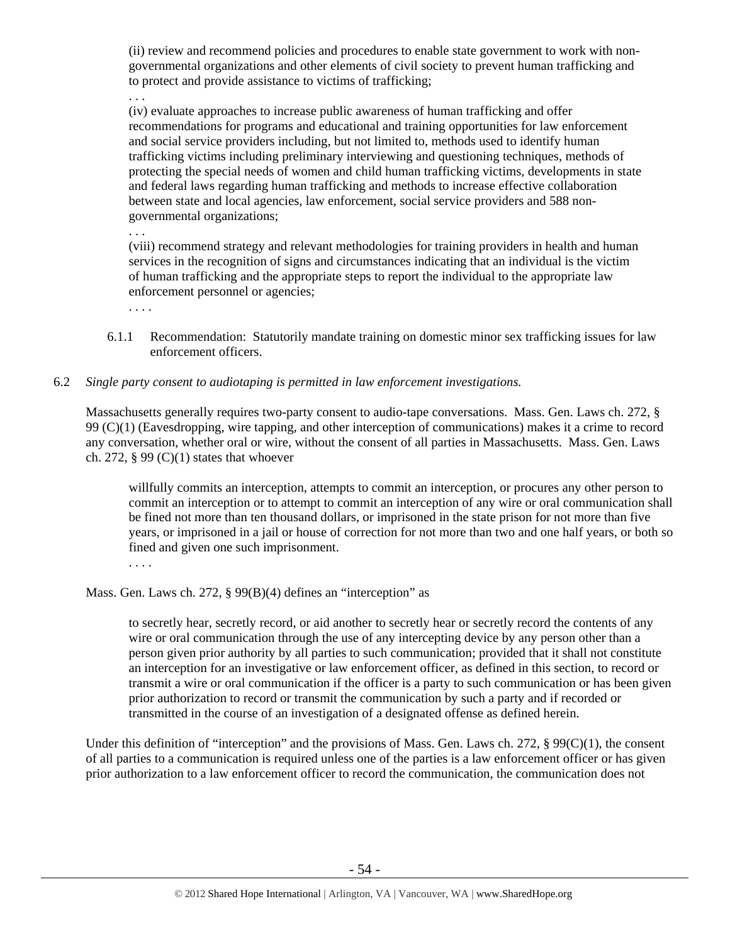(ii) review and recommend policies and procedures to enable state government to work with nongovernmental organizations and other elements of civil society to prevent human trafficking and to protect and provide assistance to victims of trafficking;

. . .

(iv) evaluate approaches to increase public awareness of human trafficking and offer recommendations for programs and educational and training opportunities for law enforcement and social service providers including, but not limited to, methods used to identify human trafficking victims including preliminary interviewing and questioning techniques, methods of protecting the special needs of women and child human trafficking victims, developments in state and federal laws regarding human trafficking and methods to increase effective collaboration between state and local agencies, law enforcement, social service providers and 588 nongovernmental organizations;

(viii) recommend strategy and relevant methodologies for training providers in health and human services in the recognition of signs and circumstances indicating that an individual is the victim of human trafficking and the appropriate steps to report the individual to the appropriate law enforcement personnel or agencies;

. . . .

. . .

- 6.1.1 Recommendation: Statutorily mandate training on domestic minor sex trafficking issues for law enforcement officers.
- 6.2 *Single party consent to audiotaping is permitted in law enforcement investigations.*

Massachusetts generally requires two-party consent to audio-tape conversations. Mass. Gen. Laws ch. 272, § 99 (C)(1) (Eavesdropping, wire tapping, and other interception of communications) makes it a crime to record any conversation, whether oral or wire, without the consent of all parties in Massachusetts. Mass. Gen. Laws ch. 272,  $\S$  99 (C)(1) states that whoever

willfully commits an interception, attempts to commit an interception, or procures any other person to commit an interception or to attempt to commit an interception of any wire or oral communication shall be fined not more than ten thousand dollars, or imprisoned in the state prison for not more than five years, or imprisoned in a jail or house of correction for not more than two and one half years, or both so fined and given one such imprisonment.

. . . .

Mass. Gen. Laws ch. 272, § 99(B)(4) defines an "interception" as

to secretly hear, secretly record, or aid another to secretly hear or secretly record the contents of any wire or oral communication through the use of any intercepting device by any person other than a person given prior authority by all parties to such communication; provided that it shall not constitute an interception for an investigative or law enforcement officer, as defined in this section, to record or transmit a wire or oral communication if the officer is a party to such communication or has been given prior authorization to record or transmit the communication by such a party and if recorded or transmitted in the course of an investigation of a designated offense as defined herein.

Under this definition of "interception" and the provisions of Mass. Gen. Laws ch. 272,  $\S 99(C)(1)$ , the consent of all parties to a communication is required unless one of the parties is a law enforcement officer or has given prior authorization to a law enforcement officer to record the communication, the communication does not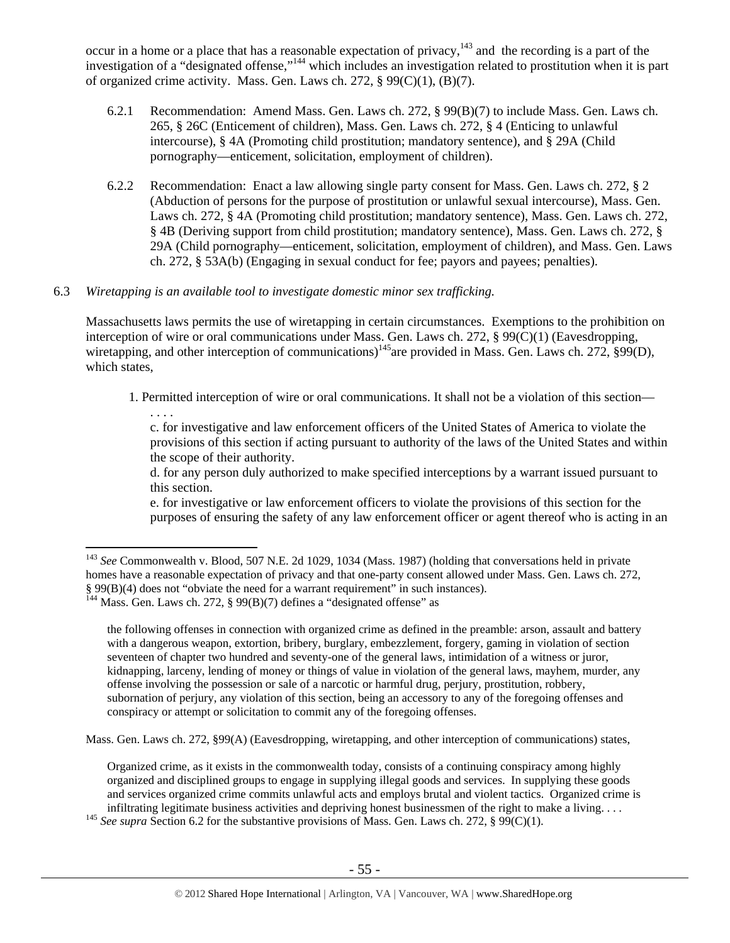occur in a home or a place that has a reasonable expectation of privacy,<sup>143</sup> and the recording is a part of the investigation of a "designated offense,"144 which includes an investigation related to prostitution when it is part of organized crime activity. Mass. Gen. Laws ch. 272,  $\S 99(C)(1)$ ,  $(B)(7)$ .

- 6.2.1 Recommendation: Amend Mass. Gen. Laws ch. 272, § 99(B)(7) to include Mass. Gen. Laws ch. 265, § 26C (Enticement of children), Mass. Gen. Laws ch. 272, § 4 (Enticing to unlawful intercourse), § 4A (Promoting child prostitution; mandatory sentence), and § 29A (Child pornography—enticement, solicitation, employment of children).
- 6.2.2 Recommendation: Enact a law allowing single party consent for Mass. Gen. Laws ch. 272, § 2 (Abduction of persons for the purpose of prostitution or unlawful sexual intercourse), Mass. Gen. Laws ch. 272, § 4A (Promoting child prostitution; mandatory sentence), Mass. Gen. Laws ch. 272, § 4B (Deriving support from child prostitution; mandatory sentence), Mass. Gen. Laws ch. 272, § 29A (Child pornography—enticement, solicitation, employment of children), and Mass. Gen. Laws ch. 272, § 53A(b) (Engaging in sexual conduct for fee; payors and payees; penalties).

# 6.3 *Wiretapping is an available tool to investigate domestic minor sex trafficking.*

 $\overline{a}$ 

Massachusetts laws permits the use of wiretapping in certain circumstances. Exemptions to the prohibition on interception of wire or oral communications under Mass. Gen. Laws ch. 272, § 99(C)(1) (Eavesdropping, wiretapping, and other interception of communications)<sup>145</sup>are provided in Mass. Gen. Laws ch. 272, §99(D), which states,

1. Permitted interception of wire or oral communications. It shall not be a violation of this section— . . . .

c. for investigative and law enforcement officers of the United States of America to violate the provisions of this section if acting pursuant to authority of the laws of the United States and within the scope of their authority.

d. for any person duly authorized to make specified interceptions by a warrant issued pursuant to this section.

e. for investigative or law enforcement officers to violate the provisions of this section for the purposes of ensuring the safety of any law enforcement officer or agent thereof who is acting in an

the following offenses in connection with organized crime as defined in the preamble: arson, assault and battery with a dangerous weapon, extortion, bribery, burglary, embezzlement, forgery, gaming in violation of section seventeen of chapter two hundred and seventy-one of the general laws, intimidation of a witness or juror, kidnapping, larceny, lending of money or things of value in violation of the general laws, mayhem, murder, any offense involving the possession or sale of a narcotic or harmful drug, perjury, prostitution, robbery, subornation of perjury, any violation of this section, being an accessory to any of the foregoing offenses and conspiracy or attempt or solicitation to commit any of the foregoing offenses.

Mass. Gen. Laws ch. 272, §99(A) (Eavesdropping, wiretapping, and other interception of communications) states,

Organized crime, as it exists in the commonwealth today, consists of a continuing conspiracy among highly organized and disciplined groups to engage in supplying illegal goods and services. In supplying these goods and services organized crime commits unlawful acts and employs brutal and violent tactics. Organized crime is

infiltrating legitimate business activities and depriving honest businessmen of the right to make a living. . . . 145 *See supra* Section 6.2 for the substantive provisions of Mass. Gen. Laws ch. 272, § 99(C)(1).

<sup>143</sup> *See* Commonwealth v. Blood, 507 N.E. 2d 1029, 1034 (Mass. 1987) (holding that conversations held in private homes have a reasonable expectation of privacy and that one-party consent allowed under Mass. Gen. Laws ch. 272, § 99(B)(4) does not "obviate the need for a warrant requirement" in such instances). 144 Mass. Gen. Laws ch. 272, § 99(B)(7) defines a "designated offense" as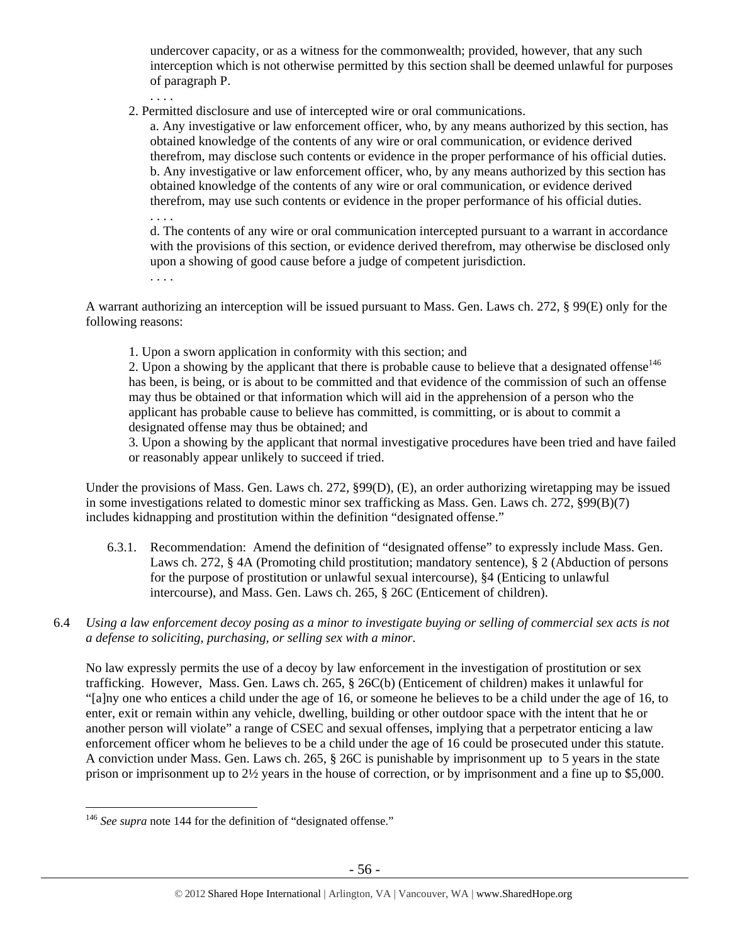undercover capacity, or as a witness for the commonwealth; provided, however, that any such interception which is not otherwise permitted by this section shall be deemed unlawful for purposes of paragraph P.

2. Permitted disclosure and use of intercepted wire or oral communications.

a. Any investigative or law enforcement officer, who, by any means authorized by this section, has obtained knowledge of the contents of any wire or oral communication, or evidence derived therefrom, may disclose such contents or evidence in the proper performance of his official duties. b. Any investigative or law enforcement officer, who, by any means authorized by this section has obtained knowledge of the contents of any wire or oral communication, or evidence derived therefrom, may use such contents or evidence in the proper performance of his official duties.

. . . .

. . . .

d. The contents of any wire or oral communication intercepted pursuant to a warrant in accordance with the provisions of this section, or evidence derived therefrom, may otherwise be disclosed only upon a showing of good cause before a judge of competent jurisdiction.

. . . .

A warrant authorizing an interception will be issued pursuant to Mass. Gen. Laws ch. 272, § 99(E) only for the following reasons:

1. Upon a sworn application in conformity with this section; and

2. Upon a showing by the applicant that there is probable cause to believe that a designated offense<sup>146</sup> has been, is being, or is about to be committed and that evidence of the commission of such an offense may thus be obtained or that information which will aid in the apprehension of a person who the applicant has probable cause to believe has committed, is committing, or is about to commit a designated offense may thus be obtained; and

3. Upon a showing by the applicant that normal investigative procedures have been tried and have failed or reasonably appear unlikely to succeed if tried.

Under the provisions of Mass. Gen. Laws ch. 272, §99(D), (E), an order authorizing wiretapping may be issued in some investigations related to domestic minor sex trafficking as Mass. Gen. Laws ch. 272, §99(B)(7) includes kidnapping and prostitution within the definition "designated offense."

- 6.3.1. Recommendation: Amend the definition of "designated offense" to expressly include Mass. Gen. Laws ch. 272, § 4A (Promoting child prostitution; mandatory sentence), § 2 (Abduction of persons for the purpose of prostitution or unlawful sexual intercourse), §4 (Enticing to unlawful intercourse), and Mass. Gen. Laws ch. 265, § 26C (Enticement of children).
- 6.4 *Using a law enforcement decoy posing as a minor to investigate buying or selling of commercial sex acts is not a defense to soliciting, purchasing, or selling sex with a minor.*

No law expressly permits the use of a decoy by law enforcement in the investigation of prostitution or sex trafficking. However, Mass. Gen. Laws ch. 265, § 26C(b) (Enticement of children) makes it unlawful for "[a]ny one who entices a child under the age of 16, or someone he believes to be a child under the age of 16, to enter, exit or remain within any vehicle, dwelling, building or other outdoor space with the intent that he or another person will violate" a range of CSEC and sexual offenses, implying that a perpetrator enticing a law enforcement officer whom he believes to be a child under the age of 16 could be prosecuted under this statute. A conviction under Mass. Gen. Laws ch. 265, § 26C is punishable by imprisonment up to 5 years in the state prison or imprisonment up to 2½ years in the house of correction, or by imprisonment and a fine up to \$5,000.

 $\overline{a}$ <sup>146</sup> See supra note 144 for the definition of "designated offense."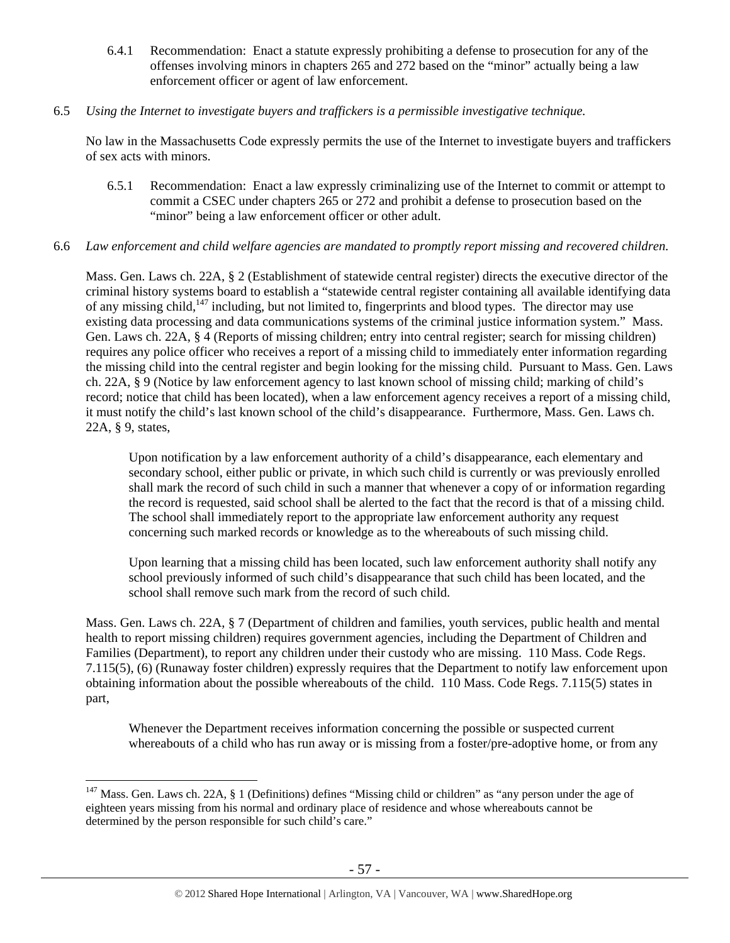6.4.1 Recommendation: Enact a statute expressly prohibiting a defense to prosecution for any of the offenses involving minors in chapters 265 and 272 based on the "minor" actually being a law enforcement officer or agent of law enforcement.

## 6.5 *Using the Internet to investigate buyers and traffickers is a permissible investigative technique.*

No law in the Massachusetts Code expressly permits the use of the Internet to investigate buyers and traffickers of sex acts with minors.

6.5.1 Recommendation: Enact a law expressly criminalizing use of the Internet to commit or attempt to commit a CSEC under chapters 265 or 272 and prohibit a defense to prosecution based on the "minor" being a law enforcement officer or other adult.

## 6.6 *Law enforcement and child welfare agencies are mandated to promptly report missing and recovered children.*

Mass. Gen. Laws ch. 22A, § 2 (Establishment of statewide central register) directs the executive director of the criminal history systems board to establish a "statewide central register containing all available identifying data of any missing child,<sup>147</sup> including, but not limited to, fingerprints and blood types. The director may use existing data processing and data communications systems of the criminal justice information system." Mass. Gen. Laws ch. 22A, § 4 (Reports of missing children; entry into central register; search for missing children) requires any police officer who receives a report of a missing child to immediately enter information regarding the missing child into the central register and begin looking for the missing child. Pursuant to Mass. Gen. Laws ch. 22A, § 9 (Notice by law enforcement agency to last known school of missing child; marking of child's record; notice that child has been located), when a law enforcement agency receives a report of a missing child, it must notify the child's last known school of the child's disappearance. Furthermore, Mass. Gen. Laws ch. 22A, § 9, states,

Upon notification by a law enforcement authority of a child's disappearance, each elementary and secondary school, either public or private, in which such child is currently or was previously enrolled shall mark the record of such child in such a manner that whenever a copy of or information regarding the record is requested, said school shall be alerted to the fact that the record is that of a missing child. The school shall immediately report to the appropriate law enforcement authority any request concerning such marked records or knowledge as to the whereabouts of such missing child.

Upon learning that a missing child has been located, such law enforcement authority shall notify any school previously informed of such child's disappearance that such child has been located, and the school shall remove such mark from the record of such child.

Mass. Gen. Laws ch. 22A, § 7 (Department of children and families, youth services, public health and mental health to report missing children) requires government agencies, including the Department of Children and Families (Department), to report any children under their custody who are missing. 110 Mass. Code Regs. 7.115(5), (6) (Runaway foster children) expressly requires that the Department to notify law enforcement upon obtaining information about the possible whereabouts of the child. 110 Mass. Code Regs. 7.115(5) states in part,

Whenever the Department receives information concerning the possible or suspected current whereabouts of a child who has run away or is missing from a foster/pre-adoptive home, or from any

 $\overline{a}$  $147$  Mass. Gen. Laws ch. 22A, § 1 (Definitions) defines "Missing child or children" as "any person under the age of eighteen years missing from his normal and ordinary place of residence and whose whereabouts cannot be determined by the person responsible for such child's care."